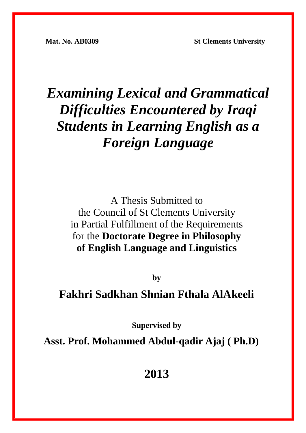**Mat. No. AB0309 St Clements University** 

# *Examining Lexical and Grammatical Difficulties Encountered by Iraqi Students in Learning English as a Foreign Language*

A Thesis Submitted to the Council of St Clements University in Partial Fulfillment of the Requirements for the **Doctorate Degree in Philosophy of English Language and Linguistics** 

**by** 

## **Fakhri Sadkhan Shnian Fthala AlAkeeli**

**Supervised by** 

**Asst. Prof. Mohammed Abdul-qadir Ajaj ( Ph.D)** 

**2013**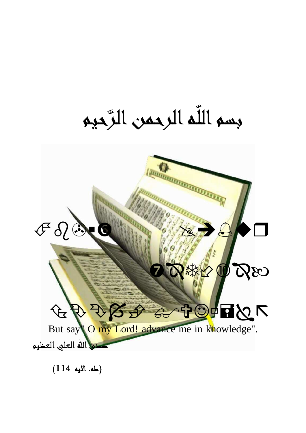بسم اللّه الرحمن الرَّحيم



(طه. الايه 114 )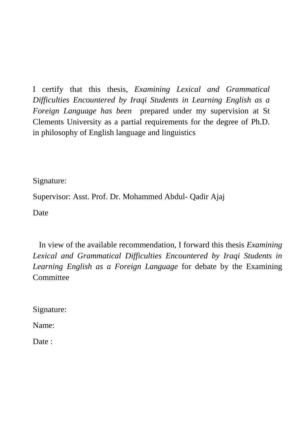I certify that this thesis, *Examining Lexical and Grammatical Difficulties Encountered by Iraqi Students in Learning English as a Foreign Language has been* prepared under my supervision at St Clements University as a partial requirements for the degree of Ph.D. in philosophy of English language and linguistics

Signature:

Supervisor: Asst. Prof. Dr. Mohammed Abdul- Qadir Ajaj

Date

 In view of the available recommendation, I forward this thesis *Examining Lexical and Grammatical Difficulties Encountered by Iraqi Students in Learning English as a Foreign Language* for debate by the Examining Committee

Signature:

Name:

Date :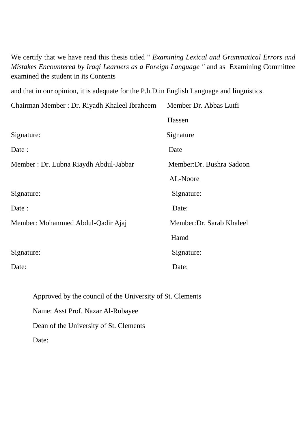We certify that we have read this thesis titled " *Examining Lexical and Grammatical Errors and Mistakes Encountered by Iraqi Learners as a Foreign Language "* and as Examining Committee examined the student in its Contents

and that in our opinion, it is adequate for the P.h.D.in English Language and linguistics.

| Chairman Member : Dr. Riyadh Khaleel Ibraheem | Member Dr. Abbas Lutfi    |
|-----------------------------------------------|---------------------------|
|                                               | Hassen                    |
| Signature:                                    | Signature                 |
| Date :                                        | Date                      |
| Member: Dr. Lubna Riaydh Abdul-Jabbar         | Member: Dr. Bushra Sadoon |
|                                               | AL-Noore                  |
| Signature:                                    | Signature:                |
| Date:                                         | Date:                     |
| Member: Mohammed Abdul-Qadir Ajaj             | Member: Dr. Sarab Khaleel |
|                                               | Hamd                      |
| Signature:                                    | Signature:                |
| Date:                                         | Date:                     |

Approved by the council of the University of St. Clements Name: Asst Prof. Nazar Al-Rubayee Dean of the University of St. Clements Date: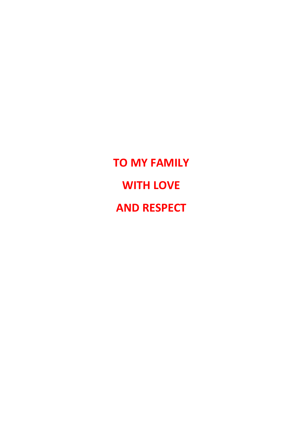**TO MY FAMILY WITH LOVE AND RESPECT**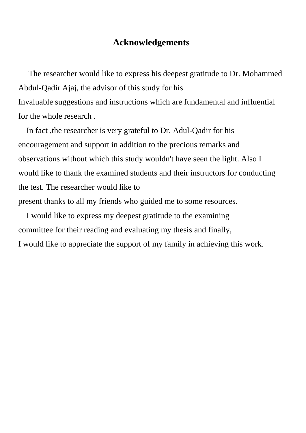#### **Acknowledgements**

 The researcher would like to express his deepest gratitude to Dr. Mohammed Abdul-Qadir Ajaj, the advisor of this study for his Invaluable suggestions and instructions which are fundamental and influential for the whole research .

 In fact ,the researcher is very grateful to Dr. Adul-Qadir for his encouragement and support in addition to the precious remarks and observations without which this study wouldn't have seen the light. Also I would like to thank the examined students and their instructors for conducting the test. The researcher would like to present thanks to all my friends who guided me to some resources.

 I would like to express my deepest gratitude to the examining committee for their reading and evaluating my thesis and finally, I would like to appreciate the support of my family in achieving this work.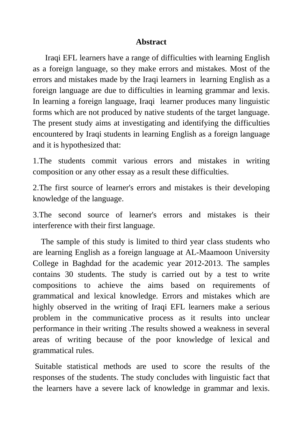#### **Abstract**

 Iraqi EFL learners have a range of difficulties with learning English as a foreign language, so they make errors and mistakes. Most of the errors and mistakes made by the Iraqi learners in learning English as a foreign language are due to difficulties in learning grammar and lexis. In learning a foreign language, Iraqi learner produces many linguistic forms which are not produced by native students of the target language. The present study aims at investigating and identifying the difficulties encountered by Iraqi students in learning English as a foreign language and it is hypothesized that:

1.The students commit various errors and mistakes in writing composition or any other essay as a result these difficulties.

2.The first source of learner's errors and mistakes is their developing knowledge of the language.

3.The second source of learner's errors and mistakes is their interference with their first language.

 The sample of this study is limited to third year class students who are learning English as a foreign language at AL-Maamoon University College in Baghdad for the academic year 2012-2013. The samples contains 30 students. The study is carried out by a test to write compositions to achieve the aims based on requirements of grammatical and lexical knowledge. Errors and mistakes which are highly observed in the writing of Iraqi EFL learners make a serious problem in the communicative process as it results into unclear performance in their writing .The results showed a weakness in several areas of writing because of the poor knowledge of lexical and grammatical rules.

 Suitable statistical methods are used to score the results of the responses of the students. The study concludes with linguistic fact that the learners have a severe lack of knowledge in grammar and lexis.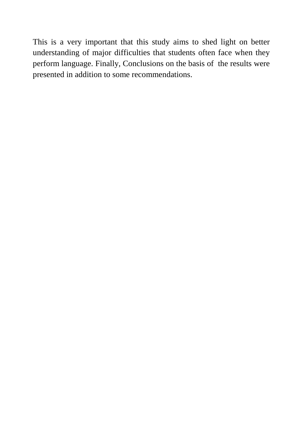This is a very important that this study aims to shed light on better understanding of major difficulties that students often face when they perform language. Finally, Conclusions on the basis of the results were presented in addition to some recommendations.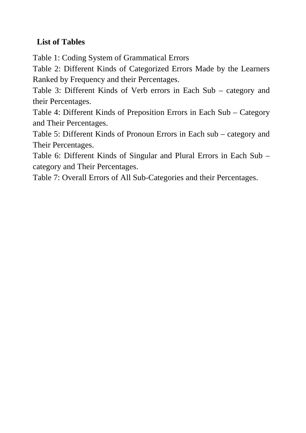## **List of Tables**

Table 1: Coding System of Grammatical Errors

Table 2: Different Kinds of Categorized Errors Made by the Learners Ranked by Frequency and their Percentages.

Table 3: Different Kinds of Verb errors in Each Sub – category and their Percentages.

Table 4: Different Kinds of Preposition Errors in Each Sub – Category and Their Percentages.

Table 5: Different Kinds of Pronoun Errors in Each sub – category and Their Percentages.

Table 6: Different Kinds of Singular and Plural Errors in Each Sub – category and Their Percentages.

Table 7: Overall Errors of All Sub-Categories and their Percentages.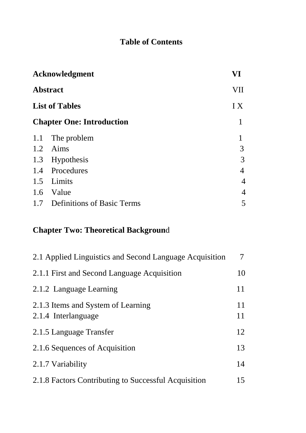## **Table of Contents**

| Acknowledgment                    | VI  |
|-----------------------------------|-----|
| <b>Abstract</b>                   | VII |
| <b>List of Tables</b>             | I X |
| <b>Chapter One: Introduction</b>  | 1   |
| The problem                       |     |
| Aims                              | 3   |
| Hypothesis                        | 3   |
| 1.4 Procedures                    | 4   |
| Limits                            | 4   |
| 1.6 Value                         | 4   |
| <b>Definitions of Basic Terms</b> | 5   |
|                                   |     |

## **Chapter Two: Theoretical Backgroun**d

| 2.1 Applied Linguistics and Second Language Acquisition   | $\tau$   |
|-----------------------------------------------------------|----------|
| 2.1.1 First and Second Language Acquisition               | 10       |
| 2.1.2 Language Learning                                   | 11       |
| 2.1.3 Items and System of Learning<br>2.1.4 Interlanguage | 11<br>11 |
| 2.1.5 Language Transfer                                   | 12       |
| 2.1.6 Sequences of Acquisition                            | 13       |
| 2.1.7 Variability                                         | 14       |
| 2.1.8 Factors Contributing to Successful Acquisition      | 15       |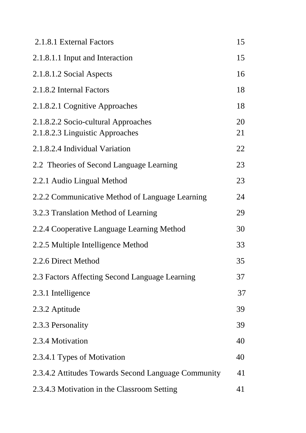| 2.1.8.1 External Factors                                               | 15       |
|------------------------------------------------------------------------|----------|
| 2.1.8.1.1 Input and Interaction                                        | 15       |
| 2.1.8.1.2 Social Aspects                                               | 16       |
| 2.1.8.2 Internal Factors                                               | 18       |
| 2.1.8.2.1 Cognitive Approaches                                         | 18       |
| 2.1.8.2.2 Socio-cultural Approaches<br>2.1.8.2.3 Linguistic Approaches | 20<br>21 |
| 2.1.8.2.4 Individual Variation                                         | 22       |
| 2.2 Theories of Second Language Learning                               | 23       |
| 2.2.1 Audio Lingual Method                                             | 23       |
| 2.2.2 Communicative Method of Language Learning                        | 24       |
| 3.2.3 Translation Method of Learning                                   | 29       |
| 2.2.4 Cooperative Language Learning Method                             | 30       |
| 2.2.5 Multiple Intelligence Method                                     | 33       |
| 2.2.6 Direct Method                                                    | 35       |
| 2.3 Factors Affecting Second Language Learning                         | 37       |
| 2.3.1 Intelligence                                                     | 37       |
| 2.3.2 Aptitude                                                         | 39       |
| 2.3.3 Personality                                                      | 39       |
| 2.3.4 Motivation                                                       | 40       |
| 2.3.4.1 Types of Motivation                                            | 40       |
| 2.3.4.2 Attitudes Towards Second Language Community                    | 41       |
| 2.3.4.3 Motivation in the Classroom Setting                            | 41       |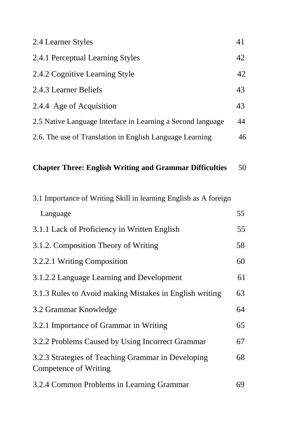| 2.4 Learner Styles                                                          | 41 |
|-----------------------------------------------------------------------------|----|
| 2.4.1 Perceptual Learning Styles                                            | 42 |
| 2.4.2 Cognitive Learning Style                                              | 42 |
| 2.4.3 Learner Beliefs                                                       | 43 |
| 2.4.4 Age of Acquisition                                                    | 43 |
| 2.5 Native Language Interface in Learning a Second language                 | 44 |
| 2.6. The use of Translation in English Language Learning                    | 46 |
| <b>Chapter Three: English Writing and Grammar Difficulties</b>              | 50 |
| 3.1 Importance of Writing Skill in learning English as A foreign            |    |
| Language                                                                    | 55 |
| 3.1.1 Lack of Proficiency in Written English                                | 55 |
| 3.1.2. Composition Theory of Writing                                        | 58 |
| 3.2.2.1 Writing Composition                                                 | 60 |
| 3.1.2.2 Language Learning and Development                                   | 61 |
| 3.1.3 Rules to Avoid making Mistakes in English writing                     | 63 |
| 3.2 Grammar Knowledge                                                       | 64 |
| 3.2.1 Importance of Grammar in Writing                                      | 65 |
| 3.2.2 Problems Caused by Using Incorrect Grammar                            | 67 |
| 3.2.3 Strategies of Teaching Grammar in Developing<br>Competence of Writing | 68 |
| 3.2.4 Common Problems in Learning Grammar                                   | 69 |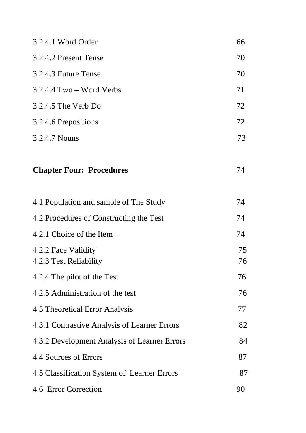| 3.2.4.1 Word Order                            | 66       |
|-----------------------------------------------|----------|
| 3.2.4.2 Present Tense                         | 70       |
| 3.2.4.3 Future Tense                          | 70       |
| $3.2.4.4$ Two – Word Verbs                    | 71       |
| 3.2.4.5 The Verb Do                           | 72       |
| 3.2.4.6 Prepositions                          | 72       |
| 3.2.4.7 Nouns                                 | 73       |
| <b>Chapter Four: Procedures</b>               | 74       |
| 4.1 Population and sample of The Study        | 74       |
| 4.2 Procedures of Constructing the Test       | 74       |
| 4.2.1 Choice of the Item                      | 74       |
| 4.2.2 Face Validity<br>4.2.3 Test Reliability | 75<br>76 |
| 4.2.4 The pilot of the Test                   | 76       |
| 4.2.5 Administration of the test              | 76       |
| 4.3 Theoretical Error Analysis                | 77       |
| 4.3.1 Contrastive Analysis of Learner Errors  | 82       |
| 4.3.2 Development Analysis of Learner Errors  | 84       |
| 4.4 Sources of Errors                         | 87       |
| 4.5 Classification System of Learner Errors   | 87       |
| 4.6 Error Correction                          | 90       |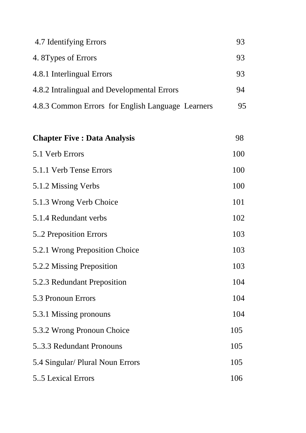| 4.7 Identifying Errors                            | 93 |
|---------------------------------------------------|----|
| 4. 8 Types of Errors                              | 93 |
| 4.8.1 Interlingual Errors                         | 93 |
| 4.8.2 Intralingual and Developmental Errors       | 94 |
| 4.8.3 Common Errors for English Language Learners | 95 |

| <b>Chapter Five : Data Analysis</b> | 98  |
|-------------------------------------|-----|
| 5.1 Verb Errors                     | 100 |
| 5.1.1 Verb Tense Errors             | 100 |
| 5.1.2 Missing Verbs                 | 100 |
| 5.1.3 Wrong Verb Choice             | 101 |
| 5.1.4 Redundant verbs               | 102 |
| 52 Preposition Errors               | 103 |
| 5.2.1 Wrong Preposition Choice      | 103 |
| 5.2.2 Missing Preposition           | 103 |
| 5.2.3 Redundant Preposition         | 104 |
| 5.3 Pronoun Errors                  | 104 |
| 5.3.1 Missing pronouns              | 104 |
| 5.3.2 Wrong Pronoun Choice          | 105 |
| 5.3.3 Redundant Pronouns            | 105 |
| 5.4 Singular/ Plural Noun Errors    | 105 |
| 5.5 Lexical Errors                  | 106 |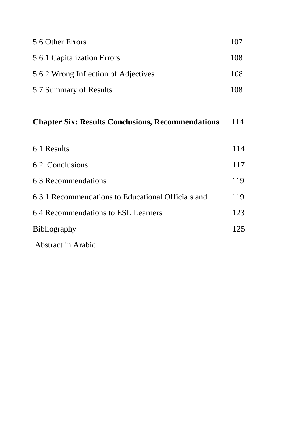| 5.6 Other Errors                                         | 107 |
|----------------------------------------------------------|-----|
| 5.6.1 Capitalization Errors                              | 108 |
| 5.6.2 Wrong Inflection of Adjectives                     | 108 |
| 5.7 Summary of Results                                   | 108 |
| <b>Chapter Six: Results Conclusions, Recommendations</b> | 114 |
| 6.1 Results                                              | 114 |
| 6.2 Conclusions                                          | 117 |
| 6.3 Recommendations                                      | 119 |
| 6.3.1 Recommendations to Educational Officials and       | 119 |

6.4 Recommendations to ESL Learners 123

Bibliography 125

Abstract in Arabic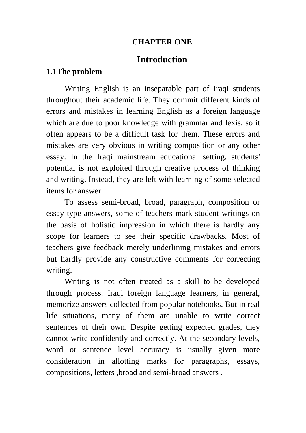#### **CHAPTER ONE**

## **Introduction**

#### **1.1The problem**

Writing English is an inseparable part of Iraqi students throughout their academic life. They commit different kinds of errors and mistakes in learning English as a foreign language which are due to poor knowledge with grammar and lexis, so it often appears to be a difficult task for them. These errors and mistakes are very obvious in writing composition or any other essay. In the Iraqi mainstream educational setting, students' potential is not exploited through creative process of thinking and writing. Instead, they are left with learning of some selected items for answer.

To assess semi-broad, broad, paragraph, composition or essay type answers, some of teachers mark student writings on the basis of holistic impression in which there is hardly any scope for learners to see their specific drawbacks. Most of teachers give feedback merely underlining mistakes and errors but hardly provide any constructive comments for correcting writing.

Writing is not often treated as a skill to be developed through process. Iraqi foreign language learners, in general, memorize answers collected from popular notebooks. But in real life situations, many of them are unable to write correct sentences of their own. Despite getting expected grades, they cannot write confidently and correctly. At the secondary levels, word or sentence level accuracy is usually given more consideration in allotting marks for paragraphs, essays, compositions, letters ,broad and semi-broad answers .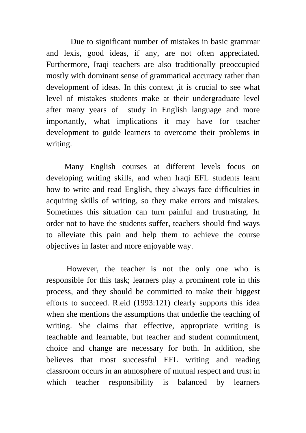Due to significant number of mistakes in basic grammar and lexis, good ideas, if any, are not often appreciated. Furthermore, Iraqi teachers are also traditionally preoccupied mostly with dominant sense of grammatical accuracy rather than development of ideas. In this context ,it is crucial to see what level of mistakes students make at their undergraduate level after many years of study in English language and more importantly, what implications it may have for teacher development to guide learners to overcome their problems in writing.

Many English courses at different levels focus on developing writing skills, and when Iraqi EFL students learn how to write and read English, they always face difficulties in acquiring skills of writing, so they make errors and mistakes. Sometimes this situation can turn painful and frustrating. In order not to have the students suffer, teachers should find ways to alleviate this pain and help them to achieve the course objectives in faster and more enjoyable way.

 However, the teacher is not the only one who is responsible for this task; learners play a prominent role in this process, and they should be committed to make their biggest efforts to succeed. R.eid (1993:121) clearly supports this idea when she mentions the assumptions that underlie the teaching of writing. She claims that effective, appropriate writing is teachable and learnable, but teacher and student commitment, choice and change are necessary for both. In addition, she believes that most successful EFL writing and reading classroom occurs in an atmosphere of mutual respect and trust in which teacher responsibility is balanced by learners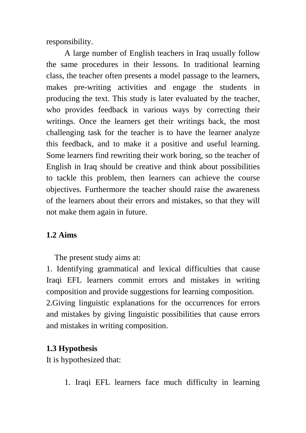responsibility.

A large number of English teachers in Iraq usually follow the same procedures in their lessons. In traditional learning class, the teacher often presents a model passage to the learners, makes pre-writing activities and engage the students in producing the text. This study is later evaluated by the teacher, who provides feedback in various ways by correcting their writings. Once the learners get their writings back, the most challenging task for the teacher is to have the learner analyze this feedback, and to make it a positive and useful learning. Some learners find rewriting their work boring, so the teacher of English in Iraq should be creative and think about possibilities to tackle this problem, then learners can achieve the course objectives. Furthermore the teacher should raise the awareness of the learners about their errors and mistakes, so that they will not make them again in future.

## **1.2 Aims**

The present study aims at:

1. Identifying grammatical and lexical difficulties that cause Iraqi EFL learners commit errors and mistakes in writing composition and provide suggestions for learning composition. 2.Giving linguistic explanations for the occurrences for errors and mistakes by giving linguistic possibilities that cause errors and mistakes in writing composition.

## **1.3 Hypothesis**

It is hypothesized that:

1. Iraqi EFL learners face much difficulty in learning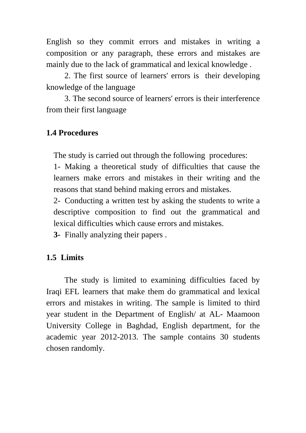English so they commit errors and mistakes in writing a composition or any paragraph, these errors and mistakes are mainly due to the lack of grammatical and lexical knowledge .

2. The first source of learners' errors is their developing knowledge of the language

3. The second source of learners' errors is their interference from their first language

## **1.4 Procedures**

The study is carried out through the following procedures:

1- Making a theoretical study of difficulties that cause the learners make errors and mistakes in their writing and the reasons that stand behind making errors and mistakes.

2- Conducting a written test by asking the students to write a descriptive composition to find out the grammatical and lexical difficulties which cause errors and mistakes.

**3-** Finally analyzing their papers .

## **1.5 Limits**

The study is limited to examining difficulties faced by Iraqi EFL learners that make them do grammatical and lexical errors and mistakes in writing. The sample is limited to third year student in the Department of English/ at AL- Maamoon University College in Baghdad, English department, for the academic year 2012-2013. The sample contains 30 students chosen randomly.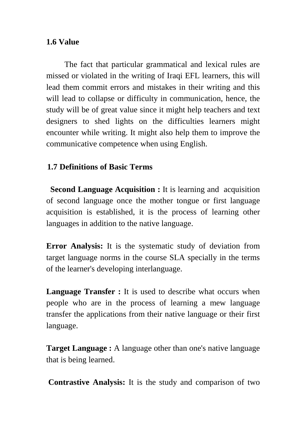#### **1.6 Value**

The fact that particular grammatical and lexical rules are missed or violated in the writing of Iraqi EFL learners, this will lead them commit errors and mistakes in their writing and this will lead to collapse or difficulty in communication, hence, the study will be of great value since it might help teachers and text designers to shed lights on the difficulties learners might encounter while writing. It might also help them to improve the communicative competence when using English.

## **1.7 Definitions of Basic Terms**

**Second Language Acquisition :** It is learning and acquisition of second language once the mother tongue or first language acquisition is established, it is the process of learning other languages in addition to the native language.

**Error Analysis:** It is the systematic study of deviation from target language norms in the course SLA specially in the terms of the learner's developing interlanguage.

**Language Transfer :** It is used to describe what occurs when people who are in the process of learning a mew language transfer the applications from their native language or their first language.

**Target Language :** A language other than one's native language that is being learned.

 **Contrastive Analysis:** It is the study and comparison of two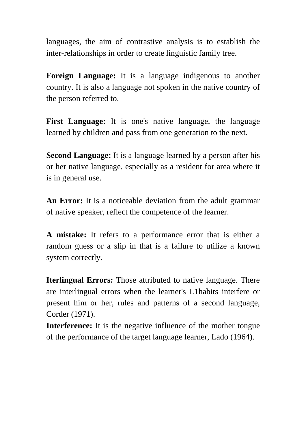languages, the aim of contrastive analysis is to establish the inter-relationships in order to create linguistic family tree.

**Foreign Language:** It is a language indigenous to another country. It is also a language not spoken in the native country of the person referred to.

**First Language:** It is one's native language, the language learned by children and pass from one generation to the next.

**Second Language:** It is a language learned by a person after his or her native language, especially as a resident for area where it is in general use.

**An Error:** It is a noticeable deviation from the adult grammar of native speaker, reflect the competence of the learner.

**A mistake:** It refers to a performance error that is either a random guess or a slip in that is a failure to utilize a known system correctly.

**Iterlingual Errors:** Those attributed to native language. There are interlingual errors when the learner's L1habits interfere or present him or her, rules and patterns of a second language, Corder (1971).

**Interference:** It is the negative influence of the mother tongue of the performance of the target language learner, Lado (1964).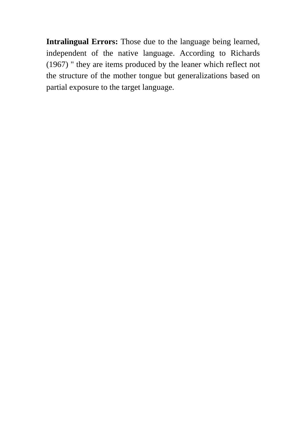**Intralingual Errors:** Those due to the language being learned, independent of the native language. According to Richards (1967) " they are items produced by the leaner which reflect not the structure of the mother tongue but generalizations based on partial exposure to the target language.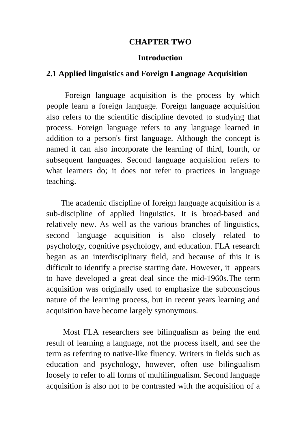#### **CHAPTER TWO**

#### **Introduction**

#### **2.1 Applied linguistics and Foreign Language Acquisition**

 Foreign language acquisition is the process by which people learn a foreign language. Foreign language acquisition also refers to the scientific discipline devoted to studying that process. Foreign language refers to any language learned in addition to a person's first language. Although the concept is named it can also incorporate the learning of third, fourth, or subsequent languages. Second language acquisition refers to what learners do; it does not refer to practices in language teaching.

The academic discipline of foreign language acquisition is a sub-discipline of applied linguistics. It is broad-based and relatively new. As well as the various branches of linguistics, second language acquisition is also closely related to psychology, cognitive psychology, and education. FLA research began as an interdisciplinary field, and because of this it is difficult to identify a precise starting date. However, it appears to have developed a great deal since the mid-1960s.The term acquisition was originally used to emphasize the subconscious nature of the learning process, but in recent years learning and acquisition have become largely synonymous.

 Most FLA researchers see bilingualism as being the end result of learning a language, not the process itself, and see the term as referring to native-like fluency. Writers in fields such as education and psychology, however, often use bilingualism loosely to refer to all forms of multilingualism. Second language acquisition is also not to be contrasted with the acquisition of a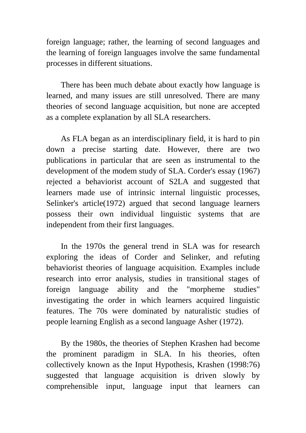foreign language; rather, the learning of second languages and the learning of foreign languages involve the same fundamental processes in different situations.

There has been much debate about exactly how language is learned, and many issues are still unresolved. There are many theories of second language acquisition, but none are accepted as a complete explanation by all SLA researchers.

As FLA began as an interdisciplinary field, it is hard to pin down a precise starting date. However, there are two publications in particular that are seen as instrumental to the development of the modem study of SLA. Corder's essay (1967) rejected a behaviorist account of S2LA and suggested that learners made use of intrinsic internal linguistic processes, Selinker's article(1972) argued that second language learners possess their own individual linguistic systems that are independent from their first languages.

In the 1970s the general trend in SLA was for research exploring the ideas of Corder and Selinker, and refuting behaviorist theories of language acquisition. Examples include research into error analysis, studies in transitional stages of foreign language ability and the "morpheme studies" investigating the order in which learners acquired linguistic features. The 70s were dominated by naturalistic studies of people learning English as a second language Asher (1972).

By the 1980s, the theories of Stephen Krashen had become the prominent paradigm in SLA. In his theories, often collectively known as the Input Hypothesis, Krashen (1998:76) suggested that language acquisition is driven slowly by comprehensible input, language input that learners can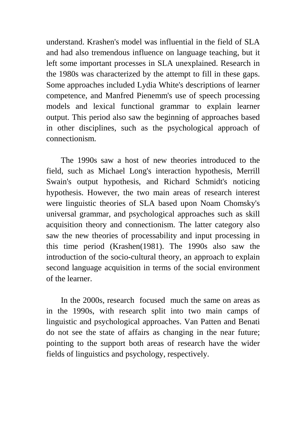understand. Krashen's model was influential in the field of SLA and had also tremendous influence on language teaching, but it left some important processes in SLA unexplained. Research in the 1980s was characterized by the attempt to fill in these gaps. Some approaches included Lydia White's descriptions of learner competence, and Manfred Pienemm's use of speech processing models and lexical functional grammar to explain learner output. This period also saw the beginning of approaches based in other disciplines, such as the psychological approach of connectionism.

The 1990s saw a host of new theories introduced to the field, such as Michael Long's interaction hypothesis, Merrill Swain's output hypothesis, and Richard Schmidt's noticing hypothesis. However, the two main areas of research interest were linguistic theories of SLA based upon Noam Chomsky's universal grammar, and psychological approaches such as skill acquisition theory and connectionism. The latter category also saw the new theories of processability and input processing in this time period (Krashen(1981). The 1990s also saw the introduction of the socio-cultural theory, an approach to explain second language acquisition in terms of the social environment of the learner.

In the 2000s, research focused much the same on areas as in the 1990s, with research split into two main camps of linguistic and psychological approaches. Van Patten and Benati do not see the state of affairs as changing in the near future; pointing to the support both areas of research have the wider fields of linguistics and psychology, respectively.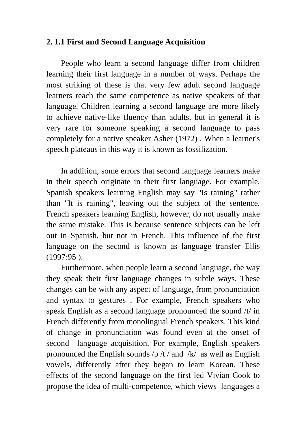#### **2. 1.1 First and Second Language Acquisition**

People who learn a second language differ from children learning their first language in a number of ways. Perhaps the most striking of these is that very few adult second language learners reach the same competence as native speakers of that language. Children learning a second language are more likely to achieve native-like fluency than adults, but in general it is very rare for someone speaking a second language to pass completely for a native speaker Asher (1972) . When a learner's speech plateaus in this way it is known as fossilization.

In addition, some errors that second language learners make in their speech originate in their first language. For example, Spanish speakers learning English may say "Is raining" rather than "It is raining", leaving out the subject of the sentence. French speakers learning English, however, do not usually make the same mistake. This is because sentence subjects can be left out in Spanish, but not in French. This influence of the first language on the second is known as language transfer Ellis (1997:95 ).

Furthermore, when people learn a second language, the way they speak their first language changes in subtle ways. These changes can be with any aspect of language, from pronunciation and syntax to gestures . For example, French speakers who speak English as a second language pronounced the sound /t/ in French differently from monolingual French speakers. This kind of change in pronunciation was found even at the onset of second language acquisition. For example, English speakers pronounced the English sounds  $/p /t /$  and  $/k /$  as well as English vowels, differently after they began to learn Korean. These effects of the second language on the first led Vivian Cook to propose the idea of multi-competence, which views languages a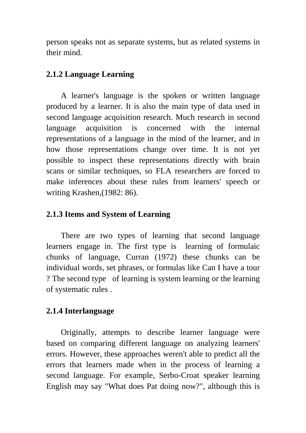person speaks not as separate systems, but as related systems in their mind.

#### **2.1.2 Language Learning**

A learner's language is the spoken or written language produced by a learner. It is also the main type of data used in second language acquisition research. Much research in second language acquisition is concerned with the internal representations of a language in the mind of the learner, and in how those representations change over time. It is not yet possible to inspect these representations directly with brain scans or similar techniques, so FLA researchers are forced to make inferences about these rules from learners' speech or writing Krashen,(1982: 86).

### **2.1.3 Items and System of Learning**

There are two types of learning that second language learners engage in. The first type is learning of formulaic chunks of language, Curran (1972) these chunks can be individual words, set phrases, or formulas like Can I have a tour ? The second type of learning is system learning or the learning of systematic rules .

### **2.1.4 Interlanguage**

Originally, attempts to describe learner language were based on comparing different language on analyzing learners' errors. However, these approaches weren't able to predict all the errors that learners made when in the process of learning a second language. For example, Serbo-Croat speaker learning English may say "What does Pat doing now?", although this is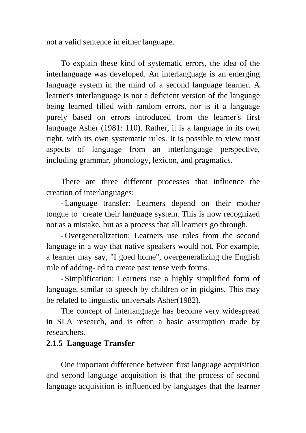not a valid sentence in either language.

To explain these kind of systematic errors, the idea of the interlanguage was developed. An interlanguage is an emerging language system in the mind of a second language learner. A learner's interlanguage is not a deficient version of the language being learned filled with random errors, nor is it a language purely based on errors introduced from the learner's first language Asher (1981: 110). Rather, it is a language in its own right, with its own systematic rules. It is possible to view most aspects of language from an interlanguage perspective, including grammar, phonology, lexicon, and pragmatics.

There are three different processes that influence the creation of interlanguages:

-Language transfer: Learners depend on their mother tongue to create their language system. This is now recognized not as a mistake, but as a process that all learners go through.

- Overgeneralization: Learners use rules from the second language in a way that native speakers would not. For example, a learner may say, "I goed home", overgeneralizing the English rule of adding- ed to create past tense verb forms.

- Simplification: Learners use a highly simplified form of language, similar to speech by children or in pidgins. This may be related to linguistic universals Asher(1982).

The concept of interlanguage has become very widespread in SLA research, and is often a basic assumption made by researchers.

#### **2.1.5 Language Transfer**

One important difference between first language acquisition and second language acquisition is that the process of second language acquisition is influenced by languages that the learner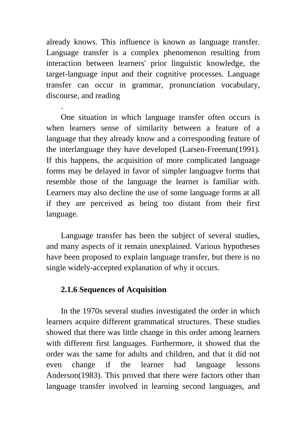already knows. This influence is known as language transfer. Language transfer is a complex phenomenon resulting from interaction between learners' prior linguistic knowledge, the target-language input and their cognitive processes. Language transfer can occur in grammar, pronunciation vocabulary, discourse, and reading

One situation in which language transfer often occurs is when learners sense of similarity between a feature of a language that they already know and a corresponding feature of the interlanguage they have developed (Larsen-Freeman(1991). If this happens, the acquisition of more complicated language forms may be delayed in favor of simpler languagve forms that resemble those of the language the learner is familiar with. Learners may also decline the use of some language forms at all if they are perceived as being too distant from their first language.

Language transfer has been the subject of several studies, and many aspects of it remain unexplained. Various hypotheses have been proposed to explain language transfer, but there is no single widely-accepted explanation of why it occurs.

#### **2.1.6 Sequences of Acquisition**

.

In the 1970s several studies investigated the order in which learners acquire different grammatical structures. These studies showed that there was little change in this order among learners with different first languages. Furthermore, it showed that the order was the same for adults and children, and that it did not even change if the learner had language lessons Anderson(1983). This proved that there were factors other than language transfer involved in learning second languages, and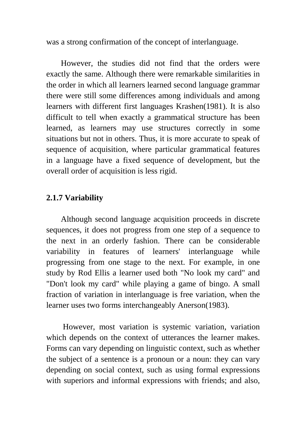was a strong confirmation of the concept of interlanguage.

However, the studies did not find that the orders were exactly the same. Although there were remarkable similarities in the order in which all learners learned second language grammar there were still some differences among individuals and among learners with different first languages Krashen(1981). It is also difficult to tell when exactly a grammatical structure has been learned, as learners may use structures correctly in some situations but not in others. Thus, it is more accurate to speak of sequence of acquisition, where particular grammatical features in a language have a fixed sequence of development, but the overall order of acquisition is less rigid.

#### **2.1.7 Variability**

Although second language acquisition proceeds in discrete sequences, it does not progress from one step of a sequence to the next in an orderly fashion. There can be considerable variability in features of learners' interlanguage while progressing from one stage to the next. For example, in one study by Rod Ellis a learner used both "No look my card" and "Don't look my card" while playing a game of bingo. A small fraction of variation in interlanguage is free variation, when the learner uses two forms interchangeably Anerson(1983).

 However, most variation is systemic variation, variation which depends on the context of utterances the learner makes. Forms can vary depending on linguistic context, such as whether the subject of a sentence is a pronoun or a noun: they can vary depending on social context, such as using formal expressions with superiors and informal expressions with friends; and also,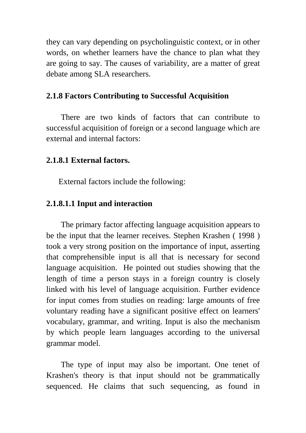they can vary depending on psycholinguistic context, or in other words, on whether learners have the chance to plan what they are going to say. The causes of variability, are a matter of great debate among SLA researchers.

#### **2.1.8 Factors Contributing to Successful Acquisition**

There are two kinds of factors that can contribute to successful acquisition of foreign or a second language which are external and internal factors:

#### **2.1.8.1 External factors.**

External factors include the following:

#### **2.1.8.1.1 Input and interaction**

The primary factor affecting language acquisition appears to be the input that the learner receives. Stephen Krashen ( 1998 ) took a very strong position on the importance of input, asserting that comprehensible input is all that is necessary for second language acquisition. He pointed out studies showing that the length of time a person stays in a foreign country is closely linked with his level of language acquisition. Further evidence for input comes from studies on reading: large amounts of free voluntary reading have a significant positive effect on learners' vocabulary, grammar, and writing. Input is also the mechanism by which people learn languages according to the universal grammar model.

The type of input may also be important. One tenet of Krashen's theory is that input should not be grammatically sequenced. He claims that such sequencing, as found in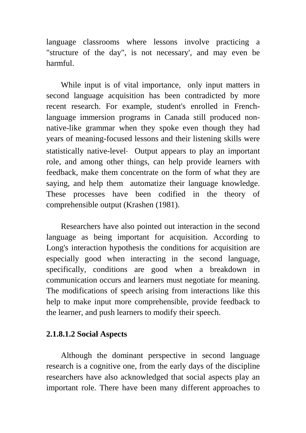language classrooms where lessons involve practicing a "structure of the day", is not necessary', and may even be harmful.

While input is of vital importance, only input matters in second language acquisition has been contradicted by more recent research. For example, student's enrolled in Frenchlanguage immersion programs in Canada still produced nonnative-like grammar when they spoke even though they had years of meaning-focused lessons and their listening skills were statistically native-level. Output appears to play an important role, and among other things, can help provide learners with feedback, make them concentrate on the form of what they are saying, and help them automatize their language knowledge. These processes have been codified in the theory of comprehensible output (Krashen (1981).

Researchers have also pointed out interaction in the second language as being important for acquisition. According to Long's interaction hypothesis the conditions for acquisition are especially good when interacting in the second language, specifically, conditions are good when a breakdown in communication occurs and learners must negotiate for meaning. The modifications of speech arising from interactions like this help to make input more comprehensible, provide feedback to the learner, and push learners to modify their speech.

#### **2.1.8.1.2 Social Aspects**

Although the dominant perspective in second language research is a cognitive one, from the early days of the discipline researchers have also acknowledged that social aspects play an important role. There have been many different approaches to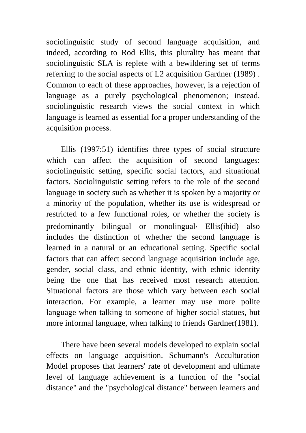sociolinguistic study of second language acquisition, and indeed, according to Rod Ellis, this plurality has meant that sociolinguistic SLA is replete with a bewildering set of terms referring to the social aspects of L2 acquisition Gardner (1989) . Common to each of these approaches, however, is a rejection of language as a purely psychological phenomenon; instead, sociolinguistic research views the social context in which language is learned as essential for a proper understanding of the acquisition process.

Ellis (1997:51) identifies three types of social structure which can affect the acquisition of second languages: sociolinguistic setting, specific social factors, and situational factors. Sociolinguistic setting refers to the role of the second language in society such as whether it is spoken by a majority or a minority of the population, whether its use is widespread or restricted to a few functional roles, or whether the society is predominantly bilingual or monolingual. Ellis(ibid) also includes the distinction of whether the second language is learned in a natural or an educational setting. Specific social factors that can affect second language acquisition include age, gender, social class, and ethnic identity, with ethnic identity being the one that has received most research attention. Situational factors are those which vary between each social interaction. For example, a learner may use more polite language when talking to someone of higher social statues, but more informal language, when talking to friends Gardner(1981).

There have been several models developed to explain social effects on language acquisition. Schumann's Acculturation Model proposes that learners' rate of development and ultimate level of language achievement is a function of the "social distance" and the "psychological distance" between learners and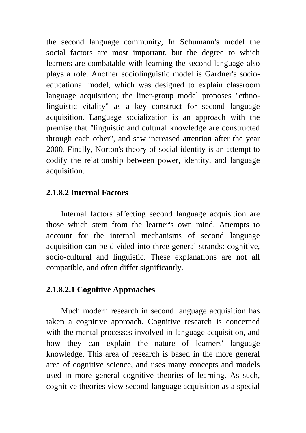the second language community, In Schumann's model the social factors are most important, but the degree to which learners are combatable with learning the second language also plays a role. Another sociolinguistic model is Gardner's socioeducational model, which was designed to explain classroom language acquisition; the liner-group model proposes "ethnolinguistic vitality" as a key construct for second language acquisition. Language socialization is an approach with the premise that "linguistic and cultural knowledge are constructed through each other", and saw increased attention after the year 2000. Finally, Norton's theory of social identity is an attempt to codify the relationship between power, identity, and language acquisition.

#### **2.1.8.2 Internal Factors**

Internal factors affecting second language acquisition are those which stem from the learner's own mind. Attempts to account for the internal mechanisms of second language acquisition can be divided into three general strands: cognitive, socio-cultural and linguistic. These explanations are not all compatible, and often differ significantly.

#### **2.1.8.2.1 Cognitive Approaches**

Much modern research in second language acquisition has taken a cognitive approach. Cognitive research is concerned with the mental processes involved in language acquisition, and how they can explain the nature of learners' language knowledge. This area of research is based in the more general area of cognitive science, and uses many concepts and models used in more general cognitive theories of learning. As such, cognitive theories view second-language acquisition as a special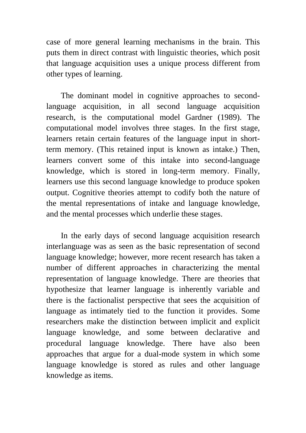case of more general learning mechanisms in the brain. This puts them in direct contrast with linguistic theories, which posit that language acquisition uses a unique process different from other types of learning.

The dominant model in cognitive approaches to secondlanguage acquisition, in all second language acquisition research, is the computational model Gardner (1989). The computational model involves three stages. In the first stage, learners retain certain features of the language input in shortterm memory. (This retained input is known as intake.) Then, learners convert some of this intake into second-language knowledge, which is stored in long-term memory. Finally, learners use this second language knowledge to produce spoken output. Cognitive theories attempt to codify both the nature of the mental representations of intake and language knowledge, and the mental processes which underlie these stages.

In the early days of second language acquisition research interlanguage was as seen as the basic representation of second language knowledge; however, more recent research has taken a number of different approaches in characterizing the mental representation of language knowledge. There are theories that hypothesize that learner language is inherently variable and there is the factionalist perspective that sees the acquisition of language as intimately tied to the function it provides. Some researchers make the distinction between implicit and explicit language knowledge, and some between declarative and procedural language knowledge. There have also been approaches that argue for a dual-mode system in which some language knowledge is stored as rules and other language knowledge as items.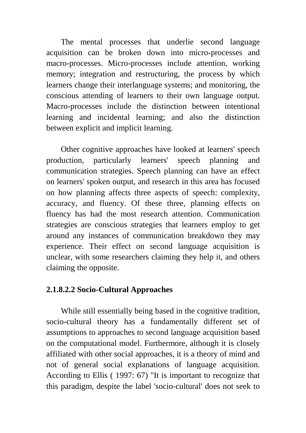The mental processes that underlie second language acquisition can be broken down into micro-processes and macro-processes. Micro-processes include attention, working memory; integration and restructuring, the process by which learners change their interlanguage systems; and monitoring, the conscious attending of learners to their own language output. Macro-processes include the distinction between intentional learning and incidental learning; and also the distinction between explicit and implicit learning.

Other cognitive approaches have looked at learners' speech production, particularly learners' speech planning and communication strategies. Speech planning can have an effect on learners' spoken output, and research in this area has focused on how planning affects three aspects of speech: complexity, accuracy, and fluency. Of these three, planning effects on fluency has had the most research attention. Communication strategies are conscious strategies that learners employ to get around any instances of communication breakdown they may experience. Their effect on second language acquisition is unclear, with some researchers claiming they help it, and others claiming the opposite.

### **2.1.8.2.2 Socio-Cultural Approaches**

While still essentially being based in the cognitive tradition, socio-cultural theory has a fundamentally different set of assumptions to approaches to second language acquisition based on the computational model. Furthermore, although it is closely affiliated with other social approaches, it is a theory of mind and not of general social explanations of language acquisition. According to Ellis ( 1997: 67) "It is important to recognize that this paradigm, despite the label 'socio-cultural' does not seek to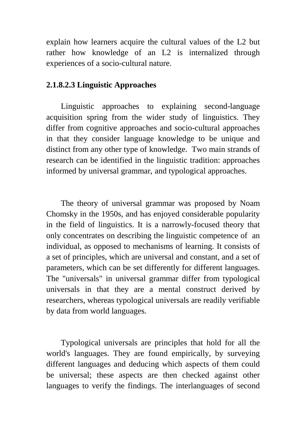explain how learners acquire the cultural values of the L2 but rather how knowledge of an L2 is internalized through experiences of a socio-cultural nature.

#### **2.1.8.2.3 Linguistic Approaches**

Linguistic approaches to explaining second-language acquisition spring from the wider study of linguistics. They differ from cognitive approaches and socio-cultural approaches in that they consider language knowledge to be unique and distinct from any other type of knowledge. Two main strands of research can be identified in the linguistic tradition: approaches informed by universal grammar, and typological approaches.

The theory of universal grammar was proposed by Noam Chomsky in the 1950s, and has enjoyed considerable popularity in the field of linguistics. It is a narrowly-focused theory that only concentrates on describing the linguistic competence of an individual, as opposed to mechanisms of learning. It consists of a set of principles, which are universal and constant, and a set of parameters, which can be set differently for different languages. The "universals" in universal grammar differ from typological universals in that they are a mental construct derived by researchers, whereas typological universals are readily verifiable by data from world languages.

Typological universals are principles that hold for all the world's languages. They are found empirically, by surveying different languages and deducing which aspects of them could be universal; these aspects are then checked against other languages to verify the findings. The interlanguages of second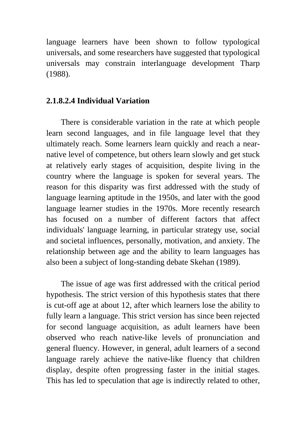language learners have been shown to follow typological universals, and some researchers have suggested that typological universals may constrain interlanguage development Tharp (1988).

#### **2.1.8.2.4 Individual Variation**

There is considerable variation in the rate at which people learn second languages, and in file language level that they ultimately reach. Some learners learn quickly and reach a nearnative level of competence, but others learn slowly and get stuck at relatively early stages of acquisition, despite living in the country where the language is spoken for several years. The reason for this disparity was first addressed with the study of language learning aptitude in the 1950s, and later with the good language learner studies in the 1970s. More recently research has focused on a number of different factors that affect individuals' language learning, in particular strategy use, social and societal influences, personally, motivation, and anxiety. The relationship between age and the ability to learn languages has also been a subject of long-standing debate Skehan (1989).

The issue of age was first addressed with the critical period hypothesis. The strict version of this hypothesis states that there is cut-off age at about 12, after which learners lose the ability to fully learn a language. This strict version has since been rejected for second language acquisition, as adult learners have been observed who reach native-like levels of pronunciation and general fluency. However, in general, adult learners of a second language rarely achieve the native-like fluency that children display, despite often progressing faster in the initial stages. This has led to speculation that age is indirectly related to other,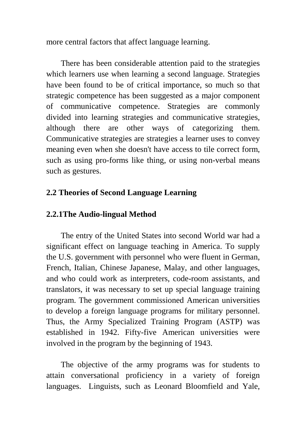more central factors that affect language learning.

There has been considerable attention paid to the strategies which learners use when learning a second language. Strategies have been found to be of critical importance, so much so that strategic competence has been suggested as a major component of communicative competence. Strategies are commonly divided into learning strategies and communicative strategies, although there are other ways of categorizing them. Communicative strategies are strategies a learner uses to convey meaning even when she doesn't have access to tile correct form, such as using pro-forms like thing, or using non-verbal means such as gestures.

### **2.2 Theories of Second Language Learning**

## **2.2.1The Audio-lingual Method**

The entry of the United States into second World war had a significant effect on language teaching in America. To supply the U.S. government with personnel who were fluent in German, French, Italian, Chinese Japanese, Malay, and other languages, and who could work as interpreters, code-room assistants, and translators, it was necessary to set up special language training program. The government commissioned American universities to develop a foreign language programs for military personnel. Thus, the Army Specialized Training Program (ASTP) was established in 1942. Fifty-five American universities were involved in the program by the beginning of 1943.

The objective of the army programs was for students to attain conversational proficiency in a variety of foreign languages. Linguists, such as Leonard Bloomfield and Yale,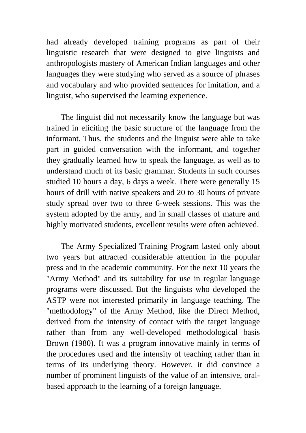had already developed training programs as part of their linguistic research that were designed to give linguists and anthropologists mastery of American Indian languages and other languages they were studying who served as a source of phrases and vocabulary and who provided sentences for imitation, and a linguist, who supervised the learning experience.

The linguist did not necessarily know the language but was trained in eliciting the basic structure of the language from the informant. Thus, the students and the linguist were able to take part in guided conversation with the informant, and together they gradually learned how to speak the language, as well as to understand much of its basic grammar. Students in such courses studied 10 hours a day, 6 days a week. There were generally 15 hours of drill with native speakers and 20 to 30 hours of private study spread over two to three 6-week sessions. This was the system adopted by the army, and in small classes of mature and highly motivated students, excellent results were often achieved.

The Army Specialized Training Program lasted only about two years but attracted considerable attention in the popular press and in the academic community. For the next 10 years the "Army Method" and its suitability for use in regular language programs were discussed. But the linguists who developed the ASTP were not interested primarily in language teaching. The "methodology" of the Army Method, like the Direct Method, derived from the intensity of contact with the target language rather than from any well-developed methodological basis Brown (1980). It was a program innovative mainly in terms of the procedures used and the intensity of teaching rather than in terms of its underlying theory. However, it did convince a number of prominent linguists of the value of an intensive, oralbased approach to the learning of a foreign language.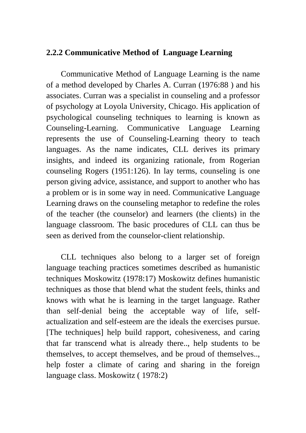### **2.2.2 Communicative Method of Language Learning**

Communicative Method of Language Learning is the name of a method developed by Charles A. Curran (1976:88 ) and his associates. Curran was a specialist in counseling and a professor of psychology at Loyola University, Chicago. His application of psychological counseling techniques to learning is known as Counseling-Learning. Communicative Language Learning represents the use of Counseling-Learning theory to teach languages. As the name indicates, CLL derives its primary insights, and indeed its organizing rationale, from Rogerian counseling Rogers (1951:126). In lay terms, counseling is one person giving advice, assistance, and support to another who has a problem or is in some way in need. Communicative Language Learning draws on the counseling metaphor to redefine the roles of the teacher (the counselor) and learners (the clients) in the language classroom. The basic procedures of CLL can thus be seen as derived from the counselor-client relationship.

CLL techniques also belong to a larger set of foreign language teaching practices sometimes described as humanistic techniques Moskowitz (1978:17) Moskowitz defines humanistic techniques as those that blend what the student feels, thinks and knows with what he is learning in the target language. Rather than self-denial being the acceptable way of life, selfactualization and self-esteem are the ideals the exercises pursue. [The techniques] help build rapport, cohesiveness, and caring that far transcend what is already there.., help students to be themselves, to accept themselves, and be proud of themselves.., help foster a climate of caring and sharing in the foreign language class. Moskowitz ( 1978:2)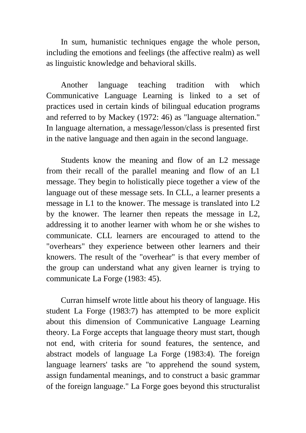In sum, humanistic techniques engage the whole person, including the emotions and feelings (the affective realm) as well as linguistic knowledge and behavioral skills.

Another language teaching tradition with which Communicative Language Learning is linked to a set of practices used in certain kinds of bilingual education programs and referred to by Mackey (1972: 46) as "language alternation." In language alternation, a message/lesson/class is presented first in the native language and then again in the second language.

Students know the meaning and flow of an L2 message from their recall of the parallel meaning and flow of an L1 message. They begin to holistically piece together a view of the language out of these message sets. In CLL, a learner presents a message in L1 to the knower. The message is translated into L2 by the knower. The learner then repeats the message in L2, addressing it to another learner with whom he or she wishes to communicate. CLL learners are encouraged to attend to the "overhears" they experience between other learners and their knowers. The result of the "overhear" is that every member of the group can understand what any given learner is trying to communicate La Forge (1983: 45).

Curran himself wrote little about his theory of language. His student La Forge (1983:7) has attempted to be more explicit about this dimension of Communicative Language Learning theory. La Forge accepts that language theory must start, though not end, with criteria for sound features, the sentence, and abstract models of language La Forge (1983:4). The foreign language learners' tasks are "to apprehend the sound system, assign fundamental meanings, and to construct a basic grammar of the foreign language." La Forge goes beyond this structuralist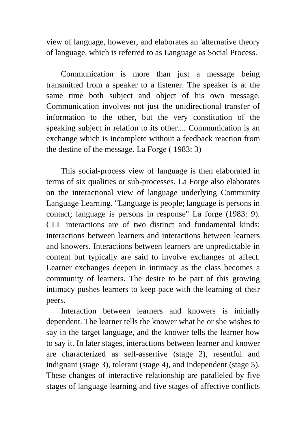view of language, however, and elaborates an 'alternative theory of language, which is referred to as Language as Social Process.

Communication is more than just a message being transmitted from a speaker to a listener. The speaker is at the same time both subject and object of his own message. Communication involves not just the unidirectional transfer of information to the other, but the very constitution of the speaking subject in relation to its other.... Communication is an exchange which is incomplete without a feedback reaction from the destine of the message. La Forge ( 1983: 3)

This social-process view of language is then elaborated in terms of six qualities or sub-processes. La Forge also elaborates on the interactional view of language underlying Community Language Learning. "Language is people; language is persons in contact; language is persons in response" La forge (1983: 9). CLL interactions are of two distinct and fundamental kinds: interactions between learners and interactions between learners and knowers. Interactions between learners are unpredictable in content but typically are said to involve exchanges of affect. Learner exchanges deepen in intimacy as the class becomes a community of learners. The desire to be part of this growing intimacy pushes learners to keep pace with the learning of their peers.

Interaction between learners and knowers is initially dependent. The learner tells the knower what he or she wishes to say in the target language, and the knower tells the learner how to say it. In later stages, interactions between learner and knower are characterized as self-assertive (stage 2), resentful and indignant (stage 3), tolerant (stage 4), and independent (stage 5). These changes of interactive relationship are paralleled by five stages of language learning and five stages of affective conflicts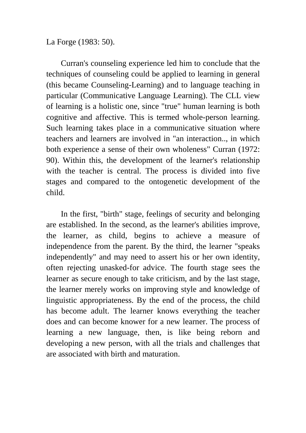La Forge (1983: 50).

Curran's counseling experience led him to conclude that the techniques of counseling could be applied to learning in general (this became Counseling-Learning) and to language teaching in particular (Communicative Language Learning). The CLL view of learning is a holistic one, since "true" human learning is both cognitive and affective. This is termed whole-person learning. Such learning takes place in a communicative situation where teachers and learners are involved in "an interaction.., in which both experience a sense of their own wholeness" Curran (1972: 90). Within this, the development of the learner's relationship with the teacher is central. The process is divided into five stages and compared to the ontogenetic development of the child.

In the first, "birth" stage, feelings of security and belonging are established. In the second, as the learner's abilities improve, the learner, as child, begins to achieve a measure of independence from the parent. By the third, the learner "speaks independently" and may need to assert his or her own identity, often rejecting unasked-for advice. The fourth stage sees the learner as secure enough to take criticism, and by the last stage, the learner merely works on improving style and knowledge of linguistic appropriateness. By the end of the process, the child has become adult. The learner knows everything the teacher does and can become knower for a new learner. The process of learning a new language, then, is like being reborn and developing a new person, with all the trials and challenges that are associated with birth and maturation.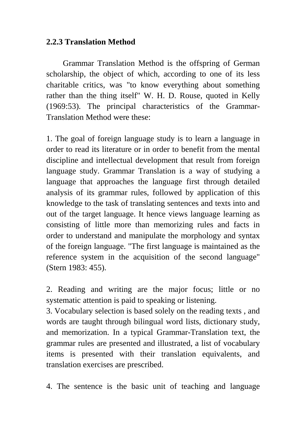### **2.2.3 Translation Method**

 Grammar Translation Method is the offspring of German scholarship, the object of which, according to one of its less charitable critics, was "to know everything about something rather than the thing itself" W. H. D. Rouse, quoted in Kelly (1969:53). The principal characteristics of the Grammar-Translation Method were these:

1. The goal of foreign language study is to learn a language in order to read its literature or in order to benefit from the mental discipline and intellectual development that result from foreign language study. Grammar Translation is a way of studying a language that approaches the language first through detailed analysis of its grammar rules, followed by application of this knowledge to the task of translating sentences and texts into and out of the target language. It hence views language learning as consisting of little more than memorizing rules and facts in order to understand and manipulate the morphology and syntax of the foreign language. "The first language is maintained as the reference system in the acquisition of the second language" (Stern 1983: 455).

2. Reading and writing are the major focus; little or no systematic attention is paid to speaking or listening.

3. Vocabulary selection is based solely on the reading texts , and words are taught through bilingual word lists, dictionary study, and memorization. In a typical Grammar-Translation text, the grammar rules are presented and illustrated, a list of vocabulary items is presented with their translation equivalents, and translation exercises are prescribed.

4. The sentence is the basic unit of teaching and language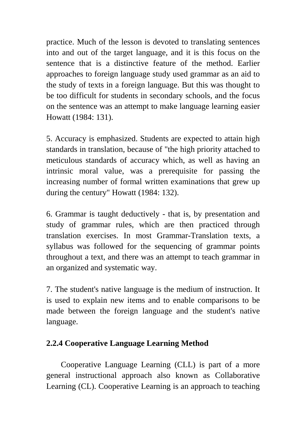practice. Much of the lesson is devoted to translating sentences into and out of the target language, and it is this focus on the sentence that is a distinctive feature of the method. Earlier approaches to foreign language study used grammar as an aid to the study of texts in a foreign language. But this was thought to be too difficult for students in secondary schools, and the focus on the sentence was an attempt to make language learning easier Howatt (1984: 131).

5. Accuracy is emphasized. Students are expected to attain high standards in translation, because of "the high priority attached to meticulous standards of accuracy which, as well as having an intrinsic moral value, was a prerequisite for passing the increasing number of formal written examinations that grew up during the century" Howatt (1984: 132).

6. Grammar is taught deductively - that is, by presentation and study of grammar rules, which are then practiced through translation exercises. In most Grammar-Translation texts, a syllabus was followed for the sequencing of grammar points throughout a text, and there was an attempt to teach grammar in an organized and systematic way.

7. The student's native language is the medium of instruction. It is used to explain new items and to enable comparisons to be made between the foreign language and the student's native language.

# **2.2.4 Cooperative Language Learning Method**

Cooperative Language Learning (CLL) is part of a more general instructional approach also known as Collaborative Learning (CL). Cooperative Learning is an approach to teaching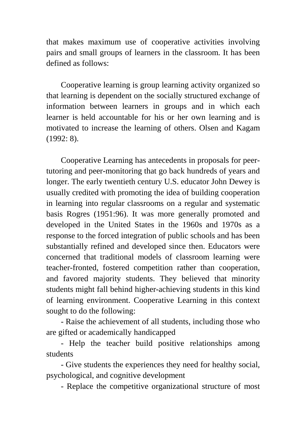that makes maximum use of cooperative activities involving pairs and small groups of learners in the classroom. It has been defined as follows:

Cooperative learning is group learning activity organized so that learning is dependent on the socially structured exchange of information between learners in groups and in which each learner is held accountable for his or her own learning and is motivated to increase the learning of others. Olsen and Kagam (1992: 8).

Cooperative Learning has antecedents in proposals for peertutoring and peer-monitoring that go back hundreds of years and longer. The early twentieth century U.S. educator John Dewey is usually credited with promoting the idea of building cooperation in learning into regular classrooms on a regular and systematic basis Rogres (1951:96). It was more generally promoted and developed in the United States in the 1960s and 1970s as a response to the forced integration of public schools and has been substantially refined and developed since then. Educators were concerned that traditional models of classroom learning were teacher-fronted, fostered competition rather than cooperation, and favored majority students. They believed that minority students might fall behind higher-achieving students in this kind of learning environment. Cooperative Learning in this context sought to do the following:

- Raise the achievement of all students, including those who are gifted or academically handicapped

- Help the teacher build positive relationships among students

- Give students the experiences they need for healthy social, psychological, and cognitive development

- Replace the competitive organizational structure of most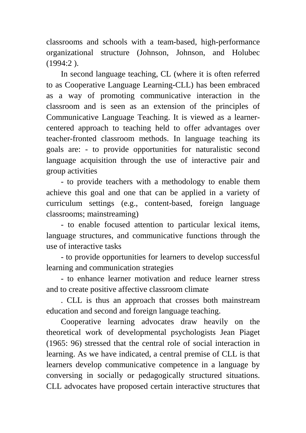classrooms and schools with a team-based, high-performance organizational structure (Johnson, Johnson, and Holubec (1994:2 ).

In second language teaching, CL (where it is often referred to as Cooperative Language Learning-CLL) has been embraced as a way of promoting communicative interaction in the classroom and is seen as an extension of the principles of Communicative Language Teaching. It is viewed as a learnercentered approach to teaching held to offer advantages over teacher-fronted classroom methods. In language teaching its goals are: - to provide opportunities for naturalistic second language acquisition through the use of interactive pair and group activities

- to provide teachers with a methodology to enable them achieve this goal and one that can be applied in a variety of curriculum settings (e.g., content-based, foreign language classrooms; mainstreaming)

- to enable focused attention to particular lexical items, language structures, and communicative functions through the use of interactive tasks

- to provide opportunities for learners to develop successful learning and communication strategies

- to enhance learner motivation and reduce learner stress and to create positive affective classroom climate

. CLL is thus an approach that crosses both mainstream education and second and foreign language teaching.

Cooperative learning advocates draw heavily on the theoretical work of developmental psychologists Jean Piaget (1965: 96) stressed that the central role of social interaction in learning. As we have indicated, a central premise of CLL is that learners develop communicative competence in a language by conversing in socially or pedagogically structured situations. CLL advocates have proposed certain interactive structures that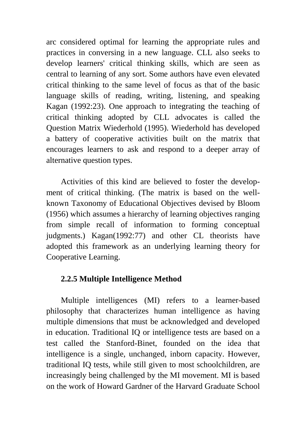arc considered optimal for learning the appropriate rules and practices in conversing in a new language. CLL also seeks to develop learners' critical thinking skills, which are seen as central to learning of any sort. Some authors have even elevated critical thinking to the same level of focus as that of the basic language skills of reading, writing, listening, and speaking Kagan (1992:23). One approach to integrating the teaching of critical thinking adopted by CLL advocates is called the Question Matrix Wiederhold (1995). Wiederhold has developed a battery of cooperative activities built on the matrix that encourages learners to ask and respond to a deeper array of alternative question types.

Activities of this kind are believed to foster the development of critical thinking. (The matrix is based on the wellknown Taxonomy of Educational Objectives devised by Bloom (1956) which assumes a hierarchy of learning objectives ranging from simple recall of information to forming conceptual judgments.) Kagan(1992:77) and other CL theorists have adopted this framework as an underlying learning theory for Cooperative Learning.

# **2.2.5 Multiple Intelligence Method**

Multiple intelligences (MI) refers to a learner-based philosophy that characterizes human intelligence as having multiple dimensions that must be acknowledged and developed in education. Traditional IQ or intelligence tests are based on a test called the Stanford-Binet, founded on the idea that intelligence is a single, unchanged, inborn capacity. However, traditional IQ tests, while still given to most schoolchildren, are increasingly being challenged by the MI movement. MI is based on the work of Howard Gardner of the Harvard Graduate School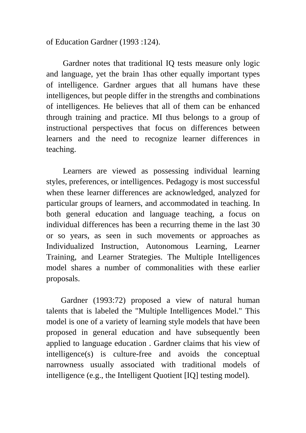of Education Gardner (1993 :124).

 Gardner notes that traditional IQ tests measure only logic and language, yet the brain 1has other equally important types of intelligence. Gardner argues that all humans have these intelligences, but people differ in the strengths and combinations of intelligences. He believes that all of them can be enhanced through training and practice. MI thus belongs to a group of instructional perspectives that focus on differences between learners and the need to recognize learner differences in teaching.

 Learners are viewed as possessing individual learning styles, preferences, or intelligences. Pedagogy is most successful when these learner differences are acknowledged, analyzed for particular groups of learners, and accommodated in teaching. In both general education and language teaching, a focus on individual differences has been a recurring theme in the last 30 or so years, as seen in such movements or approaches as Individualized Instruction, Autonomous Learning, Learner Training, and Learner Strategies. The Multiple Intelligences model shares a number of commonalities with these earlier proposals.

Gardner (1993:72) proposed a view of natural human talents that is labeled the "Multiple Intelligences Model." This model is one of a variety of learning style models that have been proposed in general education and have subsequently been applied to language education . Gardner claims that his view of intelligence(s) is culture-free and avoids the conceptual narrowness usually associated with traditional models of intelligence (e.g., the Intelligent Quotient [IQ] testing model).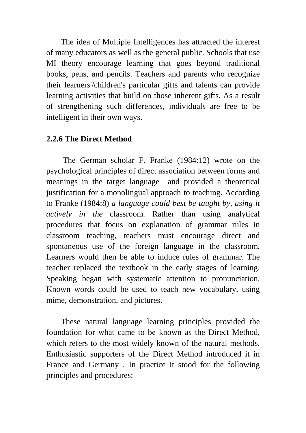The idea of Multiple Intelligences has attracted the interest of many educators as well as the general public. Schools that use MI theory encourage learning that goes beyond traditional books, pens, and pencils. Teachers and parents who recognize their learners'/children's particular gifts and talents can provide learning activities that build on those inherent gifts. As a result of strengthening such differences, individuals are free to be intelligent in their own ways.

## **2.2.6 The Direct Method**

 The German scholar F. Franke (1984:12) wrote on the psychological principles of direct association between forms and meanings in the target language and provided a theoretical justification for a monolingual approach to teaching. According to Franke (1984:8) *a language could best be taught by, using it actively in the* classroom. Rather than using analytical procedures that focus on explanation of grammar rules in classroom teaching, teachers must encourage direct and spontaneous use of the foreign language in the classroom. Learners would then be able to induce rules of grammar. The teacher replaced the textbook in the early stages of learning. Speaking began with systematic attention to pronunciation. Known words could be used to teach new vocabulary, using mime, demonstration, and pictures.

These natural language learning principles provided the foundation for what came to be known as the Direct Method, which refers to the most widely known of the natural methods. Enthusiastic supporters of the Direct Method introduced it in France and Germany . In practice it stood for the following principles and procedures: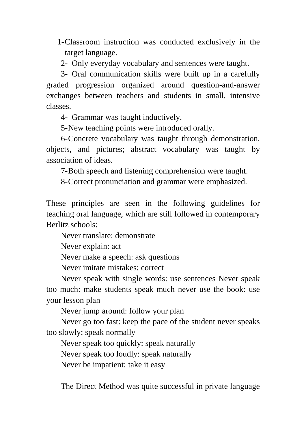1-Classroom instruction was conducted exclusively in the target language.

2- Only everyday vocabulary and sentences were taught.

3- Oral communication skills were built up in a carefully graded progression organized around question-and-answer exchanges between teachers and students in small, intensive classes.

4- Grammar was taught inductively.

5-New teaching points were introduced orally.

6-Concrete vocabulary was taught through demonstration, objects, and pictures; abstract vocabulary was taught by association of ideas.

7-Both speech and listening comprehension were taught.

8-Correct pronunciation and grammar were emphasized.

These principles are seen in the following guidelines for teaching oral language, which are still followed in contemporary Berlitz schools:

Never translate: demonstrate

Never explain: act

Never make a speech: ask questions

Never imitate mistakes: correct

Never speak with single words: use sentences Never speak too much: make students speak much never use the book: use your lesson plan

Never jump around: follow your plan

Never go too fast: keep the pace of the student never speaks too slowly: speak normally

Never speak too quickly: speak naturally

Never speak too loudly: speak naturally

Never be impatient: take it easy

The Direct Method was quite successful in private language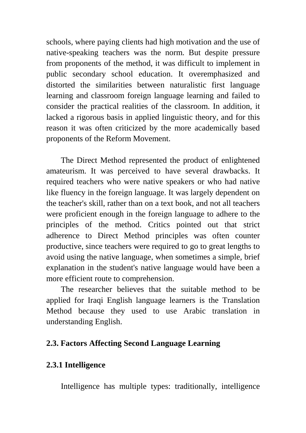schools, where paying clients had high motivation and the use of native-speaking teachers was the norm. But despite pressure from proponents of the method, it was difficult to implement in public secondary school education. It overemphasized and distorted the similarities between naturalistic first language learning and classroom foreign language learning and failed to consider the practical realities of the classroom. In addition, it lacked a rigorous basis in applied linguistic theory, and for this reason it was often criticized by the more academically based proponents of the Reform Movement.

The Direct Method represented the product of enlightened amateurism. It was perceived to have several drawbacks. It required teachers who were native speakers or who had native like fluency in the foreign language. It was largely dependent on the teacher's skill, rather than on a text book, and not all teachers were proficient enough in the foreign language to adhere to the principles of the method. Critics pointed out that strict adherence to Direct Method principles was often counter productive, since teachers were required to go to great lengths to avoid using the native language, when sometimes a simple, brief explanation in the student's native language would have been a more efficient route to comprehension.

The researcher believes that the suitable method to be applied for Iraqi English language learners is the Translation Method because they used to use Arabic translation in understanding English.

# **2.3. Factors Affecting Second Language Learning**

### **2.3.1 Intelligence**

Intelligence has multiple types: traditionally, intelligence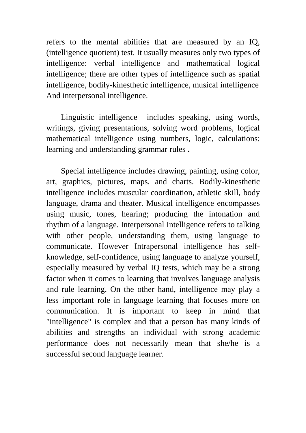refers to the mental abilities that are measured by an IQ, (intelligence quotient) test. It usually measures only two types of intelligence: verbal intelligence and mathematical logical intelligence; there are other types of intelligence such as spatial intelligence, bodily-kinesthetic intelligence, musical intelligence And interpersonal intelligence.

Linguistic intelligence includes speaking, using words, writings, giving presentations, solving word problems, logical mathematical intelligence using numbers, logic, calculations; learning and understanding grammar rules **.** 

Special intelligence includes drawing, painting, using color, art, graphics, pictures, maps, and charts. Bodily-kinesthetic intelligence includes muscular coordination, athletic skill, body language, drama and theater. Musical intelligence encompasses using music, tones, hearing; producing the intonation and rhythm of a language. Interpersonal Intelligence refers to talking with other people, understanding them, using language to communicate. However Intrapersonal intelligence has selfknowledge, self-confidence, using language to analyze yourself, especially measured by verbal IQ tests, which may be a strong factor when it comes to learning that involves language analysis and rule learning. On the other hand, intelligence may play a less important role in language learning that focuses more on communication. It is important to keep in mind that "intelligence" is complex and that a person has many kinds of abilities and strengths an individual with strong academic performance does not necessarily mean that she/he is a successful second language learner.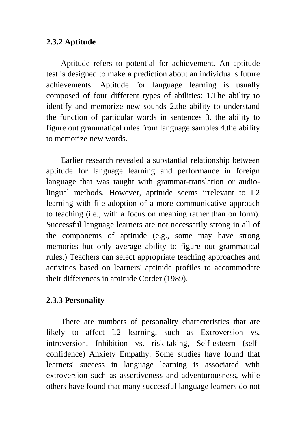# **2.3.2 Aptitude**

Aptitude refers to potential for achievement. An aptitude test is designed to make a prediction about an individual's future achievements. Aptitude for language learning is usually composed of four different types of abilities: 1.The ability to identify and memorize new sounds 2.the ability to understand the function of particular words in sentences 3. the ability to figure out grammatical rules from language samples 4.the ability to memorize new words.

Earlier research revealed a substantial relationship between aptitude for language learning and performance in foreign language that was taught with grammar-translation or audiolingual methods. However, aptitude seems irrelevant to L2 learning with file adoption of a more communicative approach to teaching (i.e., with a focus on meaning rather than on form). Successful language learners are not necessarily strong in all of the components of aptitude (e.g., some may have strong memories but only average ability to figure out grammatical rules.) Teachers can select appropriate teaching approaches and activities based on learners' aptitude profiles to accommodate their differences in aptitude Corder (1989).

# **2.3.3 Personality**

There are numbers of personality characteristics that are likely to affect L2 learning, such as Extroversion vs. introversion, Inhibition vs. risk-taking, Self-esteem (selfconfidence) Anxiety Empathy. Some studies have found that learners' success in language learning is associated with extroversion such as assertiveness and adventurousness, while others have found that many successful language learners do not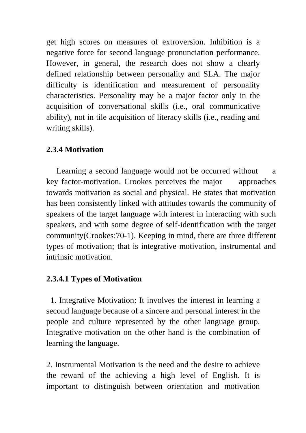get high scores on measures of extroversion. Inhibition is a negative force for second language pronunciation performance. However, in general, the research does not show a clearly defined relationship between personality and SLA. The major difficulty is identification and measurement of personality characteristics. Personality may be a major factor only in the acquisition of conversational skills (i.e., oral communicative ability), not in tile acquisition of literacy skills (i.e., reading and writing skills).

## **2.3.4 Motivation**

Learning a second language would not be occurred without a key factor-motivation. Crookes perceives the major approaches towards motivation as social and physical. He states that motivation has been consistently linked with attitudes towards the community of speakers of the target language with interest in interacting with such speakers, and with some degree of self-identification with the target community(Crookes:70-1). Keeping in mind, there are three different types of motivation; that is integrative motivation, instrumental and intrinsic motivation.

### **2.3.4.1 Types of Motivation**

 1. Integrative Motivation: It involves the interest in learning a second language because of a sincere and personal interest in the people and culture represented by the other language group. Integrative motivation on the other hand is the combination of learning the language.

2. Instrumental Motivation is the need and the desire to achieve the reward of the achieving a high level of English. It is important to distinguish between orientation and motivation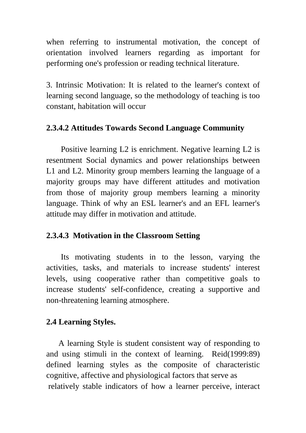when referring to instrumental motivation, the concept of orientation involved learners regarding as important for performing one's profession or reading technical literature.

3. Intrinsic Motivation: It is related to the learner's context of learning second language, so the methodology of teaching is too constant, habitation will occur

# **2.3.4.2 Attitudes Towards Second Language Community**

Positive learning L2 is enrichment. Negative learning L2 is resentment Social dynamics and power relationships between L1 and L2. Minority group members learning the language of a majority groups may have different attitudes and motivation from those of majority group members learning a minority language. Think of why an ESL learner's and an EFL learner's attitude may differ in motivation and attitude.

# **2.3.4.3 Motivation in the Classroom Setting**

Its motivating students in to the lesson, varying the activities, tasks, and materials to increase students' interest levels, using cooperative rather than competitive goals to increase students' self-confidence, creating a supportive and non-threatening learning atmosphere.

# **2.4 Learning Styles.**

A learning Style is student consistent way of responding to and using stimuli in the context of learning. Reid(1999:89) defined learning styles as the composite of characteristic cognitive, affective and physiological factors that serve as relatively stable indicators of how a learner perceive, interact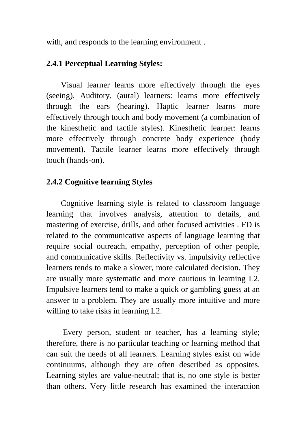with, and responds to the learning environment.

## **2.4.1 Perceptual Learning Styles:**

Visual learner learns more effectively through the eyes (seeing), Auditory, (aural) learners: learns more effectively through the ears (hearing). Haptic learner learns more effectively through touch and body movement (a combination of the kinesthetic and tactile styles). Kinesthetic learner: learns more effectively through concrete body experience (body movement). Tactile learner learns more effectively through touch (hands-on).

## **2.4.2 Cognitive learning Styles**

Cognitive learning style is related to classroom language learning that involves analysis, attention to details, and mastering of exercise, drills, and other focused activities . FD is related to the communicative aspects of language learning that require social outreach, empathy, perception of other people, and communicative skills. Reflectivity vs. impulsivity reflective learners tends to make a slower, more calculated decision. They are usually more systematic and more cautious in learning L2. Impulsive learners tend to make a quick or gambling guess at an answer to a problem. They are usually more intuitive and more willing to take risks in learning L2.

 Every person, student or teacher, has a learning style; therefore, there is no particular teaching or learning method that can suit the needs of all learners. Learning styles exist on wide continuums, although they are often described as opposites. Learning styles are value-neutral; that is, no one style is better than others. Very little research has examined the interaction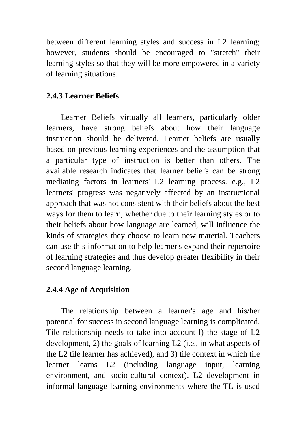between different learning styles and success in L2 learning; however, students should be encouraged to "stretch" their learning styles so that they will be more empowered in a variety of learning situations.

# **2.4.3 Learner Beliefs**

Learner Beliefs virtually all learners, particularly older learners, have strong beliefs about how their language instruction should be delivered. Learner beliefs are usually based on previous learning experiences and the assumption that a particular type of instruction is better than others. The available research indicates that learner beliefs can be strong mediating factors in learners' L2 learning process. e.g., L2 learners' progress was negatively affected by an instructional approach that was not consistent with their beliefs about the best ways for them to learn, whether due to their learning styles or to their beliefs about how language are learned, will influence the kinds of strategies they choose to learn new material. Teachers can use this information to help learner's expand their repertoire of learning strategies and thus develop greater flexibility in their second language learning.

# **2.4.4 Age of Acquisition**

The relationship between a learner's age and his/her potential for success in second language learning is complicated. Tile relationship needs to take into account l) the stage of L2 development, 2) the goals of learning L2 (i.e., in what aspects of the L2 tile learner has achieved), and 3) tile context in which tile learner learns L2 (including language input, learning environment, and socio-cultural context). L2 development in informal language learning environments where the TL is used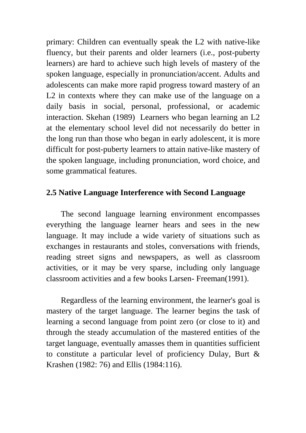primary: Children can eventually speak the L2 with native-like fluency, but their parents and older learners (i.e., post-puberty learners) are hard to achieve such high levels of mastery of the spoken language, especially in pronunciation/accent. Adults and adolescents can make more rapid progress toward mastery of an L<sub>2</sub> in contexts where they can make use of the language on a daily basis in social, personal, professional, or academic interaction. Skehan (1989) Learners who began learning an L2 at the elementary school level did not necessarily do better in the long run than those who began in early adolescent, it is more difficult for post-puberty learners to attain native-like mastery of the spoken language, including pronunciation, word choice, and some grammatical features.

## **2.5 Native Language Interference with Second Language**

The second language learning environment encompasses everything the language learner hears and sees in the new language. It may include a wide variety of situations such as exchanges in restaurants and stoles, conversations with friends, reading street signs and newspapers, as well as classroom activities, or it may be very sparse, including only language classroom activities and a few books Larsen- Freeman(1991).

Regardless of the learning environment, the learner's goal is mastery of the target language. The learner begins the task of learning a second language from point zero (or close to it) and through the steady accumulation of the mastered entities of the target language, eventually amasses them in quantities sufficient to constitute a particular level of proficiency Dulay, Burt & Krashen (1982: 76) and Ellis (1984:116).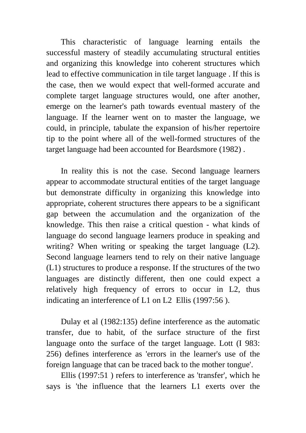This characteristic of language learning entails the successful mastery of steadily accumulating structural entities and organizing this knowledge into coherent structures which lead to effective communication in tile target language . If this is the case, then we would expect that well-formed accurate and complete target language structures would, one after another, emerge on the learner's path towards eventual mastery of the language. If the learner went on to master the language, we could, in principle, tabulate the expansion of his/her repertoire tip to the point where all of the well-formed structures of the target language had been accounted for Beardsmore (1982) .

In reality this is not the case. Second language learners appear to accommodate structural entities of the target language but demonstrate difficulty in organizing this knowledge into appropriate, coherent structures there appears to be a significant gap between the accumulation and the organization of the knowledge. This then raise a critical question - what kinds of language do second language learners produce in speaking and writing? When writing or speaking the target language (L2). Second language learners tend to rely on their native language (L1) structures to produce a response. If the structures of the two languages are distinctly different, then one could expect a relatively high frequency of errors to occur in L2, thus indicating an interference of L1 on L2 Ellis (1997:56 ).

Dulay et al (1982:135) define interference as the automatic transfer, due to habit, of the surface structure of the first language onto the surface of the target language. Lott (I 983: 256) defines interference as 'errors in the learner's use of the foreign language that can be traced back to the mother tongue'.

Ellis (1997:51 ) refers to interference as 'transfer', which he says is 'the influence that the learners L1 exerts over the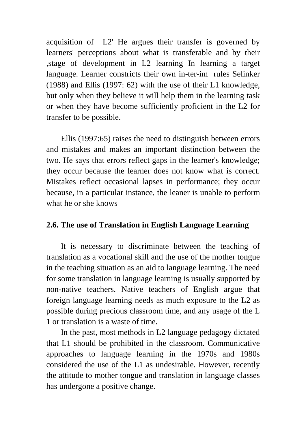acquisition of L2' He argues their transfer is governed by learners' perceptions about what is transferable and by their ,stage of development in L2 learning In learning a target language. Learner constricts their own in-ter-im rules Selinker (1988) and Ellis (1997: 62) with the use of their L1 knowledge, but only when they believe it will help them in the learning task or when they have become sufficiently proficient in the L2 for transfer to be possible.

Ellis (1997:65) raises the need to distinguish between errors and mistakes and makes an important distinction between the two. He says that errors reflect gaps in the learner's knowledge; they occur because the learner does not know what is correct. Mistakes reflect occasional lapses in performance; they occur because, in a particular instance, the leaner is unable to perform what he or she knows

# **2.6. The use of Translation in English Language Learning**

It is necessary to discriminate between the teaching of translation as a vocational skill and the use of the mother tongue in the teaching situation as an aid to language learning. The need for some translation in language learning is usually supported by non-native teachers. Native teachers of English argue that foreign language learning needs as much exposure to the L2 as possible during precious classroom time, and any usage of the L 1 or translation is a waste of time.

In the past, most methods in L2 language pedagogy dictated that L1 should be prohibited in the classroom. Communicative approaches to language learning in the 1970s and 1980s considered the use of the L1 as undesirable. However, recently the attitude to mother tongue and translation in language classes has undergone a positive change.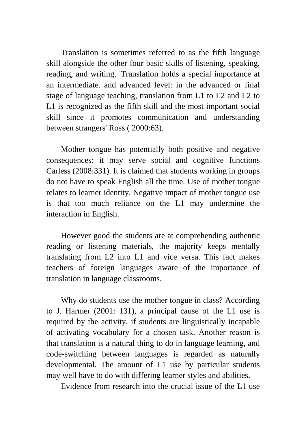Translation is sometimes referred to as the fifth language skill alongside the other four basic skills of listening, speaking, reading, and writing. 'Translation holds a special importance at an intermediate. and advanced level: in the advanced or final stage of language teaching, translation from L1 to L2 and L2 to L1 is recognized as the fifth skill and the most important social skill since it promotes communication and understanding between strangers' Ross ( 2000:63).

Mother tongue has potentially both positive and negative consequences: it may serve social and cognitive functions Carless (2008:331). It is claimed that students working in groups do not have to speak English all the time. Use of mother tongue relates to learner identity. Negative impact of mother tongue use is that too much reliance on the L1 may undermine the interaction in English.

However good the students are at comprehending authentic reading or listening materials, the majority keeps mentally translating from L2 into L1 and vice versa. This fact makes teachers of foreign languages aware of the importance of translation in language classrooms.

Why do students use the mother tongue in class? According to J. Harmer (2001: 131), a principal cause of the L1 use is required by the activity, if students are linguistically incapable of activating vocabulary for a chosen task. Another reason is that translation is a natural thing to do in language learning, and code-switching between languages is regarded as naturally developmental. The amount of L1 use by particular students may well have to do with differing learner styles and abilities.

Evidence from research into the crucial issue of the L1 use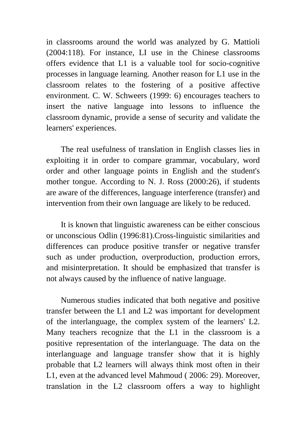in classrooms around the world was analyzed by G. Mattioli (2004:118). For instance, LI use in the Chinese classrooms offers evidence that L1 is a valuable tool for socio-cognitive processes in language learning. Another reason for L1 use in the classroom relates to the fostering of a positive affective environment. C. W. Schweers (1999: 6) encourages teachers to insert the native language into lessons to influence the classroom dynamic, provide a sense of security and validate the learners' experiences.

The real usefulness of translation in English classes lies in exploiting it in order to compare grammar, vocabulary, word order and other language points in English and the student's mother tongue. According to N. J. Ross (2000:26), if students are aware of the differences, language interference (transfer) and intervention from their own language are likely to be reduced.

It is known that linguistic awareness can be either conscious or unconscious Odlin (1996:81).Cross-linguistic similarities and differences can produce positive transfer or negative transfer such as under production, overproduction, production errors, and misinterpretation. It should be emphasized that transfer is not always caused by the influence of native language.

Numerous studies indicated that both negative and positive transfer between the L1 and L2 was important for development of the interlanguage, the complex system of the learners' L2. Many teachers recognize that the L1 in the classroom is a positive representation of the interlanguage. The data on the interlanguage and language transfer show that it is highly probable that L2 learners will always think most often in their L1, even at the advanced level Mahmoud ( 2006: 29). Moreover, translation in the L2 classroom offers a way to highlight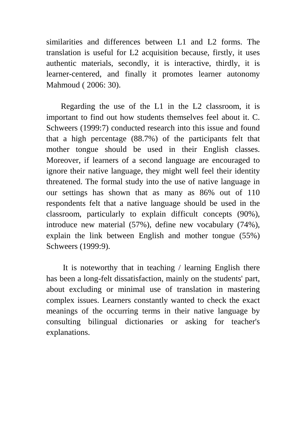similarities and differences between L1 and L2 forms. The translation is useful for L2 acquisition because, firstly, it uses authentic materials, secondly, it is interactive, thirdly, it is learner-centered, and finally it promotes learner autonomy Mahmoud ( 2006: 30).

Regarding the use of the L1 in the L2 classroom, it is important to find out how students themselves feel about it. C. Schweers (1999:7) conducted research into this issue and found that a high percentage (88.7%) of the participants felt that mother tongue should be used in their English classes. Moreover, if learners of a second language are encouraged to ignore their native language, they might well feel their identity threatened. The formal study into the use of native language in our settings has shown that as many as 86% out of 110 respondents felt that a native language should be used in the classroom, particularly to explain difficult concepts (90%), introduce new material (57%), define new vocabulary (74%), explain the link between English and mother tongue (55%) Schweers (1999:9).

 It is noteworthy that in teaching / learning English there has been a long-felt dissatisfaction, mainly on the students' part, about excluding or minimal use of translation in mastering complex issues. Learners constantly wanted to check the exact meanings of the occurring terms in their native language by consulting bilingual dictionaries or asking for teacher's explanations.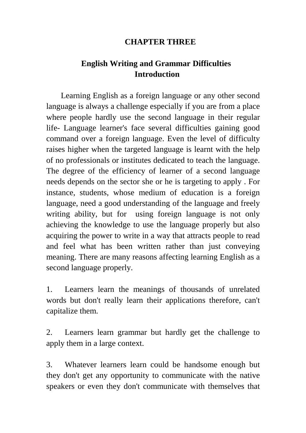### **CHAPTER THREE**

# **English Writing and Grammar Difficulties Introduction**

Learning English as a foreign language or any other second language is always a challenge especially if you are from a place where people hardly use the second language in their regular life- Language learner's face several difficulties gaining good command over a foreign language. Even the level of difficulty raises higher when the targeted language is learnt with the help of no professionals or institutes dedicated to teach the language. The degree of the efficiency of learner of a second language needs depends on the sector she or he is targeting to apply . For instance, students, whose medium of education is a foreign language, need a good understanding of the language and freely writing ability, but for using foreign language is not only achieving the knowledge to use the language properly but also acquiring the power to write in a way that attracts people to read and feel what has been written rather than just conveying meaning. There are many reasons affecting learning English as a second language properly.

1. Learners learn the meanings of thousands of unrelated words but don't really learn their applications therefore, can't capitalize them.

2. Learners learn grammar but hardly get the challenge to apply them in a large context.

3. Whatever learners learn could be handsome enough but they don't get any opportunity to communicate with the native speakers or even they don't communicate with themselves that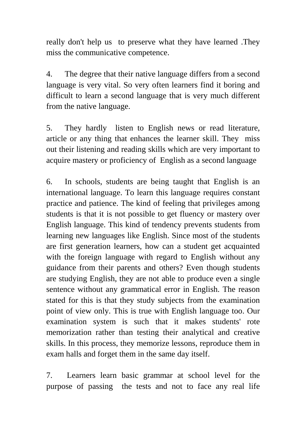really don't help us to preserve what they have learned .They miss the communicative competence.

4. The degree that their native language differs from a second language is very vital. So very often learners find it boring and difficult to learn a second language that is very much different from the native language.

5. They hardly listen to English news or read literature, article or any thing that enhances the learner skill. They miss out their listening and reading skills which are very important to acquire mastery or proficiency of English as a second language

6. In schools, students are being taught that English is an international language. To learn this language requires constant practice and patience. The kind of feeling that privileges among students is that it is not possible to get fluency or mastery over English language. This kind of tendency prevents students from learning new languages like English. Since most of the students are first generation learners, how can a student get acquainted with the foreign language with regard to English without any guidance from their parents and others? Even though students are studying English, they are not able to produce even a single sentence without any grammatical error in English. The reason stated for this is that they study subjects from the examination point of view only. This is true with English language too. Our examination system is such that it makes students' rote memorization rather than testing their analytical and creative skills. In this process, they memorize lessons, reproduce them in exam halls and forget them in the same day itself.

7. Learners learn basic grammar at school level for the purpose of passing the tests and not to face any real life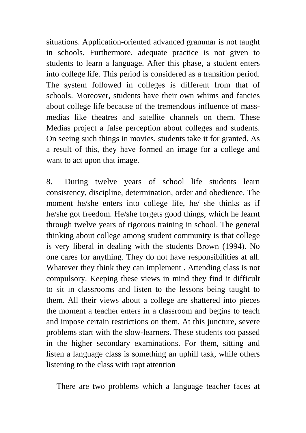situations. Application-oriented advanced grammar is not taught in schools. Furthermore, adequate practice is not given to students to learn a language. After this phase, a student enters into college life. This period is considered as a transition period. The system followed in colleges is different from that of schools. Moreover, students have their own whims and fancies about college life because of the tremendous influence of massmedias like theatres and satellite channels on them. These Medias project a false perception about colleges and students. On seeing such things in movies, students take it for granted. As a result of this, they have formed an image for a college and want to act upon that image.

8. During twelve years of school life students learn consistency, discipline, determination, order and obedience. The moment he/she enters into college life, he/ she thinks as if he/she got freedom. He/she forgets good things, which he learnt through twelve years of rigorous training in school. The general thinking about college among student community is that college is very liberal in dealing with the students Brown (1994). No one cares for anything. They do not have responsibilities at all. Whatever they think they can implement . Attending class is not compulsory. Keeping these views in mind they find it difficult to sit in classrooms and listen to the lessons being taught to them. All their views about a college are shattered into pieces the moment a teacher enters in a classroom and begins to teach and impose certain restrictions on them. At this juncture, severe problems start with the slow-learners. These students too passed in the higher secondary examinations. For them, sitting and listen a language class is something an uphill task, while others listening to the class with rapt attention

There are two problems which a language teacher faces at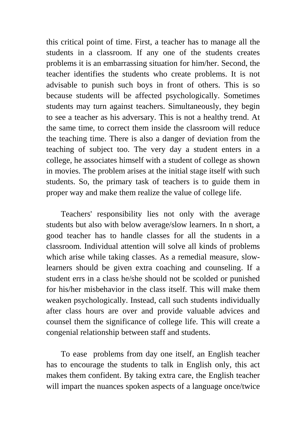this critical point of time. First, a teacher has to manage all the students in a classroom. If any one of the students creates problems it is an embarrassing situation for him/her. Second, the teacher identifies the students who create problems. It is not advisable to punish such boys in front of others. This is so because students will be affected psychologically. Sometimes students may turn against teachers. Simultaneously, they begin to see a teacher as his adversary. This is not a healthy trend. At the same time, to correct them inside the classroom will reduce the teaching time. There is also a danger of deviation from the teaching of subject too. The very day a student enters in a college, he associates himself with a student of college as shown in movies. The problem arises at the initial stage itself with such students. So, the primary task of teachers is to guide them in proper way and make them realize the value of college life.

Teachers' responsibility lies not only with the average students but also with below average/slow learners. In n short, a good teacher has to handle classes for all the students in a classroom. Individual attention will solve all kinds of problems which arise while taking classes. As a remedial measure, slowlearners should be given extra coaching and counseling. If a student errs in a class he/she should not be scolded or punished for his/her misbehavior in the class itself. This will make them weaken psychologically. Instead, call such students individually after class hours are over and provide valuable advices and counsel them the significance of college life. This will create a congenial relationship between staff and students.

To ease problems from day one itself, an English teacher has to encourage the students to talk in English only, this act makes them confident. By taking extra care, the English teacher will impart the nuances spoken aspects of a language once/twice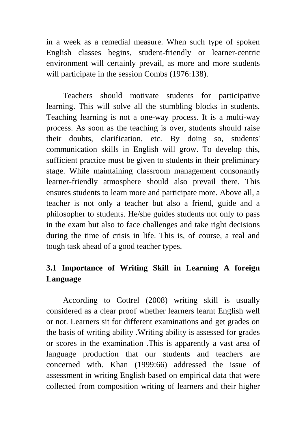in a week as a remedial measure. When such type of spoken English classes begins, student-friendly or learner-centric environment will certainly prevail, as more and more students will participate in the session Combs (1976:138).

 Teachers should motivate students for participative learning. This will solve all the stumbling blocks in students. Teaching learning is not a one-way process. It is a multi-way process. As soon as the teaching is over, students should raise their doubts, clarification, etc. By doing so, students' communication skills in English will grow. To develop this, sufficient practice must be given to students in their preliminary stage. While maintaining classroom management consonantly learner-friendly atmosphere should also prevail there. This ensures students to learn more and participate more. Above all, a teacher is not only a teacher but also a friend, guide and a philosopher to students. He/she guides students not only to pass in the exam but also to face challenges and take right decisions during the time of crisis in life. This is, of course, a real and tough task ahead of a good teacher types.

# **3.1 Importance of Writing Skill in Learning A foreign Language**

 According to Cottrel (2008) writing skill is usually considered as a clear proof whether learners learnt English well or not. Learners sit for different examinations and get grades on the basis of writing ability .Writing ability is assessed for grades or scores in the examination .This is apparently a vast area of language production that our students and teachers are concerned with. Khan (1999:66) addressed the issue of assessment in writing English based on empirical data that were collected from composition writing of learners and their higher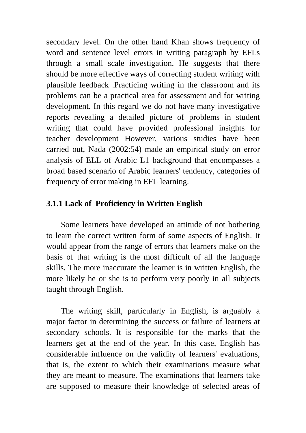secondary level. On the other hand Khan shows frequency of word and sentence level errors in writing paragraph by EFLs through a small scale investigation. He suggests that there should be more effective ways of correcting student writing with plausible feedback .Practicing writing in the classroom and its problems can be a practical area for assessment and for writing development. In this regard we do not have many investigative reports revealing a detailed picture of problems in student writing that could have provided professional insights for teacher development However, various studies have been carried out, Nada (2002:54) made an empirical study on error analysis of ELL of Arabic L1 background that encompasses a broad based scenario of Arabic learners' tendency, categories of frequency of error making in EFL learning.

# **3.1.1 Lack of Proficiency in Written English**

Some learners have developed an attitude of not bothering to learn the correct written form of some aspects of English. It would appear from the range of errors that learners make on the basis of that writing is the most difficult of all the language skills. The more inaccurate the learner is in written English, the more likely he or she is to perform very poorly in all subjects taught through English.

The writing skill, particularly in English, is arguably a major factor in determining the success or failure of learners at secondary schools. It is responsible for the marks that the learners get at the end of the year. In this case, English has considerable influence on the validity of learners' evaluations, that is, the extent to which their examinations measure what they are meant to measure. The examinations that learners take are supposed to measure their knowledge of selected areas of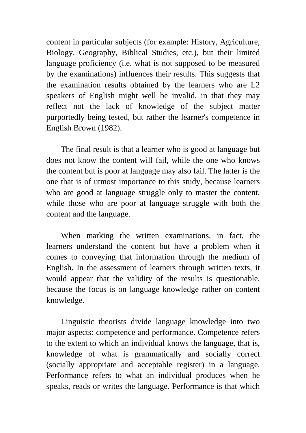content in particular subjects (for example: History, Agriculture, Biology, Geography, Biblical Studies, etc.), but their limited language proficiency (i.e. what is not supposed to be measured by the examinations) influences their results. This suggests that the examination results obtained by the learners who are L2 speakers of English might well be invalid, in that they may reflect not the lack of knowledge of the subject matter purportedly being tested, but rather the learner's competence in English Brown (1982).

The final result is that a learner who is good at language but does not know the content will fail, while the one who knows the content but is poor at language may also fail. The latter is the one that is of utmost importance to this study, because learners who are good at language struggle only to master the content, while those who are poor at language struggle with both the content and the language.

When marking the written examinations, in fact, the learners understand the content but have a problem when it comes to conveying that information through the medium of English. In the assessment of learners through written texts, it would appear that the validity of the results is questionable, because the focus is on language knowledge rather on content knowledge.

Linguistic theorists divide language knowledge into two major aspects: competence and performance. Competence refers to the extent to which an individual knows the language, that is, knowledge of what is grammatically and socially correct (socially appropriate and acceptable register) in a language. Performance refers to what an individual produces when he speaks, reads or writes the language. Performance is that which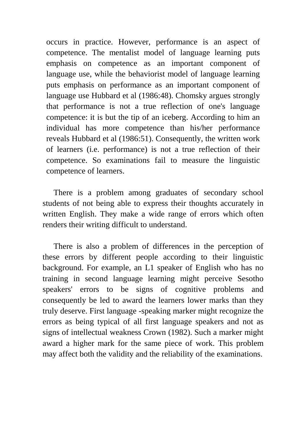occurs in practice. However, performance is an aspect of competence. The mentalist model of language learning puts emphasis on competence as an important component of language use, while the behaviorist model of language learning puts emphasis on performance as an important component of language use Hubbard et al (1986:48). Chomsky argues strongly that performance is not a true reflection of one's language competence: it is but the tip of an iceberg. According to him an individual has more competence than his/her performance reveals Hubbard et al (1986:51). Consequently, the written work of learners (i.e. performance) is not a true reflection of their competence. So examinations fail to measure the linguistic competence of learners.

There is a problem among graduates of secondary school students of not being able to express their thoughts accurately in written English. They make a wide range of errors which often renders their writing difficult to understand.

There is also a problem of differences in the perception of these errors by different people according to their linguistic background. For example, an L1 speaker of English who has no training in second language learning might perceive Sesotho speakers' errors to be signs of cognitive problems and consequently be led to award the learners lower marks than they truly deserve. First language -speaking marker might recognize the errors as being typical of all first language speakers and not as signs of intellectual weakness Crown (1982). Such a marker might award a higher mark for the same piece of work. This problem may affect both the validity and the reliability of the examinations.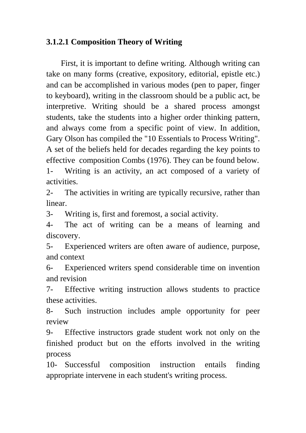# **3.1.2.1 Composition Theory of Writing**

First, it is important to define writing. Although writing can take on many forms (creative, expository, editorial, epistle etc.) and can be accomplished in various modes (pen to paper, finger to keyboard), writing in the classroom should be a public act, be interpretive. Writing should be a shared process amongst students, take the students into a higher order thinking pattern, and always come from a specific point of view. In addition, Gary Olson has compiled the "10 Essentials to Process Writing". A set of the beliefs held for decades regarding the key points to effective composition Combs (1976). They can be found below. 1- Writing is an activity, an act composed of a variety of activities.

2- The activities in writing are typically recursive, rather than linear.

3- Writing is, first and foremost, a social activity.

4- The act of writing can be a means of learning and discovery.

5- Experienced writers are often aware of audience, purpose, and context

6- Experienced writers spend considerable time on invention and revision

7- Effective writing instruction allows students to practice these activities.

8- Such instruction includes ample opportunity for peer review

9- Effective instructors grade student work not only on the finished product but on the efforts involved in the writing process

10- Successful composition instruction entails finding appropriate intervene in each student's writing process.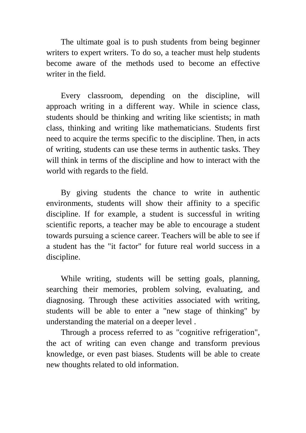The ultimate goal is to push students from being beginner writers to expert writers. To do so, a teacher must help students become aware of the methods used to become an effective writer in the field.

Every classroom, depending on the discipline, will approach writing in a different way. While in science class, students should be thinking and writing like scientists; in math class, thinking and writing like mathematicians. Students first need to acquire the terms specific to the discipline. Then, in acts of writing, students can use these terms in authentic tasks. They will think in terms of the discipline and how to interact with the world with regards to the field.

By giving students the chance to write in authentic environments, students will show their affinity to a specific discipline. If for example, a student is successful in writing scientific reports, a teacher may be able to encourage a student towards pursuing a science career. Teachers will be able to see if a student has the "it factor" for future real world success in a discipline.

While writing, students will be setting goals, planning, searching their memories, problem solving, evaluating, and diagnosing. Through these activities associated with writing, students will be able to enter a "new stage of thinking" by understanding the material on a deeper level .

Through a process referred to as "cognitive refrigeration", the act of writing can even change and transform previous knowledge, or even past biases. Students will be able to create new thoughts related to old information.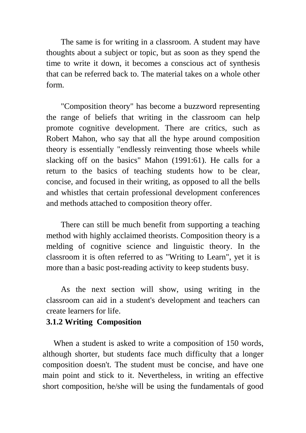The same is for writing in a classroom. A student may have thoughts about a subject or topic, but as soon as they spend the time to write it down, it becomes a conscious act of synthesis that can be referred back to. The material takes on a whole other form.

"Composition theory" has become a buzzword representing the range of beliefs that writing in the classroom can help promote cognitive development. There are critics, such as Robert Mahon, who say that all the hype around composition theory is essentially "endlessly reinventing those wheels while slacking off on the basics" Mahon (1991:61). He calls for a return to the basics of teaching students how to be clear, concise, and focused in their writing, as opposed to all the bells and whistles that certain professional development conferences and methods attached to composition theory offer.

There can still be much benefit from supporting a teaching method with highly acclaimed theorists. Composition theory is a melding of cognitive science and linguistic theory. In the classroom it is often referred to as "Writing to Learn", yet it is more than a basic post-reading activity to keep students busy.

As the next section will show, using writing in the classroom can aid in a student's development and teachers can create learners for life.

### **3.1.2 Writing Composition**

When a student is asked to write a composition of 150 words, although shorter, but students face much difficulty that a longer composition doesn't. The student must be concise, and have one main point and stick to it. Nevertheless, in writing an effective short composition, he/she will be using the fundamentals of good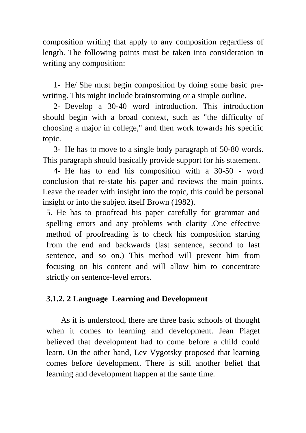composition writing that apply to any composition regardless of length. The following points must be taken into consideration in writing any composition:

1- He/ She must begin composition by doing some basic prewriting. This might include brainstorming or a simple outline.

2- Develop a 30-40 word introduction. This introduction should begin with a broad context, such as "the difficulty of choosing a major in college," and then work towards his specific topic.

3- He has to move to a single body paragraph of 50-80 words. This paragraph should basically provide support for his statement.

4- He has to end his composition with a 30-50 - word conclusion that re-state his paper and reviews the main points. Leave the reader with insight into the topic, this could be personal insight or into the subject itself Brown (1982).

5. He has to proofread his paper carefully for grammar and spelling errors and any problems with clarity .One effective method of proofreading is to check his composition starting from the end and backwards (last sentence, second to last sentence, and so on.) This method will prevent him from focusing on his content and will allow him to concentrate strictly on sentence-level errors.

# **3.1.2. 2 Language Learning and Development**

As it is understood, there are three basic schools of thought when it comes to learning and development. Jean Piaget believed that development had to come before a child could learn. On the other hand, Lev Vygotsky proposed that learning comes before development. There is still another belief that learning and development happen at the same time.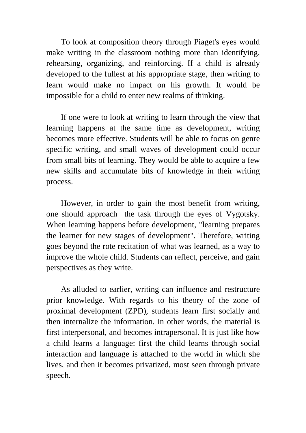To look at composition theory through Piaget's eyes would make writing in the classroom nothing more than identifying, rehearsing, organizing, and reinforcing. If a child is already developed to the fullest at his appropriate stage, then writing to learn would make no impact on his growth. It would be impossible for a child to enter new realms of thinking.

If one were to look at writing to learn through the view that learning happens at the same time as development, writing becomes more effective. Students will be able to focus on genre specific writing, and small waves of development could occur from small bits of learning. They would be able to acquire a few new skills and accumulate bits of knowledge in their writing process.

However, in order to gain the most benefit from writing, one should approach the task through the eyes of Vygotsky. When learning happens before development, "learning prepares the learner for new stages of development". Therefore, writing goes beyond the rote recitation of what was learned, as a way to improve the whole child. Students can reflect, perceive, and gain perspectives as they write.

As alluded to earlier, writing can influence and restructure prior knowledge. With regards to his theory of the zone of proximal development (ZPD), students learn first socially and then internalize the information. in other words, the material is first interpersonal, and becomes intrapersonal. It is just like how a child learns a language: first the child learns through social interaction and language is attached to the world in which she lives, and then it becomes privatized, most seen through private speech.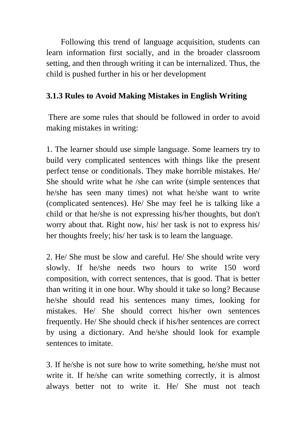Following this trend of language acquisition, students can learn information first socially, and in the broader classroom setting, and then through writing it can be internalized. Thus, the child is pushed further in his or her development

# **3.1.3 Rules to Avoid Making Mistakes in English Writing**

There are some rules that should be followed in order to avoid making mistakes in writing:

1. The learner should use simple language. Some learners try to build very complicated sentences with things like the present perfect tense or conditionals. They make horrible mistakes. He/ She should write what he /she can write (simple sentences that he/she has seen many times) not what he/she want to write (complicated sentences). He/ She may feel he is talking like a child or that he/she is not expressing his/her thoughts, but don't worry about that. Right now, his/ her task is not to express his/ her thoughts freely; his/ her task is to learn the language.

2. He/ She must be slow and careful. He/ She should write very slowly. If he/she needs two hours to write 150 word composition, with correct sentences, that is good. That is better than writing it in one hour. Why should it take so long? Because he/she should read his sentences many times, looking for mistakes. He/ She should correct his/her own sentences frequently. He/ She should check if his/her sentences are correct by using a dictionary. And he/she should look for example sentences to imitate.

3. If he/she is not sure how to write something, he/she must not write it. If he/she can write something correctly, it is almost always better not to write it. He/ She must not teach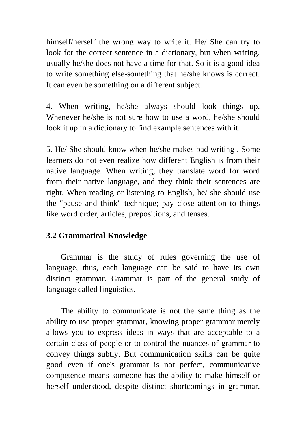himself/herself the wrong way to write it. He/ She can try to look for the correct sentence in a dictionary, but when writing, usually he/she does not have a time for that. So it is a good idea to write something else-something that he/she knows is correct. It can even be something on a different subject.

4. When writing, he/she always should look things up. Whenever he/she is not sure how to use a word, he/she should look it up in a dictionary to find example sentences with it.

5. He/ She should know when he/she makes bad writing . Some learners do not even realize how different English is from their native language. When writing, they translate word for word from their native language, and they think their sentences are right. When reading or listening to English, he/ she should use the "pause and think" technique; pay close attention to things like word order, articles, prepositions, and tenses.

# **3.2 Grammatical Knowledge**

Grammar is the study of rules governing the use of language, thus, each language can be said to have its own distinct grammar. Grammar is part of the general study of language called linguistics.

The ability to communicate is not the same thing as the ability to use proper grammar, knowing proper grammar merely allows you to express ideas in ways that are acceptable to a certain class of people or to control the nuances of grammar to convey things subtly. But communication skills can be quite good even if one's grammar is not perfect, communicative competence means someone has the ability to make himself or herself understood, despite distinct shortcomings in grammar.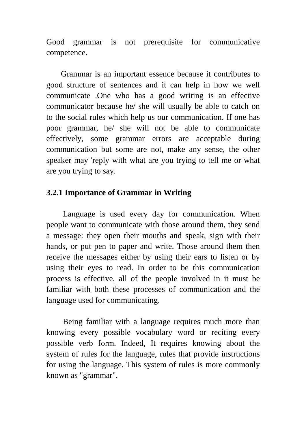Good grammar is not prerequisite for communicative competence.

Grammar is an important essence because it contributes to good structure of sentences and it can help in how we well communicate .One who has a good writing is an effective communicator because he/ she will usually be able to catch on to the social rules which help us our communication. If one has poor grammar, he/ she will not be able to communicate effectively, some grammar errors are acceptable during communication but some are not, make any sense, the other speaker may 'reply with what are you trying to tell me or what are you trying to say.

### **3.2.1 Importance of Grammar in Writing**

 Language is used every day for communication. When people want to communicate with those around them, they send a message: they open their mouths and speak, sign with their hands, or put pen to paper and write. Those around them then receive the messages either by using their ears to listen or by using their eyes to read. In order to be this communication process is effective, all of the people involved in it must be familiar with both these processes of communication and the language used for communicating.

 Being familiar with a language requires much more than knowing every possible vocabulary word or reciting every possible verb form. Indeed, It requires knowing about the system of rules for the language, rules that provide instructions for using the language. This system of rules is more commonly known as "grammar".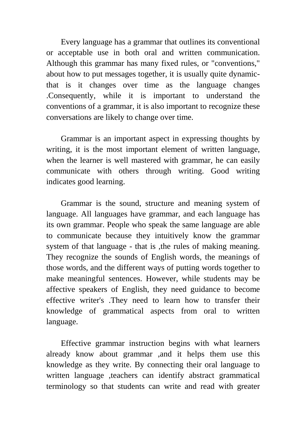Every language has a grammar that outlines its conventional or acceptable use in both oral and written communication. Although this grammar has many fixed rules, or "conventions," about how to put messages together, it is usually quite dynamicthat is it changes over time as the language changes .Consequently, while it is important to understand the conventions of a grammar, it is also important to recognize these conversations are likely to change over time.

Grammar is an important aspect in expressing thoughts by writing, it is the most important element of written language, when the learner is well mastered with grammar, he can easily communicate with others through writing. Good writing indicates good learning.

Grammar is the sound, structure and meaning system of language. All languages have grammar, and each language has its own grammar. People who speak the same language are able to communicate because they intuitively know the grammar system of that language - that is ,the rules of making meaning. They recognize the sounds of English words, the meanings of those words, and the different ways of putting words together to make meaningful sentences. However, while students may be affective speakers of English, they need guidance to become effective writer's .They need to learn how to transfer their knowledge of grammatical aspects from oral to written language.

Effective grammar instruction begins with what learners already know about grammar ,and it helps them use this knowledge as they write. By connecting their oral language to written language ,teachers can identify abstract grammatical terminology so that students can write and read with greater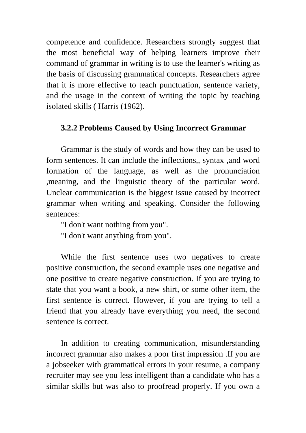competence and confidence. Researchers strongly suggest that the most beneficial way of helping learners improve their command of grammar in writing is to use the learner's writing as the basis of discussing grammatical concepts. Researchers agree that it is more effective to teach punctuation, sentence variety, and the usage in the context of writing the topic by teaching isolated skills ( Harris (1962).

### **3.2.2 Problems Caused by Using Incorrect Grammar**

Grammar is the study of words and how they can be used to form sentences. It can include the inflections,, syntax ,and word formation of the language, as well as the pronunciation ,meaning, and the linguistic theory of the particular word. Unclear communication is the biggest issue caused by incorrect grammar when writing and speaking. Consider the following sentences:

"I don't want nothing from you".

"I don't want anything from you".

While the first sentence uses two negatives to create positive construction, the second example uses one negative and one positive to create negative construction. If you are trying to state that you want a book, a new shirt, or some other item, the first sentence is correct. However, if you are trying to tell a friend that you already have everything you need, the second sentence is correct.

In addition to creating communication, misunderstanding incorrect grammar also makes a poor first impression .If you are a jobseeker with grammatical errors in your resume, a company recruiter may see you less intelligent than a candidate who has a similar skills but was also to proofread properly. If you own a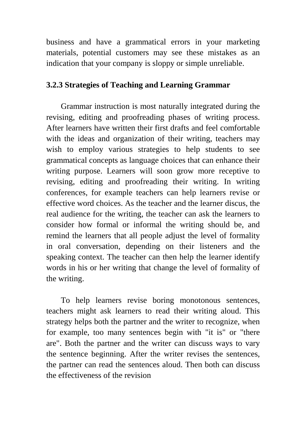business and have a grammatical errors in your marketing materials, potential customers may see these mistakes as an indication that your company is sloppy or simple unreliable.

## **3.2.3 Strategies of Teaching and Learning Grammar**

Grammar instruction is most naturally integrated during the revising, editing and proofreading phases of writing process. After learners have written their first drafts and feel comfortable with the ideas and organization of their writing, teachers may wish to employ various strategies to help students to see grammatical concepts as language choices that can enhance their writing purpose. Learners will soon grow more receptive to revising, editing and proofreading their writing. In writing conferences, for example teachers can help learners revise or effective word choices. As the teacher and the learner discus, the real audience for the writing, the teacher can ask the learners to consider how formal or informal the writing should be, and remind the learners that all people adjust the level of formality in oral conversation, depending on their listeners and the speaking context. The teacher can then help the learner identify words in his or her writing that change the level of formality of the writing.

To help learners revise boring monotonous sentences, teachers might ask learners to read their writing aloud. This strategy helps both the partner and the writer to recognize, when for example, too many sentences begin with "it is" or "there are". Both the partner and the writer can discuss ways to vary the sentence beginning. After the writer revises the sentences, the partner can read the sentences aloud. Then both can discuss the effectiveness of the revision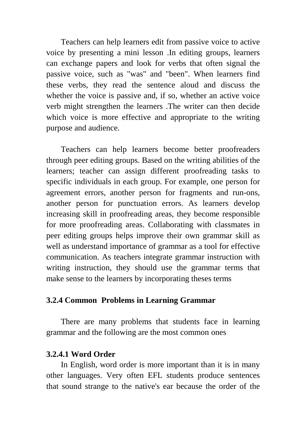Teachers can help learners edit from passive voice to active voice by presenting a mini lesson .In editing groups, learners can exchange papers and look for verbs that often signal the passive voice, such as "was" and "been". When learners find these verbs, they read the sentence aloud and discuss the whether the voice is passive and, if so, whether an active voice verb might strengthen the learners .The writer can then decide which voice is more effective and appropriate to the writing purpose and audience.

Teachers can help learners become better proofreaders through peer editing groups. Based on the writing abilities of the learners; teacher can assign different proofreading tasks to specific individuals in each group. For example, one person for agreement errors, another person for fragments and run-ons, another person for punctuation errors. As learners develop increasing skill in proofreading areas, they become responsible for more proofreading areas. Collaborating with classmates in peer editing groups helps improve their own grammar skill as well as understand importance of grammar as a tool for effective communication. As teachers integrate grammar instruction with writing instruction, they should use the grammar terms that make sense to the learners by incorporating theses terms

#### **3.2.4 Common Problems in Learning Grammar**

There are many problems that students face in learning grammar and the following are the most common ones

### **3.2.4.1 Word Order**

In English, word order is more important than it is in many other languages. Very often EFL students produce sentences that sound strange to the native's ear because the order of the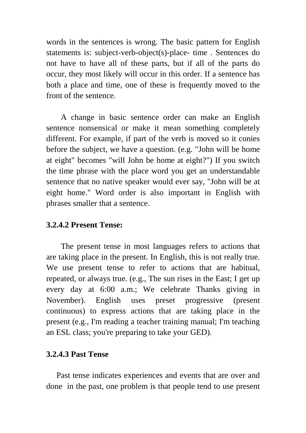words in the sentences is wrong. The basic pattern for English statements is: subject-verb-object(s)-place- time . Sentences do not have to have all of these parts, but if all of the parts do occur, they most likely will occur in this order. If a sentence has both a place and time, one of these is frequently moved to the front of the sentence.

A change in basic sentence order can make an English sentence nonsensical or make it mean something completely different. For example, if part of the verb is moved so it conies before the subject, we have a question. (e.g. "John will be home at eight" becomes "will John be home at eight?") If you switch the time phrase with the place word you get an understandable sentence that no native speaker would ever say, "John will be at eight home." Word order is also important in English with phrases smaller that a sentence.

# **3.2.4.2 Present Tense:**

The present tense in most languages refers to actions that are taking place in the present. In English, this is not really true. We use present tense to refer to actions that are habitual, repeated, or always true. (e.g., The sun rises in the East; I get up every day at 6:00 a.m.; We celebrate Thanks giving in November). English uses preset progressive (present continuous) to express actions that are taking place in the present (e.g., I'm reading a teacher training manual; I'm teaching an ESL class; you're preparing to take your GED).

# **3.2.4.3 Past Tense**

 Past tense indicates experiences and events that are over and done in the past, one problem is that people tend to use present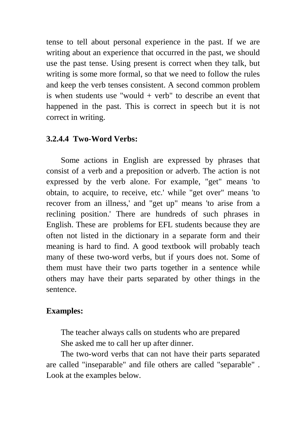tense to tell about personal experience in the past. If we are writing about an experience that occurred in the past, we should use the past tense. Using present is correct when they talk, but writing is some more formal, so that we need to follow the rules and keep the verb tenses consistent. A second common problem is when students use "would  $+$  verb" to describe an event that happened in the past. This is correct in speech but it is not correct in writing.

### **3.2.4.4 Two-Word Verbs:**

Some actions in English are expressed by phrases that consist of a verb and a preposition or adverb. The action is not expressed by the verb alone. For example, "get" means 'to obtain, to acquire, to receive, etc.' while "get over" means 'to recover from an illness,' and "get up" means 'to arise from a reclining position.' There are hundreds of such phrases in English. These are problems for EFL students because they are often not listed in the dictionary in a separate form and their meaning is hard to find. A good textbook will probably teach many of these two-word verbs, but if yours does not. Some of them must have their two parts together in a sentence while others may have their parts separated by other things in the sentence.

# **Examples:**

The teacher always calls on students who are prepared She asked me to call her up after dinner.

The two-word verbs that can not have their parts separated are called "inseparable" and file others are called "separable" . Look at the examples below.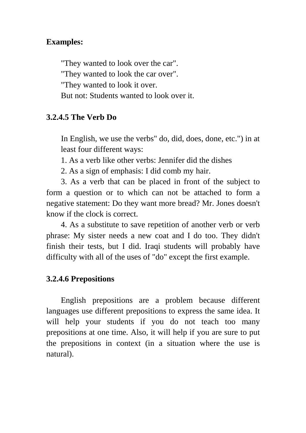# **Examples:**

"They wanted to look over the car". "They wanted to look the car over". "They wanted to look it over. But not: Students wanted to look over it.

# **3.2.4.5 The Verb Do**

In English, we use the verbs" do, did, does, done, etc.") in at least four different ways:

1. As a verb like other verbs: Jennifer did the dishes

2. As a sign of emphasis: I did comb my hair.

3. As a verb that can be placed in front of the subject to form a question or to which can not be attached to form a negative statement: Do they want more bread? Mr. Jones doesn't know if the clock is correct.

4. As a substitute to save repetition of another verb or verb phrase: My sister needs a new coat and I do too. They didn't finish their tests, but I did. Iraqi students will probably have difficulty with all of the uses of "do" except the first example.

# **3.2.4.6 Prepositions**

English prepositions are a problem because different languages use different prepositions to express the same idea. It will help your students if you do not teach too many prepositions at one time. Also, it will help if you are sure to put the prepositions in context (in a situation where the use is natural).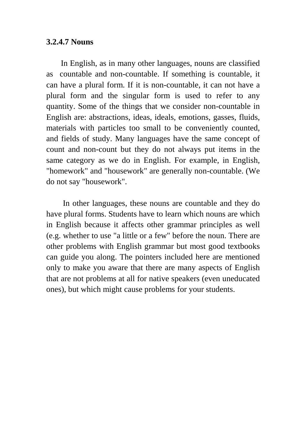#### **3.2.4.7 Nouns**

In English, as in many other languages, nouns are classified as countable and non-countable. If something is countable, it can have a plural form. If it is non-countable, it can not have a plural form and the singular form is used to refer to any quantity. Some of the things that we consider non-countable in English are: abstractions, ideas, ideals, emotions, gasses, fluids, materials with particles too small to be conveniently counted, and fields of study. Many languages have the same concept of count and non-count but they do not always put items in the same category as we do in English. For example, in English, "homework" and "housework" are generally non-countable. (We do not say "housework".

 In other languages, these nouns are countable and they do have plural forms. Students have to learn which nouns are which in English because it affects other grammar principles as well (e.g. whether to use "a little or a few" before the noun. There are other problems with English grammar but most good textbooks can guide you along. The pointers included here are mentioned only to make you aware that there are many aspects of English that are not problems at all for native speakers (even uneducated ones), but which might cause problems for your students.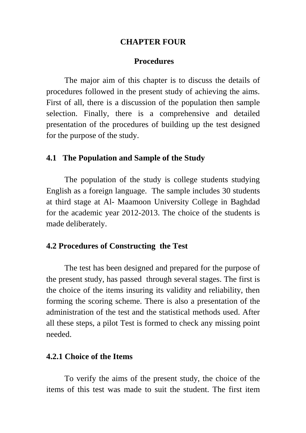#### **CHAPTER FOUR**

#### **Procedures**

The major aim of this chapter is to discuss the details of procedures followed in the present study of achieving the aims. First of all, there is a discussion of the population then sample selection. Finally, there is a comprehensive and detailed presentation of the procedures of building up the test designed for the purpose of the study.

#### **4.1 The Population and Sample of the Study**

The population of the study is college students studying English as a foreign language. The sample includes 30 students at third stage at Al- Maamoon University College in Baghdad for the academic year 2012-2013. The choice of the students is made deliberately.

#### **4.2 Procedures of Constructing the Test**

The test has been designed and prepared for the purpose of the present study, has passed through several stages. The first is the choice of the items insuring its validity and reliability, then forming the scoring scheme. There is also a presentation of the administration of the test and the statistical methods used. After all these steps, a pilot Test is formed to check any missing point needed.

#### **4.2.1 Choice of the Items**

To verify the aims of the present study, the choice of the items of this test was made to suit the student. The first item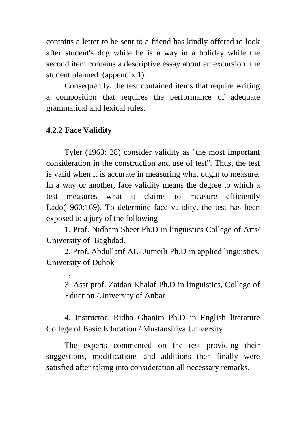contains a letter to be sent to a friend has kindly offered to look after student's dog while he is a way in a holiday while the second item contains a descriptive essay about an excursion the student planned (appendix 1).

Consequently, the test contained items that require writing a composition that requires the performance of adequate grammatical and lexical rules.

# **4.2.2 Face Validity**

.

Tyler (1963: 28) consider validity as "the most important consideration in the construction and use of test". Thus, the test is valid when it is accurate in measuring what ought to measure. In a way or another, face validity means the degree to which a test measures what it claims to measure efficiently Lado(1960:169). To determine face validity, the test has been exposed to a jury of the following

1. Prof. Nidham Sheet Ph.D in linguistics College of Arts/ University of Baghdad.

2. Prof. Abdullatif AL- Jumeili Ph.D in applied linguistics. University of Duhok

3. Asst prof. Zaidan Khalaf Ph.D in linguistics, College of Eduction /University of Anbar

4. Instructor. Ridha Ghanim Ph.D in English literature College of Basic Education / Mustansiriya University

The experts commented on the test providing their suggestions, modifications and additions then finally were satisfied after taking into consideration all necessary remarks.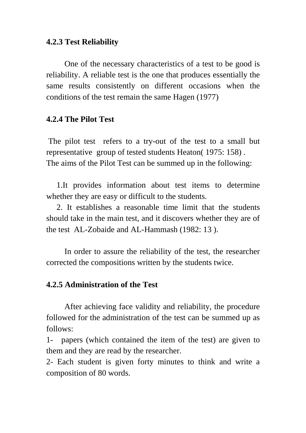### **4.2.3 Test Reliability**

One of the necessary characteristics of a test to be good is reliability. A reliable test is the one that produces essentially the same results consistently on different occasions when the conditions of the test remain the same Hagen (1977)

### **4.2.4 The Pilot Test**

The pilot test refers to a try-out of the test to a small but representative group of tested students Heaton( 1975: 158) . The aims of the Pilot Test can be summed up in the following:

 1.It provides information about test items to determine whether they are easy or difficult to the students.

 2. It establishes a reasonable time limit that the students should take in the main test, and it discovers whether they are of the test AL-Zobaide and AL-Hammash (1982: 13 ).

In order to assure the reliability of the test, the researcher corrected the compositions written by the students twice.

#### **4.2.5 Administration of the Test**

After achieving face validity and reliability, the procedure followed for the administration of the test can be summed up as follows:

1- papers (which contained the item of the test) are given to them and they are read by the researcher.

2- Each student is given forty minutes to think and write a composition of 80 words.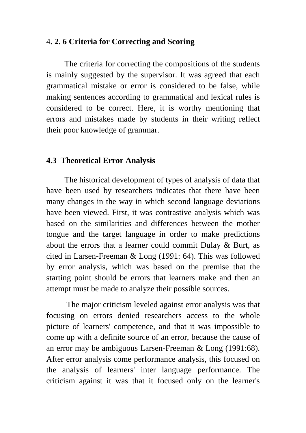### 4**. 2. 6 Criteria for Correcting and Scoring**

The criteria for correcting the compositions of the students is mainly suggested by the supervisor. It was agreed that each grammatical mistake or error is considered to be false, while making sentences according to grammatical and lexical rules is considered to be correct. Here, it is worthy mentioning that errors and mistakes made by students in their writing reflect their poor knowledge of grammar.

#### **4.3 Theoretical Error Analysis**

The historical development of types of analysis of data that have been used by researchers indicates that there have been many changes in the way in which second language deviations have been viewed. First, it was contrastive analysis which was based on the similarities and differences between the mother tongue and the target language in order to make predictions about the errors that a learner could commit Dulay & Burt, as cited in Larsen-Freeman & Long (1991: 64). This was followed by error analysis, which was based on the premise that the starting point should be errors that learners make and then an attempt must be made to analyze their possible sources.

 The major criticism leveled against error analysis was that focusing on errors denied researchers access to the whole picture of learners' competence, and that it was impossible to come up with a definite source of an error, because the cause of an error may be ambiguous Larsen-Freeman & Long (1991:68). After error analysis come performance analysis, this focused on the analysis of learners' inter language performance. The criticism against it was that it focused only on the learner's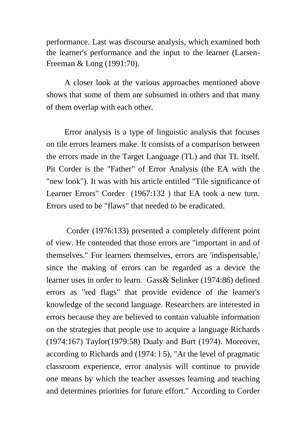performance. Last was discourse analysis, which examined both the learner's performance and the input to the learner (Larsen-Freeman & Long (1991:70).

A closer look at the various approaches mentioned above shows that some of them are subsumed in others and that many of them overlap with each other.

Error analysis is a type of linguistic analysis that focuses on tile errors learners make. It consists of a comparison between the errors made in the Target Language (TL) and that TL itself. Pit Corder is the "Father" of Error Analysis (the EA with the "new look"). It was with his article entitled "Tile significance of Learner Errors" Corder (1967:132 ) that EA took a new turn. Errors used to be "flaws" that needed to be eradicated.

 Corder (1976:133) presented a completely different point of view. He contended that those errors are "important in and of themselves." For learners themselves, errors are 'indispensable,' since the making of errors can be regarded as a device the learner uses in order to learn. Gass& Selinker (1974:86) defined errors as "red flags" that provide evidence of the learner's knowledge of the second language. Researchers are interested in errors because they are believed to contain valuable information on the strategies that people use to acquire a language Richards (1974:167) Taylor(1979:58) Dualy and Burt (1974). Moreover, according to Richards and (1974: l 5), "At the level of pragmatic classroom experience, error analysis will continue to provide one means by which the teacher assesses learning and teaching and determines priorities for future effort." According to Corder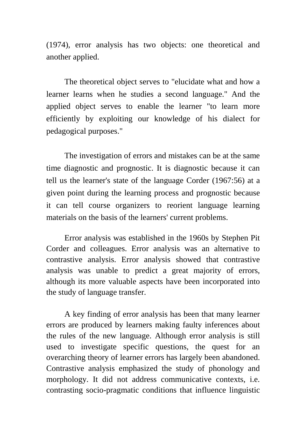(1974), error analysis has two objects: one theoretical and another applied.

The theoretical object serves to "elucidate what and how a learner learns when he studies a second language." And the applied object serves to enable the learner "to learn more efficiently by exploiting our knowledge of his dialect for pedagogical purposes."

The investigation of errors and mistakes can be at the same time diagnostic and prognostic. It is diagnostic because it can tell us the learner's state of the language Corder (1967:56) at a given point during the learning process and prognostic because it can tell course organizers to reorient language learning materials on the basis of the learners' current problems.

Error analysis was established in the 1960s by Stephen Pit Corder and colleagues. Error analysis was an alternative to contrastive analysis. Error analysis showed that contrastive analysis was unable to predict a great majority of errors, although its more valuable aspects have been incorporated into the study of language transfer.

A key finding of error analysis has been that many learner errors are produced by learners making faulty inferences about the rules of the new language. Although error analysis is still used to investigate specific questions, the quest for an overarching theory of learner errors has largely been abandoned. Contrastive analysis emphasized the study of phonology and morphology. It did not address communicative contexts, i.e. contrasting socio-pragmatic conditions that influence linguistic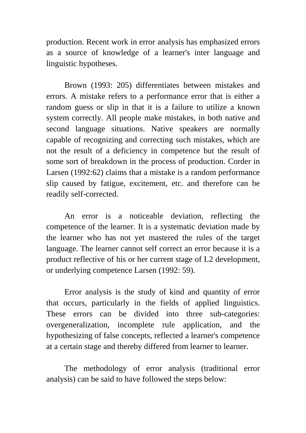production. Recent work in error analysis has emphasized errors as a source of knowledge of a learner's inter language and linguistic hypotheses.

Brown (1993: 205) differentiates between mistakes and errors. A mistake refers to a performance error that is either a random guess or slip in that it is a failure to utilize a known system correctly. All people make mistakes, in both native and second language situations. Native speakers are normally capable of recognizing and correcting such mistakes, which are not the result of a deficiency in competence but the result of some sort of breakdown in the process of production. Corder in Larsen (1992:62) claims that a mistake is a random performance slip caused by fatigue, excitement, etc. and therefore can be readily self-corrected.

An error is a noticeable deviation, reflecting the competence of the learner. It is a systematic deviation made by the learner who has not yet mastered the rules of the target language. The learner cannot self correct an error because it is a product reflective of his or her current stage of L2 development, or underlying competence Larsen (1992: 59).

Error analysis is the study of kind and quantity of error that occurs, particularly in the fields of applied linguistics. These errors can be divided into three sub-categories: overgeneralization, incomplete rule application, and the hypothesizing of false concepts, reflected a learner's competence at a certain stage and thereby differed from learner to learner.

The methodology of error analysis (traditional error analysis) can be said to have followed the steps below: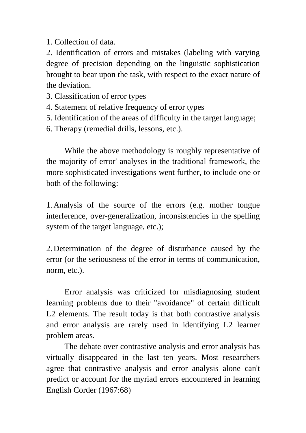1. Collection of data.

2. Identification of errors and mistakes (labeling with varying degree of precision depending on the linguistic sophistication brought to bear upon the task, with respect to the exact nature of the deviation.

- 3. Classification of error types
- 4. Statement of relative frequency of error types
- 5. Identification of the areas of difficulty in the target language;
- 6. Therapy (remedial drills, lessons, etc.).

While the above methodology is roughly representative of the majority of error' analyses in the traditional framework, the more sophisticated investigations went further, to include one or both of the following:

1. Analysis of the source of the errors (e.g. mother tongue interference, over-generalization, inconsistencies in the spelling system of the target language, etc.);

2. Determination of the degree of disturbance caused by the error (or the seriousness of the error in terms of communication, norm, etc.).

Error analysis was criticized for misdiagnosing student learning problems due to their "avoidance" of certain difficult L<sub>2</sub> elements. The result today is that both contrastive analysis and error analysis are rarely used in identifying L2 learner problem areas.

The debate over contrastive analysis and error analysis has virtually disappeared in the last ten years. Most researchers agree that contrastive analysis and error analysis alone can't predict or account for the myriad errors encountered in learning English Corder (1967:68)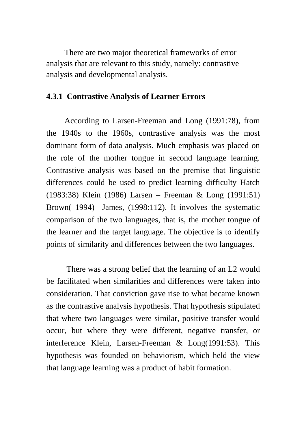There are two major theoretical frameworks of error analysis that are relevant to this study, namely: contrastive analysis and developmental analysis.

#### **4.3.1 Contrastive Analysis of Learner Errors**

According to Larsen-Freeman and Long (1991:78), from the 1940s to the 1960s, contrastive analysis was the most dominant form of data analysis. Much emphasis was placed on the role of the mother tongue in second language learning. Contrastive analysis was based on the premise that linguistic differences could be used to predict learning difficulty Hatch (1983:38) Klein (1986) Larsen – Freeman & Long (1991:51) Brown( 1994) James, (1998:112). It involves the systematic comparison of the two languages, that is, the mother tongue of the learner and the target language. The objective is to identify points of similarity and differences between the two languages.

 There was a strong belief that the learning of an L2 would be facilitated when similarities and differences were taken into consideration. That conviction gave rise to what became known as the contrastive analysis hypothesis. That hypothesis stipulated that where two languages were similar, positive transfer would occur, but where they were different, negative transfer, or interference Klein, Larsen-Freeman & Long(1991:53). This hypothesis was founded on behaviorism, which held the view that language learning was a product of habit formation.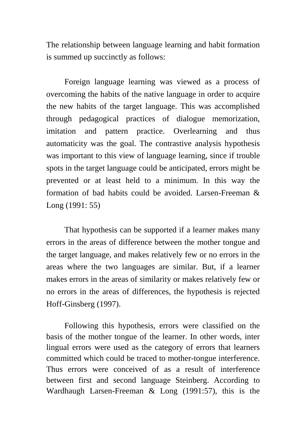The relationship between language learning and habit formation is summed up succinctly as follows:

Foreign language learning was viewed as a process of overcoming the habits of the native language in order to acquire the new habits of the target language. This was accomplished through pedagogical practices of dialogue memorization, imitation and pattern practice. Overlearning and thus automaticity was the goal. The contrastive analysis hypothesis was important to this view of language learning, since if trouble spots in the target language could be anticipated, errors might be prevented or at least held to a minimum. In this way the formation of bad habits could be avoided. Larsen-Freeman & Long (1991: 55)

That hypothesis can be supported if a learner makes many errors in the areas of difference between the mother tongue and the target language, and makes relatively few or no errors in the areas where the two languages are similar. But, if a learner makes errors in the areas of similarity or makes relatively few or no errors in the areas of differences, the hypothesis is rejected Hoff-Ginsberg (1997).

Following this hypothesis, errors were classified on the basis of the mother tongue of the learner. In other words, inter lingual errors were used as the category of errors that learners committed which could be traced to mother-tongue interference. Thus errors were conceived of as a result of interference between first and second language Steinberg. According to Wardhaugh Larsen-Freeman & Long (1991:57), this is the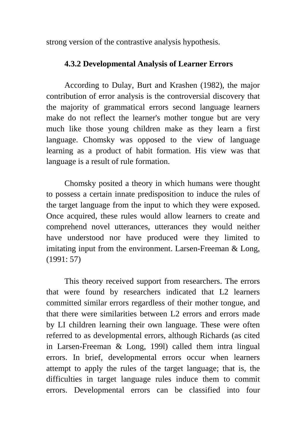strong version of the contrastive analysis hypothesis.

## **4.3.2 Developmental Analysis of Learner Errors**

According to Dulay, Burt and Krashen (1982), the major contribution of error analysis is the controversial discovery that the majority of grammatical errors second language learners make do not reflect the learner's mother tongue but are very much like those young children make as they learn a first language. Chomsky was opposed to the view of language learning as a product of habit formation. His view was that language is a result of rule formation.

Chomsky posited a theory in which humans were thought to possess a certain innate predisposition to induce the rules of the target language from the input to which they were exposed. Once acquired, these rules would allow learners to create and comprehend novel utterances, utterances they would neither have understood nor have produced were they limited to imitating input from the environment. Larsen-Freeman & Long, (1991: 57)

This theory received support from researchers. The errors that were found by researchers indicated that L2 learners committed similar errors regardless of their mother tongue, and that there were similarities between L2 errors and errors made by LI children learning their own language. These were often referred to as developmental errors, although Richards (as cited in Larsen-Freeman & Long, 199l) called them intra lingual errors. In brief, developmental errors occur when learners attempt to apply the rules of the target language; that is, the difficulties in target language rules induce them to commit errors. Developmental errors can be classified into four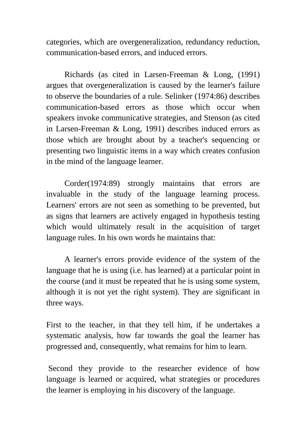categories, which are overgeneralization, redundancy reduction, communication-based errors, and induced errors.

Richards (as cited in Larsen-Freeman & Long, (1991) argues that overgeneralization is caused by the learner's failure to observe the boundaries of a rule. Selinker (1974:86) describes communication-based errors as those which occur when speakers invoke communicative strategies, and Stenson (as cited in Larsen-Freeman & Long, 1991) describes induced errors as those which are brought about by a teacher's sequencing or presenting two linguistic items in a way which creates confusion in the mind of the language learner.

Corder(1974:89) strongly maintains that errors are invaluable in the study of the language learning process. Learners' errors are not seen as something to be prevented, but as signs that learners are actively engaged in hypothesis testing which would ultimately result in the acquisition of target language rules. In his own words he maintains that:

A learner's errors provide evidence of the system of the language that he is using (i.e. has learned) at a particular point in the course (and it must be repeated that he is using some system, although it is not yet the right system). They are significant in three ways.

First to the teacher, in that they tell him, if he undertakes a systematic analysis, how far towards the goal the learner has progressed and, consequently, what remains for him to learn.

 Second they provide to the researcher evidence of how language is learned or acquired, what strategies or procedures the learner is employing in his discovery of the language.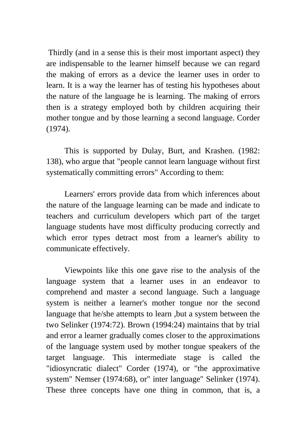Thirdly (and in a sense this is their most important aspect) they are indispensable to the learner himself because we can regard the making of errors as a device the learner uses in order to learn. It is a way the learner has of testing his hypotheses about the nature of the language he is learning. The making of errors then is a strategy employed both by children acquiring their mother tongue and by those learning a second language. Corder (1974).

This is supported by Dulay, Burt, and Krashen. (1982: 138), who argue that "people cannot learn language without first systematically committing errors" According to them:

Learners' errors provide data from which inferences about the nature of the language learning can be made and indicate to teachers and curriculum developers which part of the target language students have most difficulty producing correctly and which error types detract most from a learner's ability to communicate effectively.

Viewpoints like this one gave rise to the analysis of the language system that a learner uses in an endeavor to comprehend and master a second language. Such a language system is neither a learner's mother tongue nor the second language that he/she attempts to learn ,but a system between the two Selinker (1974:72). Brown (1994:24) maintains that by trial and error a learner gradually comes closer to the approximations of the language system used by mother tongue speakers of the target language. This intermediate stage is called the "idiosyncratic dialect" Corder (1974), or "the approximative system" Nemser (1974:68), or" inter language" Selinker (1974). These three concepts have one thing in common, that is, a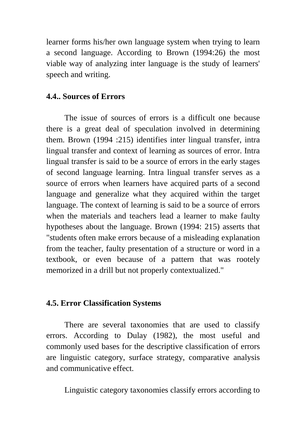learner forms his/her own language system when trying to learn a second language. According to Brown (1994:26) the most viable way of analyzing inter language is the study of learners' speech and writing.

### **4.4.. Sources of Errors**

The issue of sources of errors is a difficult one because there is a great deal of speculation involved in determining them. Brown (1994 :215) identifies inter lingual transfer, intra lingual transfer and context of learning as sources of error. Intra lingual transfer is said to be a source of errors in the early stages of second language learning. Intra lingual transfer serves as a source of errors when learners have acquired parts of a second language and generalize what they acquired within the target language. The context of learning is said to be a source of errors when the materials and teachers lead a learner to make faulty hypotheses about the language. Brown (1994: 215) asserts that "students often make errors because of a misleading explanation from the teacher, faulty presentation of a structure or word in a textbook, or even because of a pattern that was rootely memorized in a drill but not properly contextualized."

### **4.5. Error Classification Systems**

There are several taxonomies that are used to classify errors. According to Dulay (1982), the most useful and commonly used bases for the descriptive classification of errors are linguistic category, surface strategy, comparative analysis and communicative effect.

Linguistic category taxonomies classify errors according to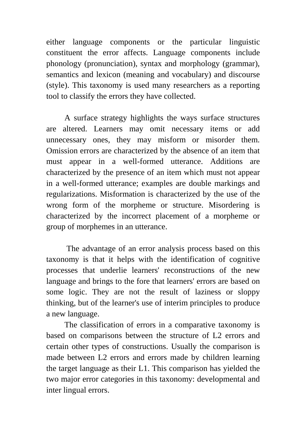either language components or the particular linguistic constituent the error affects. Language components include phonology (pronunciation), syntax and morphology (grammar), semantics and lexicon (meaning and vocabulary) and discourse (style). This taxonomy is used many researchers as a reporting tool to classify the errors they have collected.

A surface strategy highlights the ways surface structures are altered. Learners may omit necessary items or add unnecessary ones, they may misform or misorder them. Omission errors are characterized by the absence of an item that must appear in a well-formed utterance. Additions are characterized by the presence of an item which must not appear in a well-formed utterance; examples are double markings and regularizations. Misformation is characterized by the use of the wrong form of the morpheme or structure. Misordering is characterized by the incorrect placement of a morpheme or group of morphemes in an utterance.

 The advantage of an error analysis process based on this taxonomy is that it helps with the identification of cognitive processes that underlie learners' reconstructions of the new language and brings to the fore that learners' errors are based on some logic. They are not the result of laziness or sloppy thinking, but of the learner's use of interim principles to produce a new language.

The classification of errors in a comparative taxonomy is based on comparisons between the structure of L2 errors and certain other types of constructions. Usually the comparison is made between L2 errors and errors made by children learning the target language as their L1. This comparison has yielded the two major error categories in this taxonomy: developmental and inter lingual errors.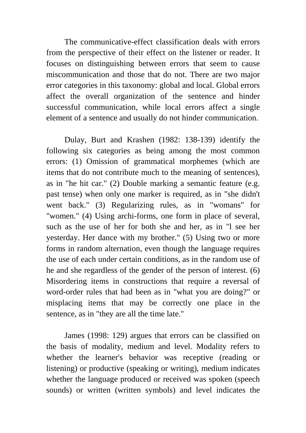The communicative-effect classification deals with errors from the perspective of their effect on the listener or reader. It focuses on distinguishing between errors that seem to cause miscommunication and those that do not. There are two major error categories in this taxonomy: global and local. Global errors affect the overall organization of the sentence and hinder successful communication, while local errors affect a single element of a sentence and usually do not hinder communication.

Dulay, Burt and Krashen (1982: 138-139) identify the following six categories as being among the most common errors: (1) Omission of grammatical morphemes (which are items that do not contribute much to the meaning of sentences), as in "he hit car." (2) Double marking a semantic feature (e.g. past tense) when only one marker is required, as in "she didn't went back." (3) Regularizing rules, as in "womans" for "women." (4) Using archi-forms, one form in place of several, such as the use of her for both she and her, as in "l see her yesterday. Her dance with my brother." (5) Using two or more forms in random alternation, even though the language requires the use of each under certain conditions, as in the random use of he and she regardless of the gender of the person of interest. (6) Misordering items in constructions that require a reversal of word-order rules that had been as in "what you are doing?" or misplacing items that may be correctly one place in the sentence, as in "they are all the time late."

James (1998: 129) argues that errors can be classified on the basis of modality, medium and level. Modality refers to whether the learner's behavior was receptive (reading or listening) or productive (speaking or writing), medium indicates whether the language produced or received was spoken (speech sounds) or written (written symbols) and level indicates the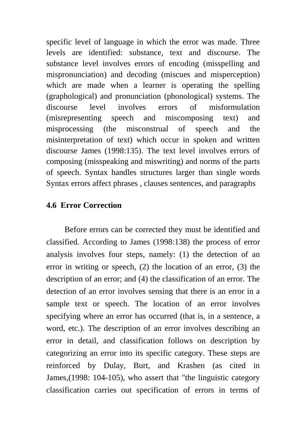specific level of language in which the error was made. Three levels are identified: substance, text and discourse. The substance level involves errors of encoding (misspelling and mispronunciation) and decoding (miscues and misperception) which are made when a learner is operating the spelling (graphological) and pronunciation (phonological) systems. The discourse level involves errors of misformulation (misrepresenting speech and miscomposing text) and misprocessing (the misconstrual of speech and the misinterpretation of text) which occur in spoken and written discourse James (1998:135). The text level involves errors of composing (misspeaking and miswriting) and norms of the parts of speech. Syntax handles structures larger than single words Syntax errors affect phrases , clauses sentences, and paragraphs

### **4.6 Error Correction**

Before errors can be corrected they must be identified and classified. According to James (1998:138) the process of error analysis involves four steps, namely: (1) the detection of an error in writing or speech, (2) the location of an error, (3) the description of an error; and (4) the classification of an error. The detection of an error involves sensing that there is an error in a sample text or speech. The location of an error involves specifying where an error has occurred (that is, in a sentence, a word, etc.). The description of an error involves describing an error in detail, and classification follows on description by categorizing an error into its specific category. These steps are reinforced by Dulay, Burt, and Krashen (as cited in James,(1998: 104-105), who assert that "the linguistic category classification carries out specification of errors in terms of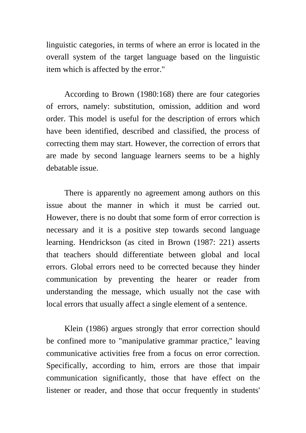linguistic categories, in terms of where an error is located in the overall system of the target language based on the linguistic item which is affected by the error."

According to Brown (1980:168) there are four categories of errors, namely: substitution, omission, addition and word order. This model is useful for the description of errors which have been identified, described and classified, the process of correcting them may start. However, the correction of errors that are made by second language learners seems to be a highly debatable issue.

There is apparently no agreement among authors on this issue about the manner in which it must be carried out. However, there is no doubt that some form of error correction is necessary and it is a positive step towards second language learning. Hendrickson (as cited in Brown (1987: 221) asserts that teachers should differentiate between global and local errors. Global errors need to be corrected because they hinder communication by preventing the hearer or reader from understanding the message, which usually not the case with local errors that usually affect a single element of a sentence.

Klein (1986) argues strongly that error correction should be confined more to "manipulative grammar practice," leaving communicative activities free from a focus on error correction. Specifically, according to him, errors are those that impair communication significantly, those that have effect on the listener or reader, and those that occur frequently in students'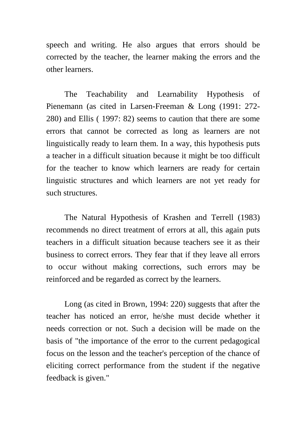speech and writing. He also argues that errors should be corrected by the teacher, the learner making the errors and the other learners.

The Teachability and Learnability Hypothesis of Pienemann (as cited in Larsen-Freeman & Long (1991: 272- 280) and Ellis ( 1997: 82) seems to caution that there are some errors that cannot be corrected as long as learners are not linguistically ready to learn them. In a way, this hypothesis puts a teacher in a difficult situation because it might be too difficult for the teacher to know which learners are ready for certain linguistic structures and which learners are not yet ready for such structures.

The Natural Hypothesis of Krashen and Terrell (1983) recommends no direct treatment of errors at all, this again puts teachers in a difficult situation because teachers see it as their business to correct errors. They fear that if they leave all errors to occur without making corrections, such errors may be reinforced and be regarded as correct by the learners.

Long (as cited in Brown, 1994: 220) suggests that after the teacher has noticed an error, he/she must decide whether it needs correction or not. Such a decision will be made on the basis of "the importance of the error to the current pedagogical focus on the lesson and the teacher's perception of the chance of eliciting correct performance from the student if the negative feedback is given."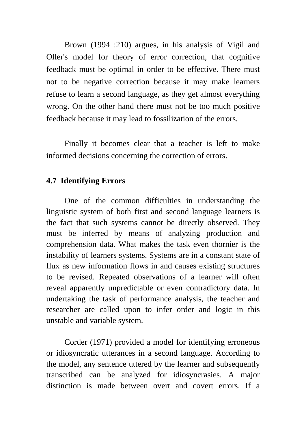Brown (1994 :210) argues, in his analysis of Vigil and Oller's model for theory of error correction, that cognitive feedback must be optimal in order to be effective. There must not to be negative correction because it may make learners refuse to learn a second language, as they get almost everything wrong. On the other hand there must not be too much positive feedback because it may lead to fossilization of the errors.

Finally it becomes clear that a teacher is left to make informed decisions concerning the correction of errors.

#### **4.7 Identifying Errors**

One of the common difficulties in understanding the linguistic system of both first and second language learners is the fact that such systems cannot be directly observed. They must be inferred by means of analyzing production and comprehension data. What makes the task even thornier is the instability of learners systems. Systems are in a constant state of flux as new information flows in and causes existing structures to be revised. Repeated observations of a learner will often reveal apparently unpredictable or even contradictory data. In undertaking the task of performance analysis, the teacher and researcher are called upon to infer order and logic in this unstable and variable system.

Corder (1971) provided a model for identifying erroneous or idiosyncratic utterances in a second language. According to the model, any sentence uttered by the learner and subsequently transcribed can be analyzed for idiosyncrasies. A major distinction is made between overt and covert errors. If a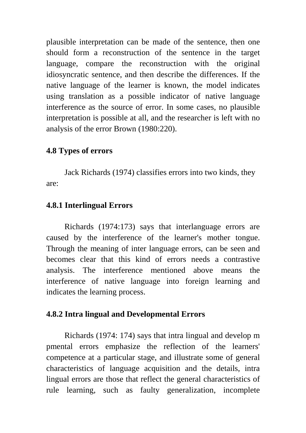plausible interpretation can be made of the sentence, then one should form a reconstruction of the sentence in the target language, compare the reconstruction with the original idiosyncratic sentence, and then describe the differences. If the native language of the learner is known, the model indicates using translation as a possible indicator of native language interference as the source of error. In some cases, no plausible interpretation is possible at all, and the researcher is left with no analysis of the error Brown (1980:220).

### **4.8 Types of errors**

Jack Richards (1974) classifies errors into two kinds, they are:

## **4.8.1 Interlingual Errors**

Richards (1974:173) says that interlanguage errors are caused by the interference of the learner's mother tongue. Through the meaning of inter language errors, can be seen and becomes clear that this kind of errors needs a contrastive analysis. The interference mentioned above means the interference of native language into foreign learning and indicates the learning process.

## **4.8.2 Intra lingual and Developmental Errors**

Richards (1974: 174) says that intra lingual and develop m pmental errors emphasize the reflection of the learners' competence at a particular stage, and illustrate some of general characteristics of language acquisition and the details, intra lingual errors are those that reflect the general characteristics of rule learning, such as faulty generalization, incomplete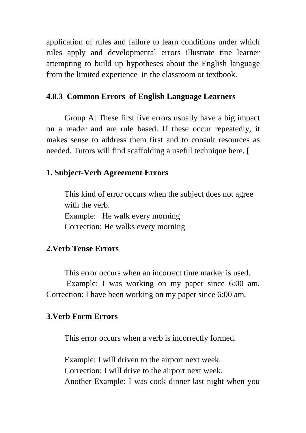application of rules and failure to learn conditions under which rules apply and developmental errors illustrate tine learner attempting to build up hypotheses about the English language from the limited experience in the classroom or textbook.

#### **4.8.3 Common Errors of English Language Learners**

Group A: These first five errors usually have a big impact on a reader and are rule based. If these occur repeatedly, it makes sense to address them first and to consult resources as needed. Tutors will find scaffolding a useful technique here. [

#### **1. Subject-Verb Agreement Errors**

This kind of error occurs when the subject does not agree with the verb. Example: He walk every morning Correction: He walks every morning

#### **2.Verb Tense Errors**

This error occurs when an incorrect time marker is used. Example: I was working on my paper since 6:00 am. Correction: I have been working on my paper since 6:00 am.

#### **3.Verb Form Errors**

This error occurs when a verb is incorrectly formed.

Example: I will driven to the airport next week. Correction: I will drive to the airport next week. Another Example: I was cook dinner last night when you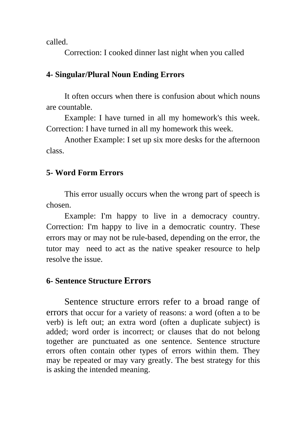called.

Correction: I cooked dinner last night when you called

## **4- Singular/Plural Noun Ending Errors**

It often occurs when there is confusion about which nouns are countable.

Example: I have turned in all my homework's this week. Correction: I have turned in all my homework this week.

Another Example: I set up six more desks for the afternoon class.

## **5- Word Form Errors**

This error usually occurs when the wrong part of speech is chosen.

Example: I'm happy to live in a democracy country. Correction: I'm happy to live in a democratic country. These errors may or may not be rule-based, depending on the error, the tutor may need to act as the native speaker resource to help resolve the issue.

## **6- Sentence Structure Errors**

Sentence structure errors refer to a broad range of errors that occur for a variety of reasons: a word (often a to be verb) is left out; an extra word (often a duplicate subject) is added; word order is incorrect; or clauses that do not belong together are punctuated as one sentence. Sentence structure errors often contain other types of errors within them. They may be repeated or may vary greatly. The best strategy for this is asking the intended meaning.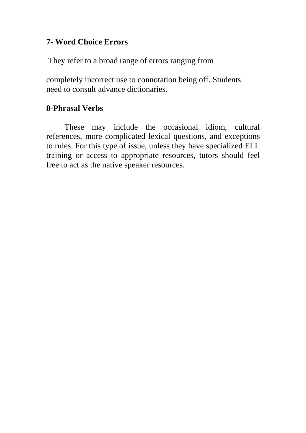#### **7- Word Choice Errors**

They refer to a broad range of errors ranging from

completely incorrect use to connotation being off. Students need to consult advance dictionaries.

### **8-Phrasal Verbs**

These may include the occasional idiom, cultural references, more complicated lexical questions, and exceptions to rules. For this type of issue, unless they have specialized ELL training or access to appropriate resources, tutors should feel free to act as the native speaker resources.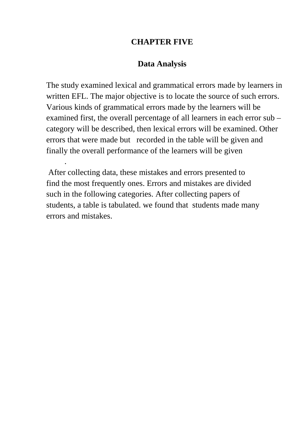#### **CHAPTER FIVE**

#### **Data Analysis**

The study examined lexical and grammatical errors made by learners in written EFL. The major objective is to locate the source of such errors. Various kinds of grammatical errors made by the learners will be examined first, the overall percentage of all learners in each error sub – category will be described, then lexical errors will be examined. Other errors that were made but recorded in the table will be given and finally the overall performance of the learners will be given

 After collecting data, these mistakes and errors presented to find the most frequently ones. Errors and mistakes are divided such in the following categories. After collecting papers of students, a table is tabulated. we found that students made many errors and mistakes.

.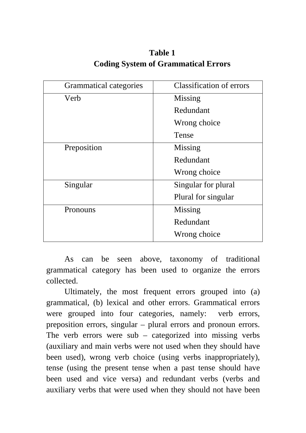| <b>Grammatical categories</b> | <b>Classification of errors</b> |  |
|-------------------------------|---------------------------------|--|
| Verb                          | Missing                         |  |
|                               | Redundant                       |  |
|                               | Wrong choice                    |  |
|                               | Tense                           |  |
| Preposition                   | Missing                         |  |
|                               | Redundant                       |  |
|                               | Wrong choice                    |  |
| Singular                      | Singular for plural             |  |
|                               | Plural for singular             |  |
| Pronouns                      | Missing                         |  |
|                               | Redundant                       |  |
|                               | Wrong choice                    |  |

**Table 1 Coding System of Grammatical Errors** 

As can be seen above, taxonomy of traditional grammatical category has been used to organize the errors collected.

Ultimately, the most frequent errors grouped into (a) grammatical, (b) lexical and other errors. Grammatical errors were grouped into four categories, namely: verb errors, preposition errors, singular – plural errors and pronoun errors. The verb errors were sub – categorized into missing verbs (auxiliary and main verbs were not used when they should have been used), wrong verb choice (using verbs inappropriately), tense (using the present tense when a past tense should have been used and vice versa) and redundant verbs (verbs and auxiliary verbs that were used when they should not have been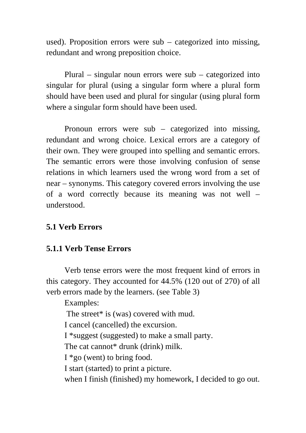used). Proposition errors were sub – categorized into missing, redundant and wrong preposition choice.

Plural – singular noun errors were sub – categorized into singular for plural (using a singular form where a plural form should have been used and plural for singular (using plural form where a singular form should have been used.

Pronoun errors were sub – categorized into missing, redundant and wrong choice. Lexical errors are a category of their own. They were grouped into spelling and semantic errors. The semantic errors were those involving confusion of sense relations in which learners used the wrong word from a set of near – synonyms. This category covered errors involving the use of a word correctly because its meaning was not well – understood.

#### **5.1 Verb Errors**

#### **5.1.1 Verb Tense Errors**

Verb tense errors were the most frequent kind of errors in this category. They accounted for 44.5% (120 out of 270) of all verb errors made by the learners. (see Table 3)

Examples:

The street\* is (was) covered with mud.

I cancel (cancelled) the excursion.

I \*suggest (suggested) to make a small party.

The cat cannot\* drunk (drink) milk.

 $I * go (went) to bring food.$ 

I start (started) to print a picture.

when I finish (finished) my homework, I decided to go out.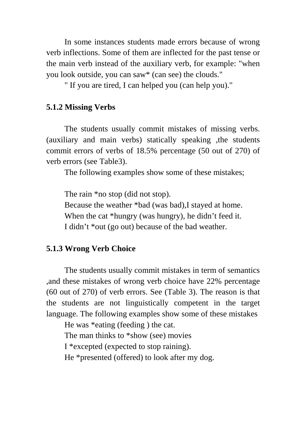In some instances students made errors because of wrong verb inflections. Some of them are inflected for the past tense or the main verb instead of the auxiliary verb, for example: "when you look outside, you can saw\* (can see) the clouds."

" If you are tired, I can helped you (can help you)."

#### **5.1.2 Missing Verbs**

The students usually commit mistakes of missing verbs. (auxiliary and main verbs) statically speaking ,the students commit errors of verbs of 18.5% percentage (50 out of 270) of verb errors (see Table3).

The following examples show some of these mistakes;

The rain \*no stop (did not stop).

Because the weather \*bad (was bad),I stayed at home. When the cat \*hungry (was hungry), he didn't feed it. I didn't \*out (go out) because of the bad weather.

#### **5.1.3 Wrong Verb Choice**

The students usually commit mistakes in term of semantics ,and these mistakes of wrong verb choice have 22% percentage (60 out of 270) of verb errors. See (Table 3). The reason is that the students are not linguistically competent in the target language. The following examples show some of these mistakes

He was \*eating (feeding ) the cat.

The man thinks to \*show (see) movies

I \*excepted (expected to stop raining).

He \*presented (offered) to look after my dog.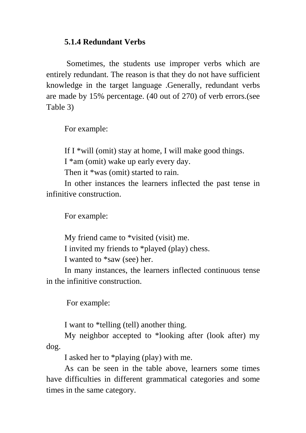#### **5.1.4 Redundant Verbs**

 Sometimes, the students use improper verbs which are entirely redundant. The reason is that they do not have sufficient knowledge in the target language .Generally, redundant verbs are made by 15% percentage. (40 out of 270) of verb errors.(see Table 3)

For example:

If I  $*$ will (omit) stay at home, I will make good things.

I \*am (omit) wake up early every day.

Then it \*was (omit) started to rain.

In other instances the learners inflected the past tense in infinitive construction.

For example:

My friend came to \*visited (visit) me.

I invited my friends to \*played (play) chess.

I wanted to \*saw (see) her.

In many instances, the learners inflected continuous tense in the infinitive construction.

For example:

I want to \*telling (tell) another thing.

My neighbor accepted to \*looking after (look after) my dog.

I asked her to \*playing (play) with me.

As can be seen in the table above, learners some times have difficulties in different grammatical categories and some times in the same category.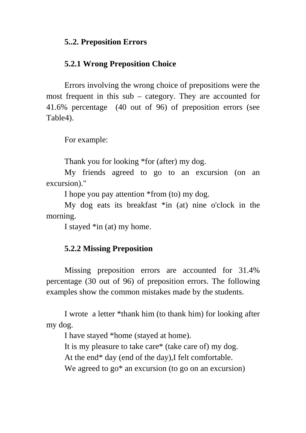#### **5..2. Preposition Errors**

#### **5.2.1 Wrong Preposition Choice**

Errors involving the wrong choice of prepositions were the most frequent in this sub – category. They are accounted for 41.6% percentage (40 out of 96) of preposition errors (see Table4).

For example:

Thank you for looking \*for (after) my dog.

My friends agreed to go to an excursion (on an excursion)."

I hope you pay attention \*from (to) my dog.

My dog eats its breakfast \*in (at) nine o'clock in the morning.

I stayed \*in (at) my home.

#### **5.2.2 Missing Preposition**

Missing preposition errors are accounted for 31.4% percentage (30 out of 96) of preposition errors. The following examples show the common mistakes made by the students.

I wrote a letter \*thank him (to thank him) for looking after my dog.

I have stayed \*home (stayed at home).

It is my pleasure to take care\* (take care of) my dog.

At the end\* day (end of the day),I felt comfortable.

We agreed to go<sup>\*</sup> an excursion (to go on an excursion)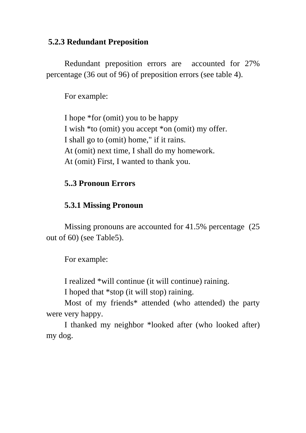#### **5.2.3 Redundant Preposition**

Redundant preposition errors are accounted for 27% percentage (36 out of 96) of preposition errors (see table 4).

For example:

I hope \*for (omit) you to be happy I wish \*to (omit) you accept \*on (omit) my offer. I shall go to (omit) home," if it rains. At (omit) next time, I shall do my homework. At (omit) First, I wanted to thank you.

#### **5..3 Pronoun Errors**

#### **5.3.1 Missing Pronoun**

Missing pronouns are accounted for 41.5% percentage (25 out of 60) (see Table5).

For example:

I realized \*will continue (it will continue) raining.

I hoped that \*stop (it will stop) raining.

Most of my friends\* attended (who attended) the party were very happy.

I thanked my neighbor \*looked after (who looked after) my dog.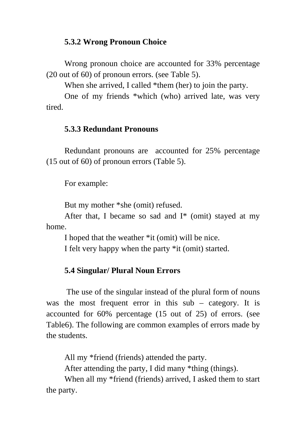## **5.3.2 Wrong Pronoun Choice**

Wrong pronoun choice are accounted for 33% percentage (20 out of 60) of pronoun errors. (see Table 5).

When she arrived, I called \*them (her) to join the party.

One of my friends \*which (who) arrived late, was very tired.

#### **5.3.3 Redundant Pronouns**

Redundant pronouns are accounted for 25% percentage (15 out of 60) of pronoun errors (Table 5).

For example:

But my mother \*she (omit) refused.

After that, I became so sad and  $I^*$  (omit) stayed at my home.

I hoped that the weather \*it (omit) will be nice.

I felt very happy when the party \*it (omit) started.

#### **5.4 Singular/ Plural Noun Errors**

 The use of the singular instead of the plural form of nouns was the most frequent error in this sub – category. It is accounted for 60% percentage (15 out of 25) of errors. (see Table6). The following are common examples of errors made by the students.

All my \*friend (friends) attended the party.

After attending the party, I did many \*thing (things).

When all my \*friend (friends) arrived, I asked them to start the party.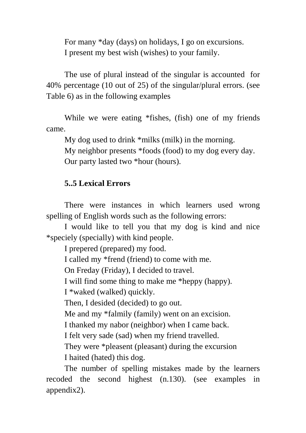For many \*day (days) on holidays, I go on excursions. I present my best wish (wishes) to your family.

The use of plural instead of the singular is accounted for 40% percentage (10 out of 25) of the singular/plural errors. (see Table 6) as in the following examples

While we were eating \*fishes, (fish) one of my friends came.

My dog used to drink \*milks (milk) in the morning.

My neighbor presents \*foods (food) to my dog every day. Our party lasted two \*hour (hours).

#### **5..5 Lexical Errors**

There were instances in which learners used wrong spelling of English words such as the following errors:

I would like to tell you that my dog is kind and nice \*speciely (specially) with kind people.

I prepered (prepared) my food.

I called my \*frend (friend) to come with me.

On Freday (Friday), I decided to travel.

I will find some thing to make me \*heppy (happy).

I \*waked (walked) quickly.

Then, I desided (decided) to go out.

Me and my \*falmily (family) went on an excision.

I thanked my nabor (neighbor) when I came back.

I felt very sade (sad) when my friend travelled.

They were \*pleasent (pleasant) during the excursion I haited (hated) this dog.

The number of spelling mistakes made by the learners recoded the second highest (n.130). (see examples in appendix2).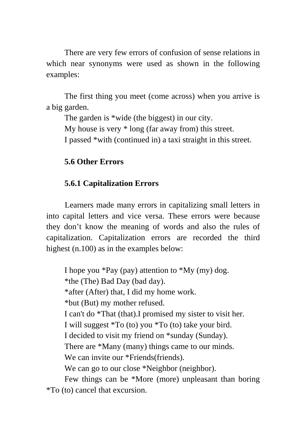There are very few errors of confusion of sense relations in which near synonyms were used as shown in the following examples:

The first thing you meet (come across) when you arrive is a big garden.

The garden is \*wide (the biggest) in our city. My house is very \* long (far away from) this street. I passed \*with (continued in) a taxi straight in this street.

## **5.6 Other Errors**

## **5.6.1 Capitalization Errors**

Learners made many errors in capitalizing small letters in into capital letters and vice versa. These errors were because they don't know the meaning of words and also the rules of capitalization. Capitalization errors are recorded the third highest (n.100) as in the examples below:

I hope you \*Pay (pay) attention to \*My (my) dog. \*the (The) Bad Day (bad day). \*after (After) that, I did my home work. \*but (But) my mother refused. I can't do \*That (that).I promised my sister to visit her. I will suggest \*To (to) you \*To (to) take your bird. I decided to visit my friend on \*sunday (Sunday). There are \*Many (many) things came to our minds. We can invite our \*Friends(friends). We can go to our close \*Neighbor (neighbor). Few things can be \*More (more) unpleasant than boring

\*To (to) cancel that excursion.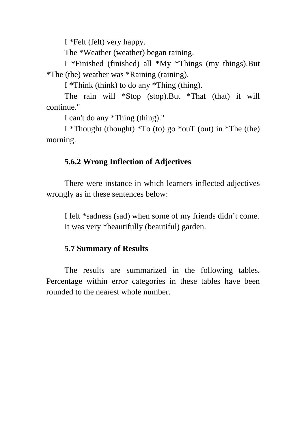I \*Felt (felt) very happy.

The \*Weather (weather) began raining.

I \*Finished (finished) all \*My \*Things (my things).But \*The (the) weather was \*Raining (raining).

I \*Think (think) to do any \*Thing (thing).

The rain will \*Stop (stop).But \*That (that) it will continue."

I can't do any \*Thing (thing)."

I \*Thought (thought) \*To (to) go \*ouT (out) in \*The (the) morning.

### **5.6.2 Wrong Inflection of Adjectives**

There were instance in which learners inflected adjectives wrongly as in these sentences below:

I felt \*sadness (sad) when some of my friends didn't come. It was very \*beautifully (beautiful) garden.

### **5.7 Summary of Results**

The results are summarized in the following tables. Percentage within error categories in these tables have been rounded to the nearest whole number.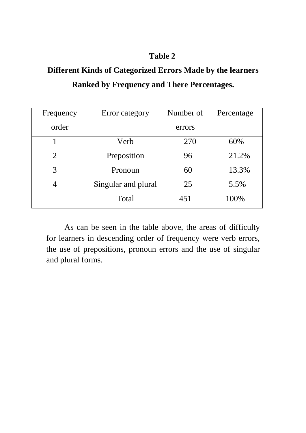# **Different Kinds of Categorized Errors Made by the learners Ranked by Frequency and There Percentages.**

| Frequency | Error category      | Number of | Percentage |
|-----------|---------------------|-----------|------------|
| order     |                     | errors    |            |
|           | Verb                | 270       | 60%        |
| 2         | Preposition         | 96        | 21.2%      |
| 3         | Pronoun             | 60        | 13.3%      |
|           | Singular and plural | 25        | 5.5%       |
|           | Total               | 451       | 100%       |

As can be seen in the table above, the areas of difficulty for learners in descending order of frequency were verb errors, the use of prepositions, pronoun errors and the use of singular and plural forms.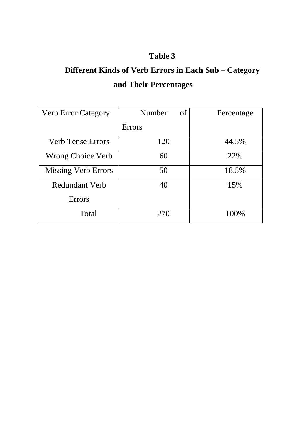# **Different Kinds of Verb Errors in Each Sub – Category and Their Percentages**

| <b>Verb Error Category</b> | Number<br>of  | Percentage |
|----------------------------|---------------|------------|
|                            | <b>Errors</b> |            |
| <b>Verb Tense Errors</b>   | 120           | 44.5%      |
| <b>Wrong Choice Verb</b>   | 60            | 22%        |
| <b>Missing Verb Errors</b> | 50            | 18.5%      |
| <b>Redundant Verb</b>      | 40            | 15%        |
| <b>Errors</b>              |               |            |
| Total                      | 270           | 100%       |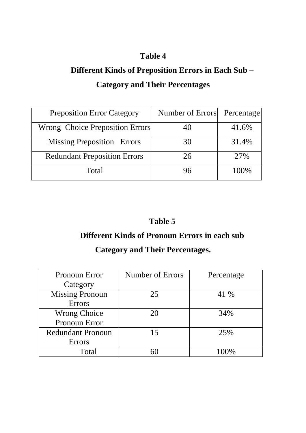# **Different Kinds of Preposition Errors in Each Sub – Category and Their Percentages**

| <b>Preposition Error Category</b>   | Number of Errors | Percentage |
|-------------------------------------|------------------|------------|
| Wrong Choice Preposition Errors     | 40               | 41.6%      |
| <b>Missing Preposition Errors</b>   | 30               | 31.4%      |
| <b>Redundant Preposition Errors</b> | 26               | 27%        |
| Total                               | 96               | 100\%      |

## **Table 5**

## **Different Kinds of Pronoun Errors in each sub**

## **Category and Their Percentages.**

| Pronoun Error            | Number of Errors | Percentage |
|--------------------------|------------------|------------|
| Category                 |                  |            |
| <b>Missing Pronoun</b>   | 25               | 41 %       |
| <b>Errors</b>            |                  |            |
| <b>Wrong Choice</b>      | 20               | 34%        |
| Pronoun Error            |                  |            |
| <b>Redundant Pronoun</b> | 15               | 25%        |
| Errors                   |                  |            |
| Total                    |                  | $100\%$    |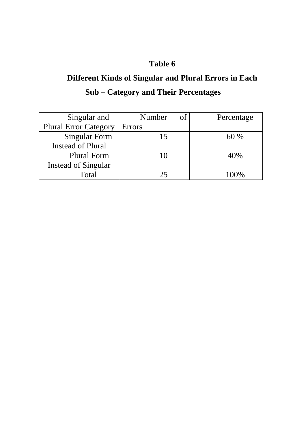# **Different Kinds of Singular and Plural Errors in Each Sub – Category and Their Percentages**

| Singular and                 | Number<br>of  | Percentage |
|------------------------------|---------------|------------|
| <b>Plural Error Category</b> | <b>Errors</b> |            |
| <b>Singular Form</b>         | 15            | 60%        |
| <b>Instead of Plural</b>     |               |            |
| <b>Plural Form</b>           | 10            | 40%        |
| <b>Instead of Singular</b>   |               |            |
| Total                        |               | $\Omega$   |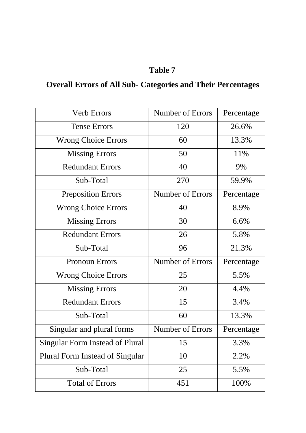# **Overall Errors of All Sub- Categories and Their Percentages**

| <b>Verb Errors</b>              | Number of Errors        | Percentage |
|---------------------------------|-------------------------|------------|
| <b>Tense Errors</b>             | 120                     | 26.6%      |
| <b>Wrong Choice Errors</b>      | 60                      | 13.3%      |
| <b>Missing Errors</b>           | 50                      | 11%        |
| <b>Redundant Errors</b>         | 40                      | 9%         |
| Sub-Total                       | 270                     | 59.9%      |
| <b>Preposition Errors</b>       | Number of Errors        | Percentage |
| <b>Wrong Choice Errors</b>      | 40                      | 8.9%       |
| <b>Missing Errors</b>           | 30                      | 6.6%       |
| <b>Redundant Errors</b>         | 26                      | 5.8%       |
| Sub-Total                       | 96                      | 21.3%      |
| <b>Pronoun Errors</b>           | <b>Number of Errors</b> | Percentage |
| <b>Wrong Choice Errors</b>      | 25                      | 5.5%       |
| <b>Missing Errors</b>           | 20                      | 4.4%       |
| <b>Redundant Errors</b>         | 15                      | 3.4%       |
| Sub-Total                       | 60                      | 13.3%      |
| Singular and plural forms       | Number of Errors        | Percentage |
| Singular Form Instead of Plural | 15                      | 3.3%       |
| Plural Form Instead of Singular | 10                      | 2.2%       |
| Sub-Total                       | 25                      | 5.5%       |
| <b>Total of Errors</b>          | 451                     | 100%       |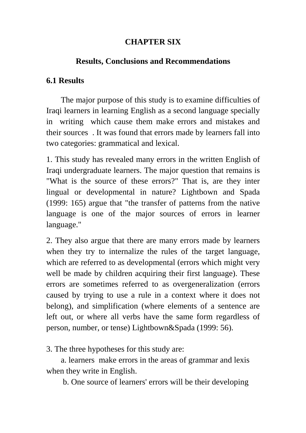## **CHAPTER SIX**

## **Results, Conclusions and Recommendations**

## **6.1 Results**

The major purpose of this study is to examine difficulties of Iraqi learners in learning English as a second language specially in writing which cause them make errors and mistakes and their sources . It was found that errors made by learners fall into two categories: grammatical and lexical.

1. This study has revealed many errors in the written English of Iraqi undergraduate learners. The major question that remains is "What is the source of these errors?" That is, are they inter lingual or developmental in nature? Lightbown and Spada (1999: 165) argue that "the transfer of patterns from the native language is one of the major sources of errors in learner language."

2. They also argue that there are many errors made by learners when they try to internalize the rules of the target language, which are referred to as developmental (errors which might very well be made by children acquiring their first language). These errors are sometimes referred to as overgeneralization (errors caused by trying to use a rule in a context where it does not belong), and simplification (where elements of a sentence are left out, or where all verbs have the same form regardless of person, number, or tense) Lightbown&Spada (1999: 56).

3. The three hypotheses for this study are:

a. learners make errors in the areas of grammar and lexis when they write in English.

b. One source of learners' errors will be their developing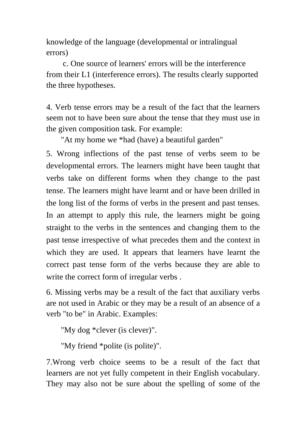knowledge of the language (developmental or intralingual errors)

 c. One source of learners' errors will be the interference from their L1 (interference errors). The results clearly supported the three hypotheses.

4. Verb tense errors may be a result of the fact that the learners seem not to have been sure about the tense that they must use in the given composition task. For example:

"At my home we \*had (have) a beautiful garden"

5. Wrong inflections of the past tense of verbs seem to be developmental errors. The learners might have been taught that verbs take on different forms when they change to the past tense. The learners might have learnt and or have been drilled in the long list of the forms of verbs in the present and past tenses. In an attempt to apply this rule, the learners might be going straight to the verbs in the sentences and changing them to the past tense irrespective of what precedes them and the context in which they are used. It appears that learners have learnt the correct past tense form of the verbs because they are able to write the correct form of irregular verbs.

6. Missing verbs may be a result of the fact that auxiliary verbs are not used in Arabic or they may be a result of an absence of a verb "to be" in Arabic. Examples:

```
"My dog *clever (is clever)".
```
"My friend \*polite (is polite)".

7.Wrong verb choice seems to be a result of the fact that learners are not yet fully competent in their English vocabulary. They may also not be sure about the spelling of some of the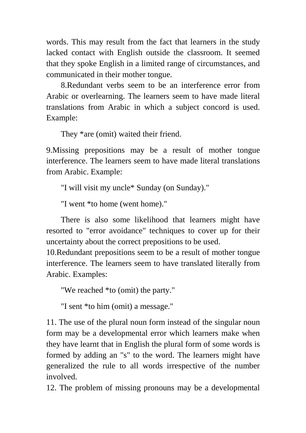words. This may result from the fact that learners in the study lacked contact with English outside the classroom. It seemed that they spoke English in a limited range of circumstances, and communicated in their mother tongue.

8.Redundant verbs seem to be an interference error from Arabic or overlearning. The learners seem to have made literal translations from Arabic in which a subject concord is used. Example:

They \*are (omit) waited their friend.

9.Missing prepositions may be a result of mother tongue interference. The learners seem to have made literal translations from Arabic. Example:

"I will visit my uncle\* Sunday (on Sunday)."

"I went \*to home (went home)."

There is also some likelihood that learners might have resorted to "error avoidance" techniques to cover up for their uncertainty about the correct prepositions to be used.

10.Redundant prepositions seem to be a result of mother tongue interference. The learners seem to have translated literally from Arabic. Examples:

"We reached \*to (omit) the party."

"I sent \*to him (omit) a message."

11. The use of the plural noun form instead of the singular noun form may be a developmental error which learners make when they have learnt that in English the plural form of some words is formed by adding an "s" to the word. The learners might have generalized the rule to all words irrespective of the number involved.

12. The problem of missing pronouns may be a developmental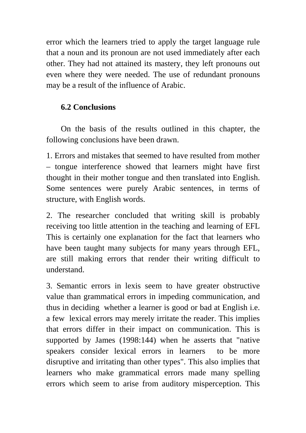error which the learners tried to apply the target language rule that a noun and its pronoun are not used immediately after each other. They had not attained its mastery, they left pronouns out even where they were needed. The use of redundant pronouns may be a result of the influence of Arabic.

## **6.2 Conclusions**

On the basis of the results outlined in this chapter, the following conclusions have been drawn.

1. Errors and mistakes that seemed to have resulted from mother – tongue interference showed that learners might have first thought in their mother tongue and then translated into English. Some sentences were purely Arabic sentences, in terms of structure, with English words.

2. The researcher concluded that writing skill is probably receiving too little attention in the teaching and learning of EFL This is certainly one explanation for the fact that learners who have been taught many subjects for many years through EFL, are still making errors that render their writing difficult to understand.

3. Semantic errors in lexis seem to have greater obstructive value than grammatical errors in impeding communication, and thus in deciding whether a learner is good or bad at English i.e. a few lexical errors may merely irritate the reader. This implies that errors differ in their impact on communication. This is supported by James (1998:144) when he asserts that "native speakers consider lexical errors in learners to be more disruptive and irritating than other types". This also implies that learners who make grammatical errors made many spelling errors which seem to arise from auditory misperception. This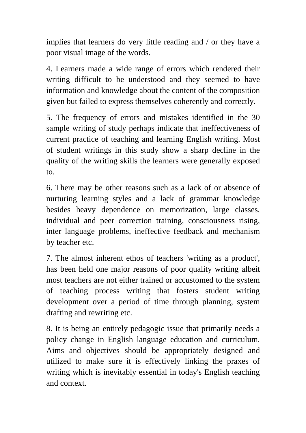implies that learners do very little reading and / or they have a poor visual image of the words.

4. Learners made a wide range of errors which rendered their writing difficult to be understood and they seemed to have information and knowledge about the content of the composition given but failed to express themselves coherently and correctly.

5. The frequency of errors and mistakes identified in the 30 sample writing of study perhaps indicate that ineffectiveness of current practice of teaching and learning English writing. Most of student writings in this study show a sharp decline in the quality of the writing skills the learners were generally exposed to.

6. There may be other reasons such as a lack of or absence of nurturing learning styles and a lack of grammar knowledge besides heavy dependence on memorization, large classes, individual and peer correction training, consciousness rising, inter language problems, ineffective feedback and mechanism by teacher etc.

7. The almost inherent ethos of teachers 'writing as a product', has been held one major reasons of poor quality writing albeit most teachers are not either trained or accustomed to the system of teaching process writing that fosters student writing development over a period of time through planning, system drafting and rewriting etc.

8. It is being an entirely pedagogic issue that primarily needs a policy change in English language education and curriculum. Aims and objectives should be appropriately designed and utilized to make sure it is effectively linking the praxes of writing which is inevitably essential in today's English teaching and context.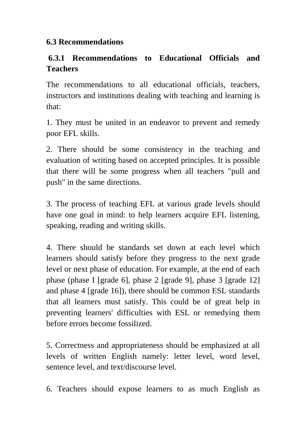## **6.3 Recommendations**

## **6.3.1 Recommendations to Educational Officials and Teachers**

The recommendations to all educational officials, teachers, instructors and institutions dealing with teaching and learning is that:

1. They must be united in an endeavor to prevent and remedy poor EFL skills.

2. There should be some consistency in the teaching and evaluation of writing based on accepted principles. It is possible that there will be some progress when all teachers "pull and push" in the same directions.

3. The process of teaching EFL at various grade levels should have one goal in mind: to help learners acquire EFL listening, speaking, reading and writing skills.

4. There should be standards set down at each level which learners should satisfy before they progress to the next grade level or next phase of education. For example, at the end of each phase (phase I [grade 6], phase 2 [grade 9], phase 3 [grade 12] and phase 4 [grade 16]), there should be common ESL standards that all learners must satisfy. This could be of great help in preventing learners' difficulties with ESL or remedying them before errors become fossilized.

5. Correctness and appropriateness should be emphasized at all levels of written English namely: letter level, word level, sentence level, and text/discourse level.

6. Teachers should expose learners to as much English as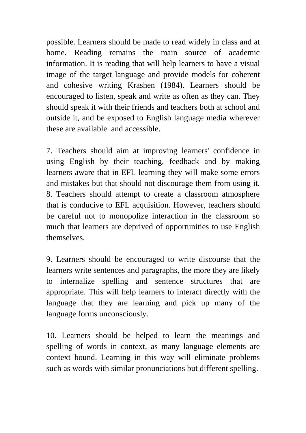possible. Learners should be made to read widely in class and at home. Reading remains the main source of academic information. It is reading that will help learners to have a visual image of the target language and provide models for coherent and cohesive writing Krashen (1984). Learners should be encouraged to listen, speak and write as often as they can. They should speak it with their friends and teachers both at school and outside it, and be exposed to English language media wherever these are available and accessible.

7. Teachers should aim at improving learners' confidence in using English by their teaching, feedback and by making learners aware that in EFL learning they will make some errors and mistakes but that should not discourage them from using it. 8. Teachers should attempt to create a classroom atmosphere that is conducive to EFL acquisition. However, teachers should be careful not to monopolize interaction in the classroom so much that learners are deprived of opportunities to use English themselves.

9. Learners should be encouraged to write discourse that the learners write sentences and paragraphs, the more they are likely to internalize spelling and sentence structures that are appropriate. This will help learners to interact directly with the language that they are learning and pick up many of the language forms unconsciously.

10. Learners should be helped to learn the meanings and spelling of words in context, as many language elements are context bound. Learning in this way will eliminate problems such as words with similar pronunciations but different spelling.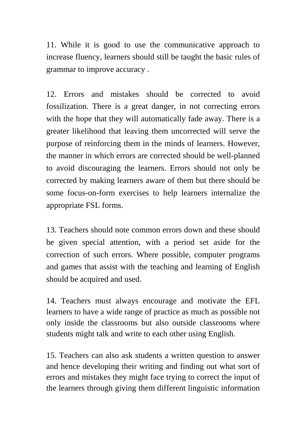11. While it is good to use the communicative approach to increase fluency, learners should still be taught the basic rules of grammar to improve accuracy .

12. Errors and mistakes should be corrected to avoid fossilization. There is a great danger, in not correcting errors with the hope that they will automatically fade away. There is a greater likelihood that leaving them uncorrected will serve the purpose of reinforcing them in the minds of learners. However, the manner in which errors are corrected should be well-planned to avoid discouraging the learners. Errors should not only be corrected by making learners aware of them but there should be some focus-on-form exercises to help learners internalize the appropriate FSL forms.

13. Teachers should note common errors down and these should be given special attention, with a period set aside for the correction of such errors. Where possible, computer programs and games that assist with the teaching and learning of English should be acquired and used.

14. Teachers must always encourage and motivate the EFL learners to have a wide range of practice as much as possible not only inside the classrooms but also outside classrooms where students might talk and write to each other using English.

15. Teachers can also ask students a written question to answer and hence developing their writing and finding out what sort of errors and mistakes they might face trying to correct the input of the learners through giving them different linguistic information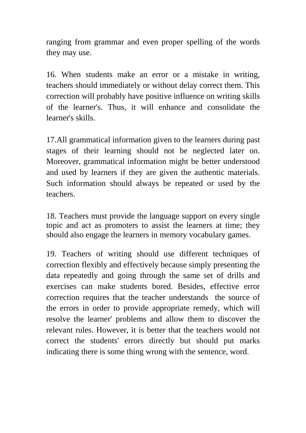ranging from grammar and even proper spelling of the words they may use.

16. When students make an error or a mistake in writing, teachers should immediately or without delay correct them. This correction will probably have positive influence on writing skills of the learner's. Thus, it will enhance and consolidate the learner's skills.

17.All grammatical information given to the learners during past stages of their learning should not be neglected later on. Moreover, grammatical information might be better understood and used by learners if they are given the authentic materials. Such information should always be repeated or used by the teachers.

18. Teachers must provide the language support on every single topic and act as promoters to assist the learners at time; they should also engage the learners in memory vocabulary games.

19. Teachers of writing should use different techniques of correction flexibly and effectively because simply presenting the data repeatedly and going through the same set of drills and exercises can make students bored. Besides, effective error correction requires that the teacher understands the source of the errors in order to provide appropriate remedy, which will resolve the learner' problems and allow them to discover the relevant rules. However, it is better that the teachers would not correct the students' errors directly but should put marks indicating there is some thing wrong with the sentence, word.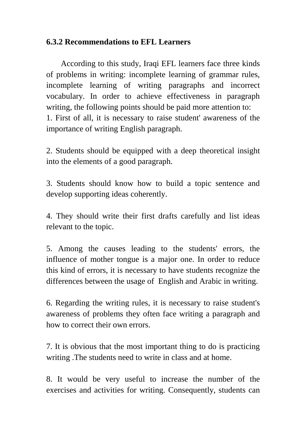#### **6.3.2 Recommendations to EFL Learners**

According to this study, Iraqi EFL learners face three kinds of problems in writing: incomplete learning of grammar rules, incomplete learning of writing paragraphs and incorrect vocabulary. In order to achieve effectiveness in paragraph writing, the following points should be paid more attention to: 1. First of all, it is necessary to raise student' awareness of the importance of writing English paragraph.

2. Students should be equipped with a deep theoretical insight into the elements of a good paragraph.

3. Students should know how to build a topic sentence and develop supporting ideas coherently.

4. They should write their first drafts carefully and list ideas relevant to the topic.

5. Among the causes leading to the students' errors, the influence of mother tongue is a major one. In order to reduce this kind of errors, it is necessary to have students recognize the differences between the usage of English and Arabic in writing.

6. Regarding the writing rules, it is necessary to raise student's awareness of problems they often face writing a paragraph and how to correct their own errors.

7. It is obvious that the most important thing to do is practicing writing .The students need to write in class and at home.

8. It would be very useful to increase the number of the exercises and activities for writing. Consequently, students can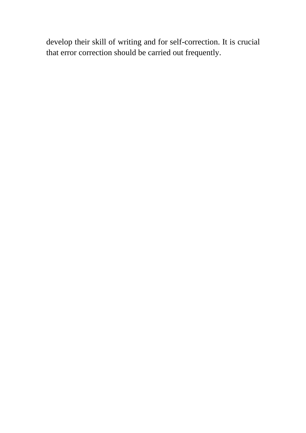develop their skill of writing and for self-correction. It is crucial that error correction should be carried out frequently.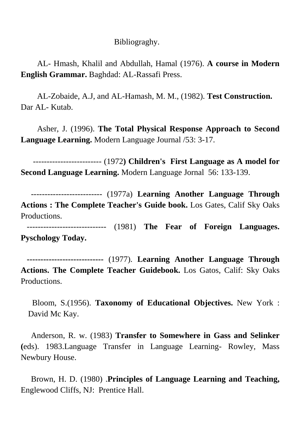#### Bibliograghy.

AL- Hmash, Khalil and Abdullah, Hamal (1976). **A course in Modern English Grammar.** Baghdad: AL-Rassafi Press.

 AL-Zobaide, A.J, and AL-Hamash, M. M., (1982). **Test Construction.** Dar AL- Kutab.

Asher, J. (1996). **The Total Physical Response Approach to Second Language Learning.** Modern Language Journal /53: 3-17.

 ------------------------- (1972**) Children's First Language as A model for Second Language Learning.** Modern Language Jornal 56: 133-139.

 -------------------------- (1977a) **Learning Another Language Through Actions : The Complete Teacher's Guide book.** Los Gates, Calif Sky Oaks Productions.

 ----------------------------- (1981) **The Fear of Foreign Languages. Pyschology Today.** 

 **----------------------------** (1977). **Learning Another Language Through Actions. The Complete Teacher Guidebook.** Los Gatos, Calif: Sky Oaks Productions.

 Bloom, S.(1956). **Taxonomy of Educational Objectives.** New York : David Mc Kay.

 Anderson, R. w. (1983) **Transfer to Somewhere in Gass and Selinker (**eds). 1983.Language Transfer in Language Learning- Rowley, Mass Newbury House.

 Brown, H. D. (1980) .**Principles of Language Learning and Teaching,**  Englewood Cliffs, NJ: Prentice Hall.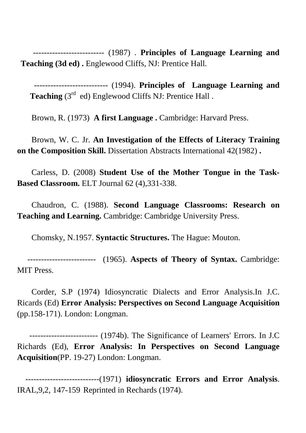-------------------------- (1987) . **Principles of Language Learning and Teaching (3d ed) .** Englewood Cliffs, NJ: Prentice Hall.

 --------------------------- (1994). **Principles of Language Learning and**  Teaching (3<sup>rd</sup> ed) Englewood Cliffs NJ: Prentice Hall.

Brown, R. (1973) **A first Language .** Cambridge: Harvard Press.

 Brown, W. C. Jr. **An Investigation of the Effects of Literacy Training on the Composition Skill.** Dissertation Abstracts International 42(1982) **.** 

 Carless, D. (2008) **Student Use of the Mother Tongue in the Task-Based Classroom.** ELT Journal 62 (4),331-338.

 Chaudron, C. (1988). **Second Language Classrooms: Research on Teaching and Learning.** Cambridge: Cambridge University Press.

Chomsky, N.1957. **Syntactic Structures.** The Hague: Mouton.

 ------------------------- (1965). **Aspects of Theory of Syntax.** Cambridge: MIT Press.

 Corder, S.P (1974) Idiosyncratic Dialects and Error Analysis.In J.C. Ricards (Ed) **Error Analysis: Perspectives on Second Language Acquisition**  (pp.158-171). London: Longman.

 ------------------------- (1974b). The Significance of Learners' Errors. In J.C Richards (Ed), **Error Analysis: In Perspectives on Second Language Acquisition**(PP. 19-27) London: Longman.

 ---------------------------(1971) **idiosyncratic Errors and Error Analysis**. IRAL,9,2, 147-159 Reprinted in Rechards (1974).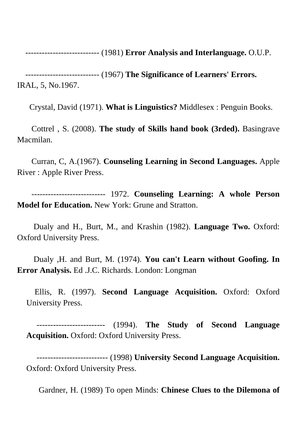--------------------------- (1981) **Error Analysis and Interlanguage.** O.U.P.

 --------------------------- (1967) **The Significance of Learners' Errors.**  IRAL, 5, No.1967.

Crystal, David (1971). **What is Linguistics?** Middlesex : Penguin Books.

 Cottrel , S. (2008). **The study of Skills hand book (3rded).** Basingrave Macmilan.

 Curran, C, A.(1967). **Counseling Learning in Second Languages.** Apple River : Apple River Press.

 --------------------------- 1972. **Counseling Learning: A whole Person Model for Education.** New York: Grune and Stratton.

 Dualy and H., Burt, M., and Krashin (1982). **Language Two.** Oxford: Oxford University Press.

 Dualy ,H. and Burt, M. (1974). **You can't Learn without Goofing. In Error Analysis.** Ed .J.C. Richards. London: Longman

 Ellis, R. (1997). **Second Language Acquisition.** Oxford: Oxford University Press.

 ------------------------- (1994). **The Study of Second Language Acquisition.** Oxford: Oxford University Press.

 -------------------------- (1998) **University Second Language Acquisition.**  Oxford: Oxford University Press.

Gardner, H. (1989) To open Minds: **Chinese Clues to the Dilemona of**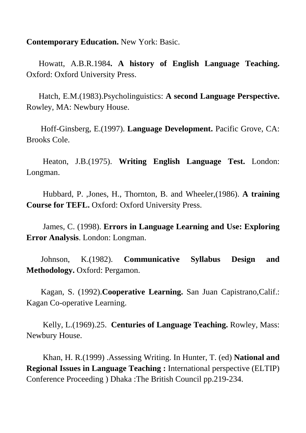**Contemporary Education.** New York: Basic.

 Howatt, A.B.R.1984**. A history of English Language Teaching.** Oxford: Oxford University Press.

 Hatch, E.M.(1983).Psycholinguistics: **A second Language Perspective.** Rowley, MA: Newbury House.

 Hoff-Ginsberg, E.(1997). **Language Development.** Pacific Grove, CA: Brooks Cole.

 Heaton, J.B.(1975). **Writing English Language Test.** London: Longman.

 Hubbard, P. ,Jones, H., Thornton, B. and Wheeler,(1986). **A training Course for TEFL.** Oxford: Oxford University Press.

 James, C. (1998). **Errors in Language Learning and Use: Exploring Error Analysis**. London: Longman.

 Johnson, K.(1982). **Communicative Syllabus Design and Methodology.** Oxford: Pergamon.

 Kagan, S. (1992).**Cooperative Learning.** San Juan Capistrano,Calif.: Kagan Co-operative Learning.

 Kelly, L.(1969).25. **Centuries of Language Teaching.** Rowley, Mass: Newbury House.

 Khan, H. R.(1999) .Assessing Writing. In Hunter, T. (ed) **National and Regional Issues in Language Teaching :** International perspective (ELTIP) Conference Proceeding ) Dhaka :The British Council pp.219-234.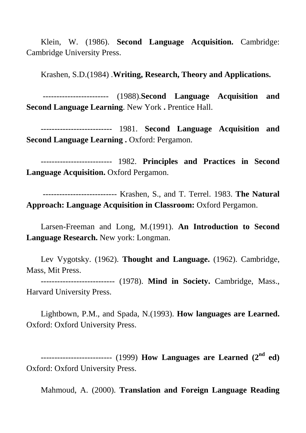Klein, W. (1986). **Second Language Acquisition.** Cambridge: Cambridge University Press.

Krashen, S.D.(1984) .**Writing, Research, Theory and Applications.**

------------------------ (1988).**Second Language Acquisition and Second Language Learning. New York . Prentice Hall.** 

 -------------------------- 1981. **Second Language Acquisition and Second Language Learning .** Oxford: Pergamon.

 -------------------------- 1982. **Principles and Practices in Second**  Language Acquisition. Oxford Pergamon.

 --------------------------- Krashen, S., and T. Terrel. 1983. **The Natural Approach: Language Acquisition in Classroom:** Oxford Pergamon.

 Larsen-Freeman and Long, M.(1991). **An Introduction to Second Language Research.** New york: Longman.

 Lev Vygotsky. (1962). **Thought and Language.** (1962). Cambridge, Mass, Mit Press.

 --------------------------- (1978). **Mind in Society.** Cambridge, Mass., Harvard University Press.

Lightbown, P.M., and Spada, N.(1993). **How languages are Learned.**  Oxford: Oxford University Press.

 -------------------------- (1999) **How Languages are Learned (2nd ed)** Oxford: Oxford University Press.

Mahmoud, A. (2000). **Translation and Foreign Language Reading**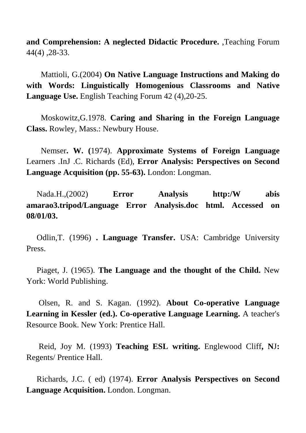**and Comprehension: A neglected Didactic Procedure.** ,Teaching Forum 44(4) ,28-33.

 Mattioli, G.(2004) **On Native Language Instructions and Making do with Words: Linguistically Homogenious Classrooms and Native Language Use.** English Teaching Forum 42 (4),20-25.

 Moskowitz,G.1978. **Caring and Sharing in the Foreign Language Class.** Rowley, Mass.: Newbury House.

Nemser**. W. (**1974). **Approximate Systems of Foreign Language** Learners .InJ .C. Richards (Ed), **Error Analysis: Perspectives on Second Language Acquisition (pp. 55-63).** London: Longman.

Nada.H.,(2002) **Error Analysis http:/W abis amarao3.tripod/Language Error Analysis.doc html. Accessed on 08/01/03.** 

 Odlin,T. (1996) **. Language Transfer.** USA: Cambridge University Press.

 Piaget, J. (1965). **The Language and the thought of the Child.** New York: World Publishing.

 Olsen, R. and S. Kagan. (1992). **About Co-operative Language Learning in Kessler (ed.). Co-operative Language Learning.** A teacher's Resource Book. New York: Prentice Hall.

 Reid, Joy M. (1993) **Teaching ESL writing.** Englewood Cliff**, N**J**:**  Regents/ Prentice Hall.

 Richards, J.C. ( ed) (1974). **Error Analysis Perspectives on Second Language Acquisition.** London. Longman.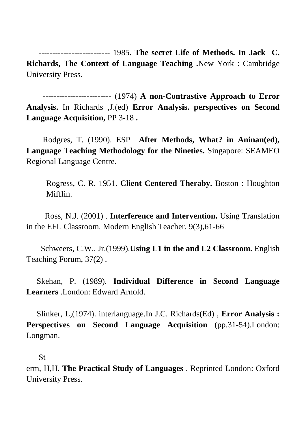-------------------------- 1985. **The secret Life of Methods. In Jack C. Richards, The Context of Language Teaching .**New York : Cambridge University Press.

 ------------------------- (1974) **A non-Contrastive Approach to Error Analysis.** In Richards ,J.(ed) **Error Analysis. perspectives on Second Language Acquisition,** PP 3-18 **.** 

Rodgres, T. (1990). ESP **After Methods, What? in Aninan(ed), Language Teaching Methodology for the Nineties.** Singapore: SEAMEO Regional Language Centre.

Rogress, C. R. 1951. **Client Centered Theraby.** Boston : Houghton Mifflin.

Ross, N.J. (2001) . **Interference and Intervention.** Using Translation in the EFL Classroom. Modern English Teacher, 9(3),61-66

 Schweers, C.W., Jr.(1999).**Using L1 in the and L2 Classroom.** English Teaching Forum, 37(2) .

 Skehan, P. (1989). **Individual Difference in Second Language Learners** .London: Edward Arnold.

 Slinker, L,(1974). interlanguage.In J.C. Richards(Ed) , **Error Analysis : Perspectives on Second Language Acquisition** (pp.31-54).London: Longman.

#### St

erm, H,H. **The Practical Study of Languages** . Reprinted London: Oxford University Press.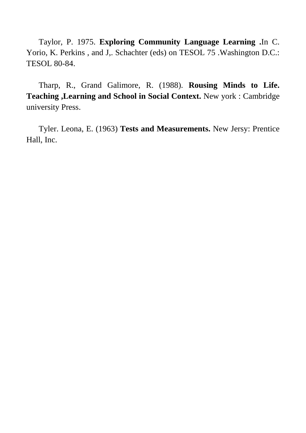Taylor, P. 1975. **Exploring Community Language Learning .**In C. Yorio, K. Perkins , and J,. Schachter (eds) on TESOL 75 .Washington D.C.: TESOL 80-84.

 Tharp, R., Grand Galimore, R. (1988). **Rousing Minds to Life. Teaching ,Learning and School in Social Context.** New york : Cambridge university Press.

 Tyler. Leona, E. (1963) **Tests and Measurements.** New Jersy: Prentice Hall, Inc.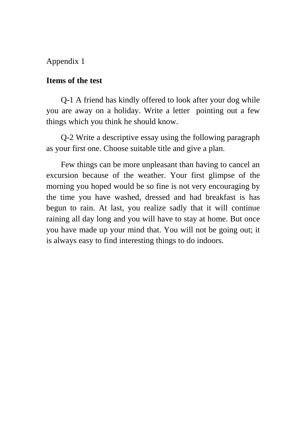### Appendix 1

#### **Items of the test**

Q-1 A friend has kindly offered to look after your dog while you are away on a holiday. Write a letter pointing out a few things which you think he should know.

Q-2 Write a descriptive essay using the following paragraph as your first one. Choose suitable title and give a plan.

Few things can be more unpleasant than having to cancel an excursion because of the weather. Your first glimpse of the morning you hoped would be so fine is not very encouraging by the time you have washed, dressed and had breakfast is has begun to rain. At last, you realize sadly that it will continue raining all day long and you will have to stay at home. But once you have made up your mind that. You will not be going out; it is always easy to find interesting things to do indoors.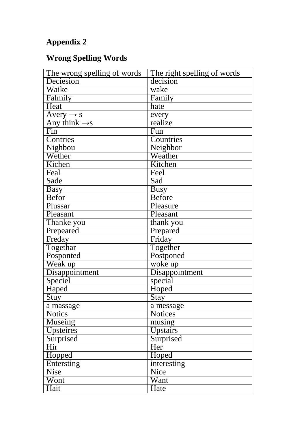## **Appendix 2**

## **Wrong Spelling Words**

| The wrong spelling of words | The right spelling of words |
|-----------------------------|-----------------------------|
| Deciesion                   | decision                    |
| Waike                       | wake                        |
| Falmily                     | Family                      |
| Heat                        | hate                        |
| Avery $\rightarrow$ s       | every                       |
| Any think $\rightarrow$ s   | realize                     |
| $\overline{\text{Fin}}$     | Fun                         |
| Contries                    | Countries                   |
| Nighbou                     | Neighbor                    |
| Wether                      | Weather                     |
| Kichen                      | Kitchen                     |
| Feal                        | Feel                        |
| Sade                        | Sad                         |
| <b>Basy</b>                 | <b>Busy</b>                 |
| <b>Befor</b>                | <b>Before</b>               |
| Plussar                     | Pleasure                    |
| Pleasant                    | Pleasant                    |
| Thanke you                  | thank you                   |
| Prepeared                   | Prepared                    |
| Freday                      | Friday                      |
| Togethar                    | Together                    |
| Posponted                   | Postponed                   |
| Weak up                     | woke up                     |
| Disappointment              | Disappointment              |
| Speciel                     | special                     |
| Haped                       | Hoped                       |
| Stuy                        | Stay                        |
| a massage                   | a message                   |
| <b>Notics</b>               | <b>Notices</b>              |
| Museing                     | musing                      |
| Upsteires                   | Upstairs                    |
| Surprised                   | Surprised                   |
| Hir                         | Her                         |
| Hopped                      | Hoped                       |
| <b>Entersting</b>           | interesting                 |
| <b>Nise</b>                 | Nice                        |
| Wont                        | Want                        |
| Hait                        | Hate                        |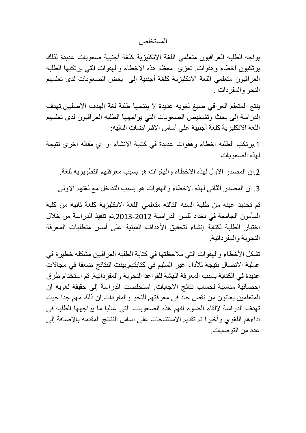المستخلص

بواجه الطلبه العراقيون متعلمي اللغة الانكليزية كلغة أجنبية صعوبات عديدة لذلك يرتكبون اخطاء وهفوات تعزى معظم هذه الاخطاء والهفوات التبى يرتكبها الطلبه العراقيون متعلمي اللغة الانكليزية كلغة أجنبية إلى بعض الصعوبات لدى تعلمهم النحو والمفردات .

ينتج المتعلم العراقي صيغ لغويه عديدة لا ينتجها طلبة لغة الهدف الاصليين تهدف الدراسة إلى بحث وتشخيص الصعوبات التي يواجهها الطلبه العراقيون لدى تعلمهم اللغة الانكليزية كلغة أجنبية على أساس الافتر اضات التاليه:

1.ير نكب الطلبه اخطاء وهفوات عديدة في كتابة الانشاء او اي مقاله اخرى نتيجة لهذه الصعوبات

2 ان المصدر الاول لهذه الاخطاء والهفوات هو بسبب معرفتهم التطويريه للغة.

3. ان المصدر الثاني لهذه الاخطاء والهفوات هو بسبب التداخل مع لغتهم الاولي.

تم تحديد عينه من طلبة السنه الثالثه متعلمي اللغة الانكليزية كلغة ثانيه من كلية المأمو ن الجامعة في بغداد للسن الدر اسية 2012-2013 تم تنفيذ الدر اسة من خلال اختبار الطلبة لكتابة إنشاء لتحقيق الأهداف المبنية على أسس متطلبات المعرفة النحوية والمفر داتية.

تشكل الأخطاء والهفوات التي ملاحظتها في كتابة الطلبه العراقيين مشكله خطيرة في عملية الاتصال نتيجة للأداء غير السليم في كتابتهم بينت النتائج ضعفا في مجالات عديدة في الكتابة بسبب المعرفة الهشة للقواعد النحوية والمفرداتية. تم استخدام طرق إحصـائية مناسبة لحساب نتائج الاجابات. استخلصت الدراسة إلى حقيقة لغويه ان المتعلمين يعانون من نقص حاد في معر فتهم للنحو و المفر دات ان ذلك مهم جدا حيث تهدف الدراسة لإلقاء الضوء لفهم هذه الصعوبات التي غالبا ما يواجهها الطلبه في اداءهم اللغوي وأخيرا تم تقديم الاستنتاجات على اساس النتائج المقدمه بالإضافة إلى عدد من التو صبات.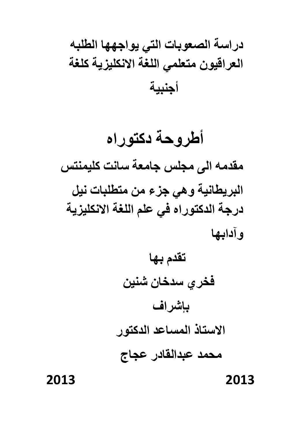# دراسة الصعوبات التى يواجهها الطلبه العراقيون متعلمي اللغة الانكليزية كلغة أجنبية

أطروحة دكتوراه مقدمه الى مجلس جامعة سانت كليمنتس البريطانية وهي جزء من متطلبات نيل درجة الدكتوراه في علم اللغة الانكليزية وآدابها

> تقدم بها فخرى سدخان شنين بإشراف الاستاذ المساعد الدكتور محمد عبدالقادر عجاج

2013

2013